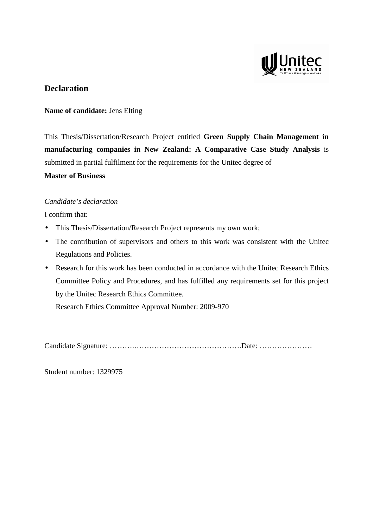

## **Declaration**

### **Name of candidate:** Jens Elting

This Thesis/Dissertation/Research Project entitled **Green Supply Chain Management in manufacturing companies in New Zealand: A Comparative Case Study Analysis** is submitted in partial fulfilment for the requirements for the Unitec degree of

## **Master of Business**

## *Candidate's declaration*

I confirm that:

- This Thesis/Dissertation/Research Project represents my own work;
- The contribution of supervisors and others to this work was consistent with the United Regulations and Policies.
- Research for this work has been conducted in accordance with the United Research Ethics Committee Policy and Procedures, and has fulfilled any requirements set for this project by the Unitec Research Ethics Committee.

Research Ethics Committee Approval Number: 2009-970

Candidate Signature: ……….…………………………………….Date: …………………

Student number: 1329975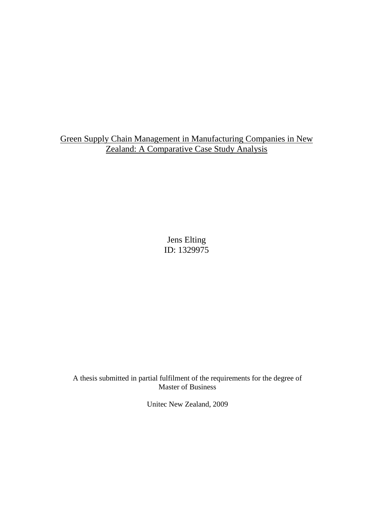Green Supply Chain Management in Manufacturing Companies in New Zealand: A Comparative Case Study Analysis

> Jens Elting ID: 1329975

A thesis submitted in partial fulfilment of the requirements for the degree of Master of Business

Unitec New Zealand, 2009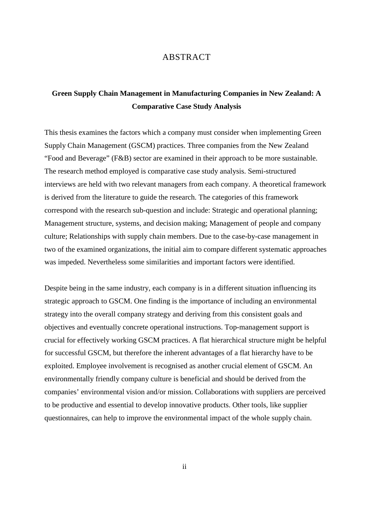### ABSTRACT

## **Green Supply Chain Management in Manufacturing Companies in New Zealand: A Comparative Case Study Analysis**

This thesis examines the factors which a company must consider when implementing Green Supply Chain Management (GSCM) practices. Three companies from the New Zealand "Food and Beverage" (F&B) sector are examined in their approach to be more sustainable. The research method employed is comparative case study analysis. Semi-structured interviews are held with two relevant managers from each company. A theoretical framework is derived from the literature to guide the research. The categories of this framework correspond with the research sub-question and include: Strategic and operational planning; Management structure, systems, and decision making; Management of people and company culture; Relationships with supply chain members. Due to the case-by-case management in two of the examined organizations, the initial aim to compare different systematic approaches was impeded. Nevertheless some similarities and important factors were identified.

Despite being in the same industry, each company is in a different situation influencing its strategic approach to GSCM. One finding is the importance of including an environmental strategy into the overall company strategy and deriving from this consistent goals and objectives and eventually concrete operational instructions. Top-management support is crucial for effectively working GSCM practices. A flat hierarchical structure might be helpful for successful GSCM, but therefore the inherent advantages of a flat hierarchy have to be exploited. Employee involvement is recognised as another crucial element of GSCM. An environmentally friendly company culture is beneficial and should be derived from the companies' environmental vision and/or mission. Collaborations with suppliers are perceived to be productive and essential to develop innovative products. Other tools, like supplier questionnaires, can help to improve the environmental impact of the whole supply chain.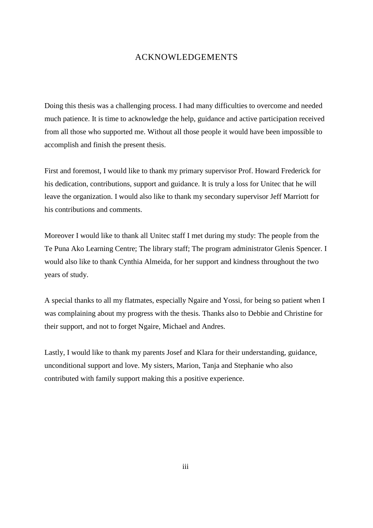## ACKNOWLEDGEMENTS

Doing this thesis was a challenging process. I had many difficulties to overcome and needed much patience. It is time to acknowledge the help, guidance and active participation received from all those who supported me. Without all those people it would have been impossible to accomplish and finish the present thesis.

First and foremost, I would like to thank my primary supervisor Prof. Howard Frederick for his dedication, contributions, support and guidance. It is truly a loss for Unitec that he will leave the organization. I would also like to thank my secondary supervisor Jeff Marriott for his contributions and comments.

Moreover I would like to thank all Unitec staff I met during my study: The people from the Te Puna Ako Learning Centre; The library staff; The program administrator Glenis Spencer. I would also like to thank Cynthia Almeida, for her support and kindness throughout the two years of study.

A special thanks to all my flatmates, especially Ngaire and Yossi, for being so patient when I was complaining about my progress with the thesis. Thanks also to Debbie and Christine for their support, and not to forget Ngaire, Michael and Andres.

Lastly, I would like to thank my parents Josef and Klara for their understanding, guidance, unconditional support and love. My sisters, Marion, Tanja and Stephanie who also contributed with family support making this a positive experience.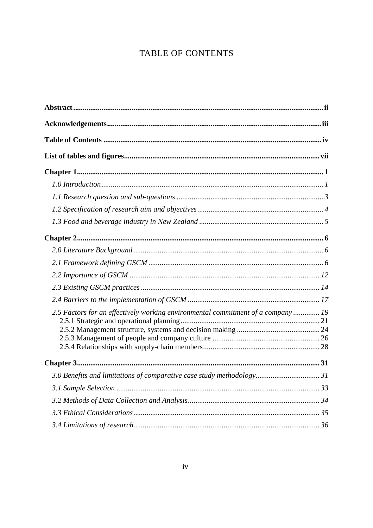# TABLE OF CONTENTS

| 2.5 Factors for an effectively working environmental commitment of a company 19 |  |
|---------------------------------------------------------------------------------|--|
|                                                                                 |  |
|                                                                                 |  |
|                                                                                 |  |
|                                                                                 |  |
| 3.0 Benefits and limitations of comparative case study methodology 31           |  |
|                                                                                 |  |
|                                                                                 |  |
|                                                                                 |  |
|                                                                                 |  |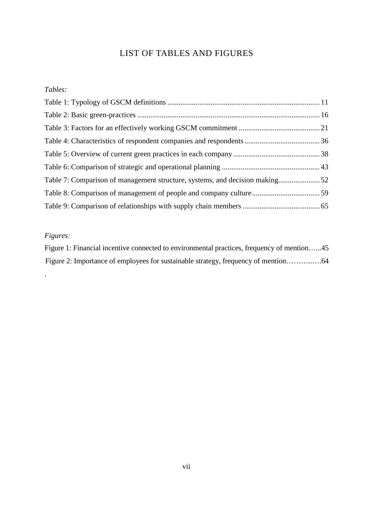# LIST OF TABLES AND FIGURES

## *Tables:*

# *Figures:*

.

| Figure 1: Financial incentive connected to environmental practices, frequency of mention45 |  |
|--------------------------------------------------------------------------------------------|--|
|                                                                                            |  |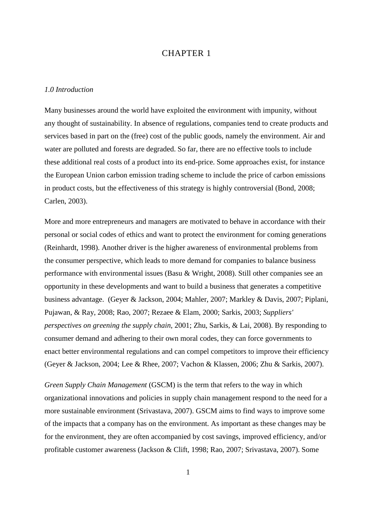## CHAPTER 1

#### *1.0 Introduction*

Many businesses around the world have exploited the environment with impunity, without any thought of sustainability. In absence of regulations, companies tend to create products and services based in part on the (free) cost of the public goods, namely the environment. Air and water are polluted and forests are degraded. So far, there are no effective tools to include these additional real costs of a product into its end-price. Some approaches exist, for instance the European Union carbon emission trading scheme to include the price of carbon emissions in product costs, but the effectiveness of this strategy is highly controversial (Bond, 2008; Carlen, 2003).

More and more entrepreneurs and managers are motivated to behave in accordance with their personal or social codes of ethics and want to protect the environment for coming generations (Reinhardt, 1998). Another driver is the higher awareness of environmental problems from the consumer perspective, which leads to more demand for companies to balance business performance with environmental issues (Basu & Wright, 2008). Still other companies see an opportunity in these developments and want to build a business that generates a competitive business advantage. (Geyer & Jackson, 2004; Mahler, 2007; Markley & Davis, 2007; Piplani, Pujawan, & Ray, 2008; Rao, 2007; Rezaee & Elam, 2000; Sarkis, 2003; *Suppliers' perspectives on greening the supply chain*, 2001; Zhu, Sarkis, & Lai, 2008). By responding to consumer demand and adhering to their own moral codes, they can force governments to enact better environmental regulations and can compel competitors to improve their efficiency (Geyer & Jackson, 2004; Lee & Rhee, 2007; Vachon & Klassen, 2006; Zhu & Sarkis, 2007).

*Green Supply Chain Management* (GSCM) is the term that refers to the way in which organizational innovations and policies in supply chain management respond to the need for a more sustainable environment (Srivastava, 2007). GSCM aims to find ways to improve some of the impacts that a company has on the environment. As important as these changes may be for the environment, they are often accompanied by cost savings, improved efficiency, and/or profitable customer awareness (Jackson & Clift, 1998; Rao, 2007; Srivastava, 2007). Some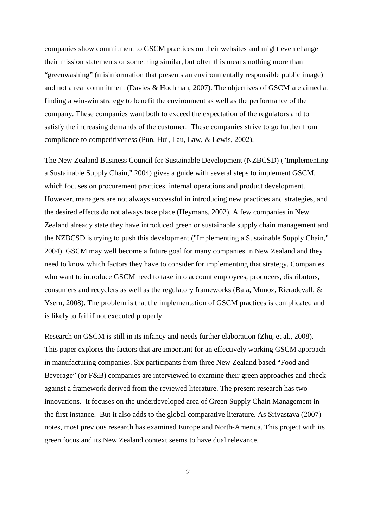companies show commitment to GSCM practices on their websites and might even change their mission statements or something similar, but often this means nothing more than "greenwashing" (misinformation that presents an environmentally responsible public image) and not a real commitment (Davies & Hochman, 2007). The objectives of GSCM are aimed at finding a win-win strategy to benefit the environment as well as the performance of the company. These companies want both to exceed the expectation of the regulators and to satisfy the increasing demands of the customer. These companies strive to go further from compliance to competitiveness (Pun, Hui, Lau, Law, & Lewis, 2002).

The New Zealand Business Council for Sustainable Development (NZBCSD) ("Implementing a Sustainable Supply Chain," 2004) gives a guide with several steps to implement GSCM, which focuses on procurement practices, internal operations and product development. However, managers are not always successful in introducing new practices and strategies, and the desired effects do not always take place (Heymans, 2002). A few companies in New Zealand already state they have introduced green or sustainable supply chain management and the NZBCSD is trying to push this development ("Implementing a Sustainable Supply Chain," 2004). GSCM may well become a future goal for many companies in New Zealand and they need to know which factors they have to consider for implementing that strategy. Companies who want to introduce GSCM need to take into account employees, producers, distributors, consumers and recyclers as well as the regulatory frameworks (Bala, Munoz, Rieradevall, & Ysern, 2008). The problem is that the implementation of GSCM practices is complicated and is likely to fail if not executed properly.

Research on GSCM is still in its infancy and needs further elaboration (Zhu, et al., 2008). This paper explores the factors that are important for an effectively working GSCM approach in manufacturing companies. Six participants from three New Zealand based "Food and Beverage" (or F&B) companies are interviewed to examine their green approaches and check against a framework derived from the reviewed literature. The present research has two innovations. It focuses on the underdeveloped area of Green Supply Chain Management in the first instance. But it also adds to the global comparative literature. As Srivastava (2007) notes, most previous research has examined Europe and North-America. This project with its green focus and its New Zealand context seems to have dual relevance.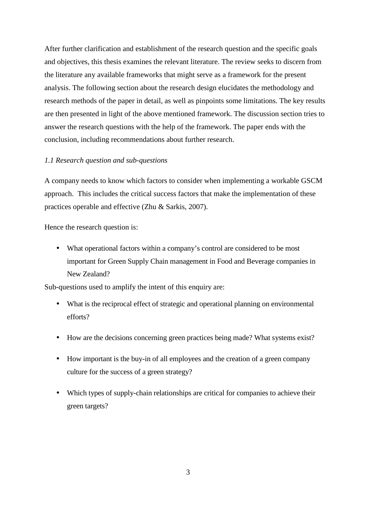After further clarification and establishment of the research question and the specific goals and objectives, this thesis examines the relevant literature. The review seeks to discern from the literature any available frameworks that might serve as a framework for the present analysis. The following section about the research design elucidates the methodology and research methods of the paper in detail, as well as pinpoints some limitations. The key results are then presented in light of the above mentioned framework. The discussion section tries to answer the research questions with the help of the framework. The paper ends with the conclusion, including recommendations about further research.

#### *1.1 Research question and sub-questions*

A company needs to know which factors to consider when implementing a workable GSCM approach. This includes the critical success factors that make the implementation of these practices operable and effective (Zhu & Sarkis, 2007).

Hence the research question is:

• What operational factors within a company's control are considered to be most important for Green Supply Chain management in Food and Beverage companies in New Zealand?

Sub-questions used to amplify the intent of this enquiry are:

- What is the reciprocal effect of strategic and operational planning on environmental efforts?
- How are the decisions concerning green practices being made? What systems exist?
- How important is the buy-in of all employees and the creation of a green company culture for the success of a green strategy?
- Which types of supply-chain relationships are critical for companies to achieve their green targets?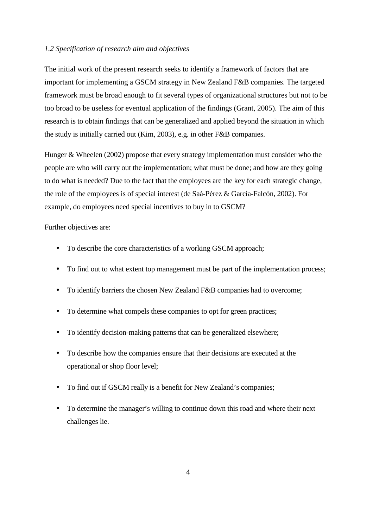#### *1.2 Specification of research aim and objectives*

The initial work of the present research seeks to identify a framework of factors that are important for implementing a GSCM strategy in New Zealand F&B companies. The targeted framework must be broad enough to fit several types of organizational structures but not to be too broad to be useless for eventual application of the findings (Grant, 2005). The aim of this research is to obtain findings that can be generalized and applied beyond the situation in which the study is initially carried out (Kim, 2003), e.g. in other F&B companies.

Hunger & Wheelen (2002) propose that every strategy implementation must consider who the people are who will carry out the implementation; what must be done; and how are they going to do what is needed? Due to the fact that the employees are the key for each strategic change, the role of the employees is of special interest (de Saá-Pérez & García-Falcón, 2002). For example, do employees need special incentives to buy in to GSCM?

Further objectives are:

- To describe the core characteristics of a working GSCM approach;
- To find out to what extent top management must be part of the implementation process;
- To identify barriers the chosen New Zealand F&B companies had to overcome;
- To determine what compels these companies to opt for green practices;
- To identify decision-making patterns that can be generalized elsewhere;
- To describe how the companies ensure that their decisions are executed at the operational or shop floor level;
- To find out if GSCM really is a benefit for New Zealand's companies;
- To determine the manager's willing to continue down this road and where their next challenges lie.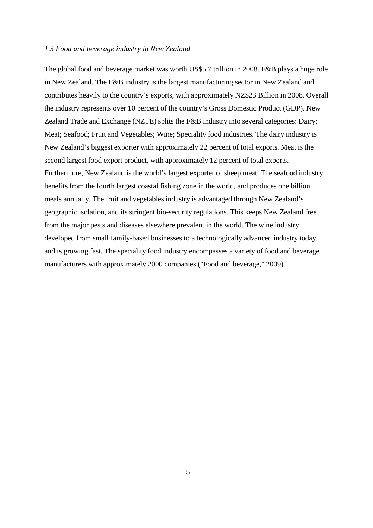#### *1.3 Food and beverage industry in New Zealand*

The global food and beverage market was worth US\$5.7 trillion in 2008. F&B plays a huge role in New Zealand. The F&B industry is the largest manufacturing sector in New Zealand and contributes heavily to the country's exports, with approximately NZ\$23 Billion in 2008. Overall the industry represents over 10 percent of the country's Gross Domestic Product (GDP). New Zealand Trade and Exchange (NZTE) splits the F&B industry into several categories: Dairy; Meat; Seafood; Fruit and Vegetables; Wine; Speciality food industries. The dairy industry is New Zealand's biggest exporter with approximately 22 percent of total exports. Meat is the second largest food export product, with approximately 12 percent of total exports. Furthermore, New Zealand is the world's largest exporter of sheep meat. The seafood industry benefits from the fourth largest coastal fishing zone in the world, and produces one billion meals annually. The fruit and vegetables industry is advantaged through New Zealand's geographic isolation, and its stringent bio-security regulations. This keeps New Zealand free from the major pests and diseases elsewhere prevalent in the world. The wine industry developed from small family-based businesses to a technologically advanced industry today, and is growing fast. The speciality food industry encompasses a variety of food and beverage manufacturers with approximately 2000 companies ("Food and beverage," 2009).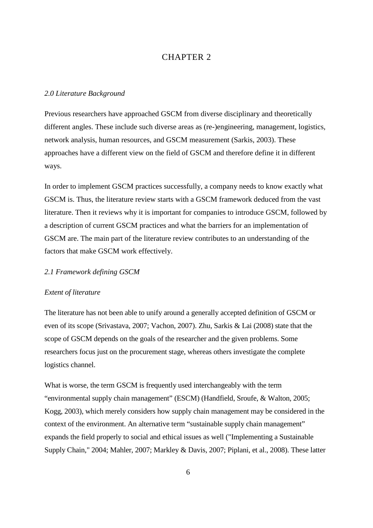### CHAPTER 2

#### *2.0 Literature Background*

Previous researchers have approached GSCM from diverse disciplinary and theoretically different angles. These include such diverse areas as (re-)engineering, management, logistics, network analysis, human resources, and GSCM measurement (Sarkis, 2003). These approaches have a different view on the field of GSCM and therefore define it in different ways.

In order to implement GSCM practices successfully, a company needs to know exactly what GSCM is. Thus, the literature review starts with a GSCM framework deduced from the vast literature. Then it reviews why it is important for companies to introduce GSCM, followed by a description of current GSCM practices and what the barriers for an implementation of GSCM are. The main part of the literature review contributes to an understanding of the factors that make GSCM work effectively.

#### *2.1 Framework defining GSCM*

#### *Extent of literature*

The literature has not been able to unify around a generally accepted definition of GSCM or even of its scope (Srivastava, 2007; Vachon, 2007). Zhu, Sarkis & Lai (2008) state that the scope of GSCM depends on the goals of the researcher and the given problems. Some researchers focus just on the procurement stage, whereas others investigate the complete logistics channel.

What is worse, the term GSCM is frequently used interchangeably with the term "environmental supply chain management" (ESCM) (Handfield, Sroufe, & Walton, 2005; Kogg, 2003), which merely considers how supply chain management may be considered in the context of the environment. An alternative term "sustainable supply chain management" expands the field properly to social and ethical issues as well ("Implementing a Sustainable Supply Chain," 2004; Mahler, 2007; Markley & Davis, 2007; Piplani, et al., 2008). These latter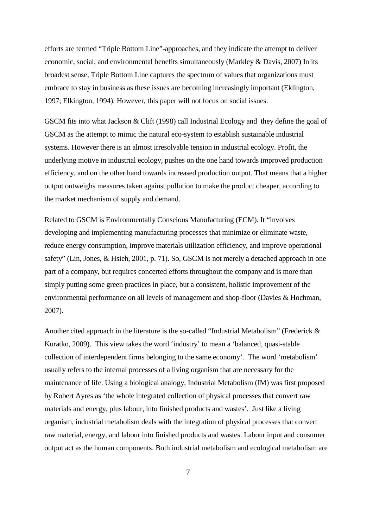efforts are termed "Triple Bottom Line"-approaches, and they indicate the attempt to deliver economic, social, and environmental benefits simultaneously (Markley & Davis, 2007) In its broadest sense, Triple Bottom Line captures the spectrum of values that organizations must embrace to stay in business as these issues are becoming increasingly important (Eklington, 1997; Elkington, 1994). However, this paper will not focus on social issues.

GSCM fits into what Jackson & Clift (1998) call Industrial Ecology and they define the goal of GSCM as the attempt to mimic the natural eco-system to establish sustainable industrial systems. However there is an almost irresolvable tension in industrial ecology. Profit, the underlying motive in industrial ecology, pushes on the one hand towards improved production efficiency, and on the other hand towards increased production output. That means that a higher output outweighs measures taken against pollution to make the product cheaper, according to the market mechanism of supply and demand.

Related to GSCM is Environmentally Conscious Manufacturing (ECM). It "involves developing and implementing manufacturing processes that minimize or eliminate waste, reduce energy consumption, improve materials utilization efficiency, and improve operational safety" (Lin, Jones, & Hsieh, 2001, p. 71). So, GSCM is not merely a detached approach in one part of a company, but requires concerted efforts throughout the company and is more than simply putting some green practices in place, but a consistent, holistic improvement of the environmental performance on all levels of management and shop-floor (Davies & Hochman, 2007).

Another cited approach in the literature is the so-called "Industrial Metabolism" (Frederick & Kuratko, 2009). This view takes the word 'industry' to mean a 'balanced, quasi-stable collection of interdependent firms belonging to the same economy'. The word 'metabolism' usually refers to the internal processes of a living organism that are necessary for the maintenance of life. Using a biological analogy, Industrial Metabolism (IM) was first proposed by Robert Ayres as 'the whole integrated collection of physical processes that convert raw materials and energy, plus labour, into finished products and wastes'. Just like a living organism, industrial metabolism deals with the integration of physical processes that convert raw material, energy, and labour into finished products and wastes. Labour input and consumer output act as the human components. Both industrial metabolism and ecological metabolism are

7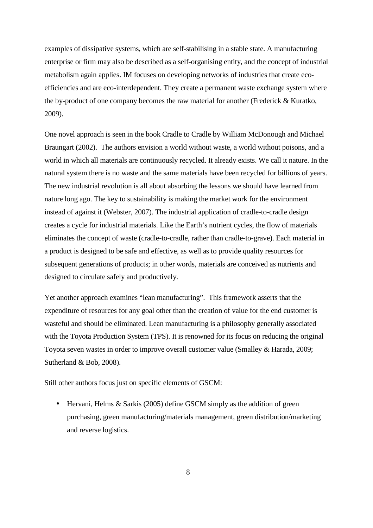examples of dissipative systems, which are self-stabilising in a stable state. A manufacturing enterprise or firm may also be described as a self-organising entity, and the concept of industrial metabolism again applies. IM focuses on developing networks of industries that create ecoefficiencies and are eco-interdependent. They create a permanent waste exchange system where the by-product of one company becomes the raw material for another (Frederick & Kuratko, 2009).

One novel approach is seen in the book Cradle to Cradle by William McDonough and Michael Braungart (2002). The authors envision a world without waste, a world without poisons, and a world in which all materials are continuously recycled. It already exists. We call it nature. In the natural system there is no waste and the same materials have been recycled for billions of years. The new industrial revolution is all about absorbing the lessons we should have learned from nature long ago. The key to sustainability is making the market work for the environment instead of against it (Webster, 2007). The industrial application of cradle-to-cradle design creates a cycle for industrial materials. Like the Earth's nutrient cycles, the flow of materials eliminates the concept of waste (cradle-to-cradle, rather than cradle-to-grave). Each material in a product is designed to be safe and effective, as well as to provide quality resources for subsequent generations of products; in other words, materials are conceived as nutrients and designed to circulate safely and productively.

Yet another approach examines "lean manufacturing". This framework asserts that the expenditure of resources for any goal other than the creation of value for the end customer is wasteful and should be eliminated. Lean manufacturing is a philosophy generally associated with the Toyota Production System (TPS). It is renowned for its focus on reducing the original Toyota seven wastes in order to improve overall customer value (Smalley & Harada, 2009; Sutherland & Bob, 2008).

Still other authors focus just on specific elements of GSCM:

• Hervani, Helms & Sarkis (2005) define GSCM simply as the addition of green purchasing, green manufacturing/materials management, green distribution/marketing and reverse logistics.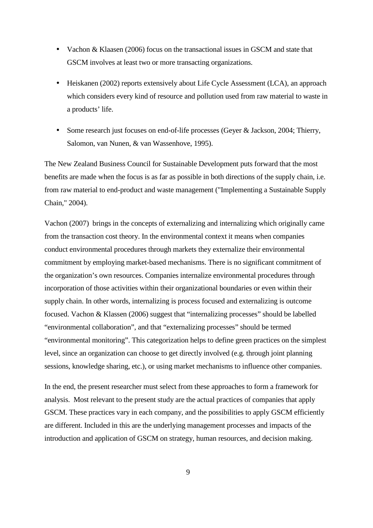- Vachon & Klaasen (2006) focus on the transactional issues in GSCM and state that GSCM involves at least two or more transacting organizations.
- Heiskanen (2002) reports extensively about Life Cycle Assessment (LCA), an approach which considers every kind of resource and pollution used from raw material to waste in a products' life.
- Some research just focuses on end-of-life processes (Geyer & Jackson, 2004; Thierry, Salomon, van Nunen, & van Wassenhove, 1995).

The New Zealand Business Council for Sustainable Development puts forward that the most benefits are made when the focus is as far as possible in both directions of the supply chain, i.e. from raw material to end-product and waste management ("Implementing a Sustainable Supply Chain," 2004).

Vachon (2007) brings in the concepts of externalizing and internalizing which originally came from the transaction cost theory. In the environmental context it means when companies conduct environmental procedures through markets they externalize their environmental commitment by employing market-based mechanisms. There is no significant commitment of the organization's own resources. Companies internalize environmental procedures through incorporation of those activities within their organizational boundaries or even within their supply chain. In other words, internalizing is process focused and externalizing is outcome focused. Vachon & Klassen (2006) suggest that "internalizing processes" should be labelled "environmental collaboration", and that "externalizing processes" should be termed "environmental monitoring". This categorization helps to define green practices on the simplest level, since an organization can choose to get directly involved (e.g. through joint planning sessions, knowledge sharing, etc.), or using market mechanisms to influence other companies.

In the end, the present researcher must select from these approaches to form a framework for analysis. Most relevant to the present study are the actual practices of companies that apply GSCM. These practices vary in each company, and the possibilities to apply GSCM efficiently are different. Included in this are the underlying management processes and impacts of the introduction and application of GSCM on strategy, human resources, and decision making.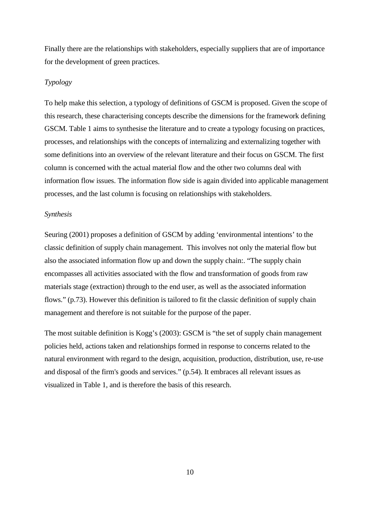Finally there are the relationships with stakeholders, especially suppliers that are of importance for the development of green practices.

#### *Typology*

To help make this selection, a typology of definitions of GSCM is proposed. Given the scope of this research, these characterising concepts describe the dimensions for the framework defining GSCM. Table 1 aims to synthesise the literature and to create a typology focusing on practices, processes, and relationships with the concepts of internalizing and externalizing together with some definitions into an overview of the relevant literature and their focus on GSCM. The first column is concerned with the actual material flow and the other two columns deal with information flow issues. The information flow side is again divided into applicable management processes, and the last column is focusing on relationships with stakeholders.

#### *Synthesis*

Seuring (2001) proposes a definition of GSCM by adding 'environmental intentions' to the classic definition of supply chain management. This involves not only the material flow but also the associated information flow up and down the supply chain:. "The supply chain encompasses all activities associated with the flow and transformation of goods from raw materials stage (extraction) through to the end user, as well as the associated information flows." (p.73). However this definition is tailored to fit the classic definition of supply chain management and therefore is not suitable for the purpose of the paper.

The most suitable definition is Kogg's (2003): GSCM is "the set of supply chain management policies held, actions taken and relationships formed in response to concerns related to the natural environment with regard to the design, acquisition, production, distribution, use, re-use and disposal of the firm's goods and services." (p.54). It embraces all relevant issues as visualized in Table 1, and is therefore the basis of this research.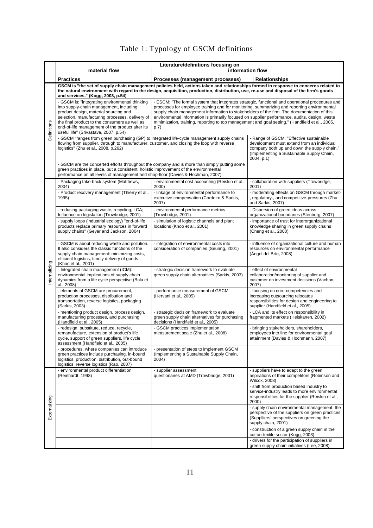# Table 1: Typology of GSCM definitions

|               | Literature/definitions focusing on<br>material flow<br>information flow                                                                                                                                                                                                                                                            |                                                                                                                                                                                                                                                                                                                                                                                                                                                                                                          |                                                                                                                                                                                                 |
|---------------|------------------------------------------------------------------------------------------------------------------------------------------------------------------------------------------------------------------------------------------------------------------------------------------------------------------------------------|----------------------------------------------------------------------------------------------------------------------------------------------------------------------------------------------------------------------------------------------------------------------------------------------------------------------------------------------------------------------------------------------------------------------------------------------------------------------------------------------------------|-------------------------------------------------------------------------------------------------------------------------------------------------------------------------------------------------|
|               | <b>Practices</b>                                                                                                                                                                                                                                                                                                                   | Processes (management processes)<br><b>Relationships</b>                                                                                                                                                                                                                                                                                                                                                                                                                                                 |                                                                                                                                                                                                 |
|               |                                                                                                                                                                                                                                                                                                                                    | GSCM is "the set of supply chain management policies held, actions taken and relationships formed in response to concerns related to                                                                                                                                                                                                                                                                                                                                                                     |                                                                                                                                                                                                 |
|               | and services." (Kogg, 2003, p.54)                                                                                                                                                                                                                                                                                                  | the natural environment with regard to the design, acquisition, production, distribution, use, re-use and disposal of the firm's goods                                                                                                                                                                                                                                                                                                                                                                   |                                                                                                                                                                                                 |
| Definitions   | - GSCM is: "integrating environmental thinking<br>into supply-chain management, including<br>product design, material sourcing and<br>selection, manufacturing processes, delivery of<br>the final product to the consumers as well as<br>end-of-life management of the product after its<br>useful life" (Srivastava, 2007, p.54) | - ESCM: "The formal system that integrates strategic, functional and operational procedures and<br>processes for employee training and for monitoring, summarizing and reporting environmental<br>supply chain management information to stakeholders of the firm. The documentation of this<br>environmental information is primarily focused on supplier performance, audits, design, waste<br>minimization, training, reporting to top management and goal setting." (Handfield et al., 2005,<br>p.7) |                                                                                                                                                                                                 |
|               | - GSCM "ranges from green purchasing (GP) to integrated life-cycle management supply chains<br>flowing from supplier, through to manufacturer, customer, and closing the loop with reverse<br>logistics" (Zhu et al., 2008, p.262)                                                                                                 |                                                                                                                                                                                                                                                                                                                                                                                                                                                                                                          | - Range of GSCM: "Effective sustainable<br>development must extend from an individual<br>company both up and down the supply chain."<br>(Implementing a Sustainable Supply Chain,<br>2004, p.1) |
|               | green practices in place, but a consistent, holistic improvement of the environmental<br>performance on all levels of management and shop-floor (Davies & Hochman, 2007).                                                                                                                                                          | - GSCM are the concerted efforts throughout the company and is more than simply putting some                                                                                                                                                                                                                                                                                                                                                                                                             |                                                                                                                                                                                                 |
|               | - Packaging take-back system (Matthews,<br>2004)                                                                                                                                                                                                                                                                                   | - environmental cost accounting (Reiskin et al.,<br>2000)                                                                                                                                                                                                                                                                                                                                                                                                                                                | - collaboration with suppliers (Trowbridge,<br>2001)                                                                                                                                            |
|               | - Product recovery management (Thierry et al.,<br>1995)                                                                                                                                                                                                                                                                            | - linkage of environmental performance to<br>executive compensation (Cordeiro & Sarkis,<br>2007)                                                                                                                                                                                                                                                                                                                                                                                                         | - moderating effects on GSCM through market-<br>, regulatory-, and competitive-pressures (Zhu<br>and Sarkis, 2007)                                                                              |
|               | - reducing packaging waste; recycling; LCA;<br>Influence on legislation (Trowbridge, 2001)                                                                                                                                                                                                                                         | - environmental performance metrics<br>(Trowbridge, 2001)                                                                                                                                                                                                                                                                                                                                                                                                                                                | - Dispersion of green ideas across<br>organizational boundaries (Stenberg, 2007)                                                                                                                |
| nternalizing  | - supply loops (industrial ecology) "end-of-life<br>products replace primary resources in forward<br>supply chains" (Geyer and Jackson, 2004)                                                                                                                                                                                      | - simulation of logistic channels and plant<br>locations (Khoo et al., 2001)                                                                                                                                                                                                                                                                                                                                                                                                                             | - importance of trust for interorganizational<br>knowledge sharing in green supply chains<br>(Cheng et al., 2008)                                                                               |
|               | - GSCM is about reducing waste and pollution.<br>It also considers the classic functions of the<br>supply chain management: minimizing costs,<br>efficient logistics, timely delivery of goods<br>(Khoo et al., 2001)                                                                                                              | - integration of environmental costs into<br>consideration of companies (Seuring, 2001)                                                                                                                                                                                                                                                                                                                                                                                                                  | - influence of organizational culture and human<br>resources on environmental performance<br>(Angel del Brío, 2008)                                                                             |
|               | - Integrated chain management (ICM):<br>environmental implications of supply chain<br>dynamics from a life cycle perspective (Bala et<br>al., 2008)                                                                                                                                                                                | - strategic decision framework to evaluate<br>green supply chain alternatives (Sarkis, 2003)                                                                                                                                                                                                                                                                                                                                                                                                             | - effect of environmental<br>collaboration/monitoring of supplier and<br>customer on investment decisions (Vachon,<br>2007)                                                                     |
|               | - elements of GSCM are procurement,<br>production processes, distribution and<br>transportation, reverse logistics, packaging<br>(Sarkis, 2003)                                                                                                                                                                                    | - performance measurement of GSCM<br>(Hervani et al., 2005)                                                                                                                                                                                                                                                                                                                                                                                                                                              | - focusing on core-competencies and<br>increasing outsourcing relocates<br>responsibilities for design and engineering to<br>supplier (Handfield et al., 2005)                                  |
|               | - mentioning product design, process design,<br>manufacturing processes, and purchasing<br>(Handfield et al., 2005)                                                                                                                                                                                                                | - strategic decision framework to evaluate<br>green supply chain alternatives for purchasing<br>decisions (Handfield et al., 2005)                                                                                                                                                                                                                                                                                                                                                                       | - LCA and its effect on responsibility in<br>fragmented markets (Heiskanen, 2002)                                                                                                               |
|               | - redesign, substitute, reduce, recycle,<br>remanufacture, extension of product's life<br>cycle, support of green suppliers, life cycle<br>assessment (Handfield et al., 2005)                                                                                                                                                     | - GSCM practices implementation<br>measurement scale (Zhu et al., 2008)                                                                                                                                                                                                                                                                                                                                                                                                                                  | - bringing stakeholders, shareholders,<br>employees into line for environmental goal<br>attainment (Davies & Hochmann, 2007)                                                                    |
|               | - procedures, where companies can introduce<br>green practices include purchasing, in-bound<br>logistics, production, distribution, out-bound<br>logistics, reverse logistics (Rao, 2007)                                                                                                                                          | - presentation of steps to implement GSCM<br>(Implementing a Sustainable Supply Chain,<br>2004)                                                                                                                                                                                                                                                                                                                                                                                                          |                                                                                                                                                                                                 |
| Externalizing | - environmental product differentiation<br>(Reinhardt, 1998)                                                                                                                                                                                                                                                                       | - supplier assessment<br>questionaires at AMD (Trowbridge, 2001)                                                                                                                                                                                                                                                                                                                                                                                                                                         | - suppliers have to adapt to the green<br>aspirations of their competitors (Robinson and<br>Wilcox, 2008)                                                                                       |
|               |                                                                                                                                                                                                                                                                                                                                    |                                                                                                                                                                                                                                                                                                                                                                                                                                                                                                          | - shift from production based industry to<br>service-industry leads to more environmental<br>responsibilities for the supplier (Reiskin et al.,<br>2000)                                        |
|               |                                                                                                                                                                                                                                                                                                                                    |                                                                                                                                                                                                                                                                                                                                                                                                                                                                                                          | - supply chain environmental management: the<br>perspective of the suppliers on green practices<br>(Supplliers' perspectives on greening the<br>supply chain, 2001)                             |
|               |                                                                                                                                                                                                                                                                                                                                    |                                                                                                                                                                                                                                                                                                                                                                                                                                                                                                          | - construction of a green supply chain in the<br>cotton-textile sector (Kogg, 2003)                                                                                                             |
|               |                                                                                                                                                                                                                                                                                                                                    |                                                                                                                                                                                                                                                                                                                                                                                                                                                                                                          | - drivers for the participation of suppliers in<br>green supply chain initiatives (Lee, 2008)                                                                                                   |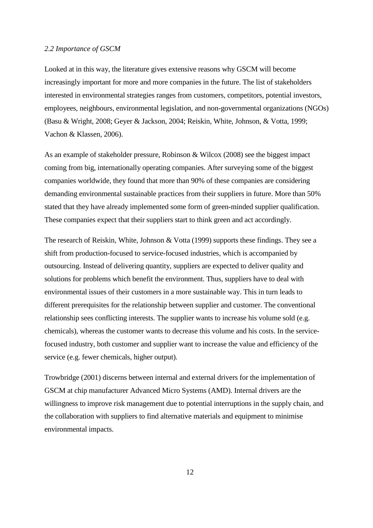#### *2.2 Importance of GSCM*

Looked at in this way, the literature gives extensive reasons why GSCM will become increasingly important for more and more companies in the future. The list of stakeholders interested in environmental strategies ranges from customers, competitors, potential investors, employees, neighbours, environmental legislation, and non-governmental organizations (NGOs) (Basu & Wright, 2008; Geyer & Jackson, 2004; Reiskin, White, Johnson, & Votta, 1999; Vachon & Klassen, 2006).

As an example of stakeholder pressure, Robinson & Wilcox (2008) see the biggest impact coming from big, internationally operating companies. After surveying some of the biggest companies worldwide, they found that more than 90% of these companies are considering demanding environmental sustainable practices from their suppliers in future. More than 50% stated that they have already implemented some form of green-minded supplier qualification. These companies expect that their suppliers start to think green and act accordingly.

The research of Reiskin, White, Johnson & Votta (1999) supports these findings. They see a shift from production-focused to service-focused industries, which is accompanied by outsourcing. Instead of delivering quantity, suppliers are expected to deliver quality and solutions for problems which benefit the environment. Thus, suppliers have to deal with environmental issues of their customers in a more sustainable way. This in turn leads to different prerequisites for the relationship between supplier and customer. The conventional relationship sees conflicting interests. The supplier wants to increase his volume sold (e.g. chemicals), whereas the customer wants to decrease this volume and his costs. In the servicefocused industry, both customer and supplier want to increase the value and efficiency of the service (e.g. fewer chemicals, higher output).

Trowbridge (2001) discerns between internal and external drivers for the implementation of GSCM at chip manufacturer Advanced Micro Systems (AMD). Internal drivers are the willingness to improve risk management due to potential interruptions in the supply chain, and the collaboration with suppliers to find alternative materials and equipment to minimise environmental impacts.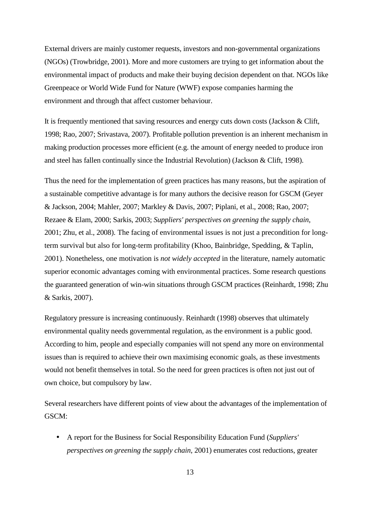External drivers are mainly customer requests, investors and non-governmental organizations (NGOs) (Trowbridge, 2001). More and more customers are trying to get information about the environmental impact of products and make their buying decision dependent on that. NGOs like Greenpeace or World Wide Fund for Nature (WWF) expose companies harming the environment and through that affect customer behaviour.

It is frequently mentioned that saving resources and energy cuts down costs (Jackson & Clift, 1998; Rao, 2007; Srivastava, 2007). Profitable pollution prevention is an inherent mechanism in making production processes more efficient (e.g. the amount of energy needed to produce iron and steel has fallen continually since the Industrial Revolution) (Jackson & Clift, 1998).

Thus the need for the implementation of green practices has many reasons, but the aspiration of a sustainable competitive advantage is for many authors the decisive reason for GSCM (Geyer & Jackson, 2004; Mahler, 2007; Markley & Davis, 2007; Piplani, et al., 2008; Rao, 2007; Rezaee & Elam, 2000; Sarkis, 2003; *Suppliers' perspectives on greening the supply chain*, 2001; Zhu, et al., 2008). The facing of environmental issues is not just a precondition for longterm survival but also for long-term profitability (Khoo, Bainbridge, Spedding, & Taplin, 2001). Nonetheless, one motivation is *not widely accepted* in the literature, namely automatic superior economic advantages coming with environmental practices. Some research questions the guaranteed generation of win-win situations through GSCM practices (Reinhardt, 1998; Zhu & Sarkis, 2007).

Regulatory pressure is increasing continuously. Reinhardt (1998) observes that ultimately environmental quality needs governmental regulation, as the environment is a public good. According to him, people and especially companies will not spend any more on environmental issues than is required to achieve their own maximising economic goals, as these investments would not benefit themselves in total. So the need for green practices is often not just out of own choice, but compulsory by law.

Several researchers have different points of view about the advantages of the implementation of GSCM:

• A report for the Business for Social Responsibility Education Fund (*Suppliers' perspectives on greening the supply chain*, 2001) enumerates cost reductions, greater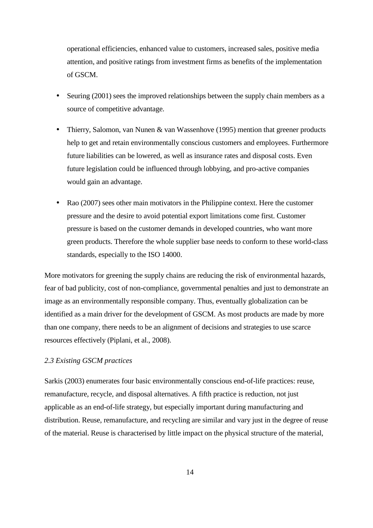operational efficiencies, enhanced value to customers, increased sales, positive media attention, and positive ratings from investment firms as benefits of the implementation of GSCM.

- Seuring (2001) sees the improved relationships between the supply chain members as a source of competitive advantage.
- Thierry, Salomon, van Nunen & van Wassenhove (1995) mention that greener products help to get and retain environmentally conscious customers and employees. Furthermore future liabilities can be lowered, as well as insurance rates and disposal costs. Even future legislation could be influenced through lobbying, and pro-active companies would gain an advantage.
- Rao (2007) sees other main motivators in the Philippine context. Here the customer pressure and the desire to avoid potential export limitations come first. Customer pressure is based on the customer demands in developed countries, who want more green products. Therefore the whole supplier base needs to conform to these world-class standards, especially to the ISO 14000.

More motivators for greening the supply chains are reducing the risk of environmental hazards, fear of bad publicity, cost of non-compliance, governmental penalties and just to demonstrate an image as an environmentally responsible company. Thus, eventually globalization can be identified as a main driver for the development of GSCM. As most products are made by more than one company, there needs to be an alignment of decisions and strategies to use scarce resources effectively (Piplani, et al., 2008).

#### *2.3 Existing GSCM practices*

Sarkis (2003) enumerates four basic environmentally conscious end-of-life practices: reuse, remanufacture, recycle, and disposal alternatives. A fifth practice is reduction, not just applicable as an end-of-life strategy, but especially important during manufacturing and distribution. Reuse, remanufacture, and recycling are similar and vary just in the degree of reuse of the material. Reuse is characterised by little impact on the physical structure of the material,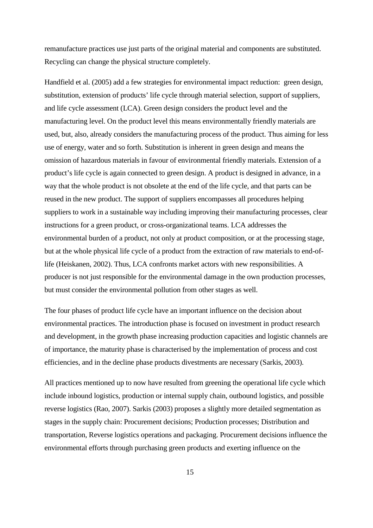remanufacture practices use just parts of the original material and components are substituted. Recycling can change the physical structure completely.

Handfield et al. (2005) add a few strategies for environmental impact reduction: green design, substitution, extension of products' life cycle through material selection, support of suppliers, and life cycle assessment (LCA). Green design considers the product level and the manufacturing level. On the product level this means environmentally friendly materials are used, but, also, already considers the manufacturing process of the product. Thus aiming for less use of energy, water and so forth. Substitution is inherent in green design and means the omission of hazardous materials in favour of environmental friendly materials. Extension of a product's life cycle is again connected to green design. A product is designed in advance, in a way that the whole product is not obsolete at the end of the life cycle, and that parts can be reused in the new product. The support of suppliers encompasses all procedures helping suppliers to work in a sustainable way including improving their manufacturing processes, clear instructions for a green product, or cross-organizational teams. LCA addresses the environmental burden of a product, not only at product composition, or at the processing stage, but at the whole physical life cycle of a product from the extraction of raw materials to end-oflife (Heiskanen, 2002). Thus, LCA confronts market actors with new responsibilities. A producer is not just responsible for the environmental damage in the own production processes, but must consider the environmental pollution from other stages as well.

The four phases of product life cycle have an important influence on the decision about environmental practices. The introduction phase is focused on investment in product research and development, in the growth phase increasing production capacities and logistic channels are of importance, the maturity phase is characterised by the implementation of process and cost efficiencies, and in the decline phase products divestments are necessary (Sarkis, 2003).

All practices mentioned up to now have resulted from greening the operational life cycle which include inbound logistics, production or internal supply chain, outbound logistics, and possible reverse logistics (Rao, 2007). Sarkis (2003) proposes a slightly more detailed segmentation as stages in the supply chain: Procurement decisions; Production processes; Distribution and transportation, Reverse logistics operations and packaging. Procurement decisions influence the environmental efforts through purchasing green products and exerting influence on the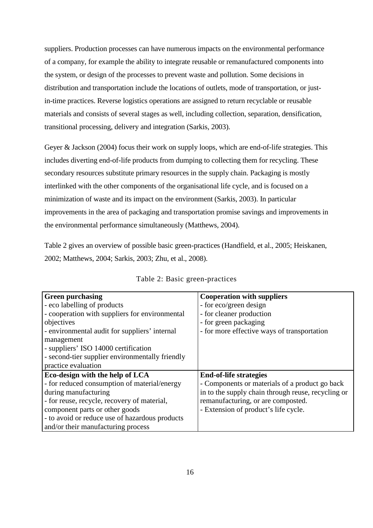suppliers. Production processes can have numerous impacts on the environmental performance of a company, for example the ability to integrate reusable or remanufactured components into the system, or design of the processes to prevent waste and pollution. Some decisions in distribution and transportation include the locations of outlets, mode of transportation, or justin-time practices. Reverse logistics operations are assigned to return recyclable or reusable materials and consists of several stages as well, including collection, separation, densification, transitional processing, delivery and integration (Sarkis, 2003).

Geyer & Jackson (2004) focus their work on supply loops, which are end-of-life strategies. This includes diverting end-of-life products from dumping to collecting them for recycling. These secondary resources substitute primary resources in the supply chain. Packaging is mostly interlinked with the other components of the organisational life cycle, and is focused on a minimization of waste and its impact on the environment (Sarkis, 2003). In particular improvements in the area of packaging and transportation promise savings and improvements in the environmental performance simultaneously (Matthews, 2004).

Table 2 gives an overview of possible basic green-practices (Handfield, et al., 2005; Heiskanen, 2002; Matthews, 2004; Sarkis, 2003; Zhu, et al., 2008).

| <b>Green purchasing</b>                         | <b>Cooperation with suppliers</b>                  |  |
|-------------------------------------------------|----------------------------------------------------|--|
| - eco labelling of products                     | - for eco/green design                             |  |
| - cooperation with suppliers for environmental  | - for cleaner production                           |  |
| objectives                                      | - for green packaging                              |  |
| - environmental audit for suppliers' internal   | - for more effective ways of transportation        |  |
| management                                      |                                                    |  |
| - suppliers' ISO 14000 certification            |                                                    |  |
| - second-tier supplier environmentally friendly |                                                    |  |
| practice evaluation                             |                                                    |  |
| Eco-design with the help of LCA                 | <b>End-of-life strategies</b>                      |  |
| - for reduced consumption of material/energy    | - Components or materials of a product go back     |  |
| during manufacturing                            | in to the supply chain through reuse, recycling or |  |
| - for reuse, recycle, recovery of material,     | remanufacturing, or are composted.                 |  |
| component parts or other goods                  | - Extension of product's life cycle.               |  |
| - to avoid or reduce use of hazardous products  |                                                    |  |
| and/or their manufacturing process              |                                                    |  |

|  | Table 2: Basic green-practices |
|--|--------------------------------|
|--|--------------------------------|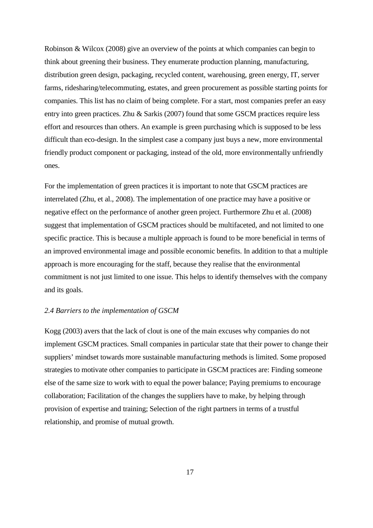Robinson & Wilcox (2008) give an overview of the points at which companies can begin to think about greening their business. They enumerate production planning, manufacturing, distribution green design, packaging, recycled content, warehousing, green energy, IT, server farms, ridesharing/telecommuting, estates, and green procurement as possible starting points for companies. This list has no claim of being complete. For a start, most companies prefer an easy entry into green practices. Zhu & Sarkis (2007) found that some GSCM practices require less effort and resources than others. An example is green purchasing which is supposed to be less difficult than eco-design. In the simplest case a company just buys a new, more environmental friendly product component or packaging, instead of the old, more environmentally unfriendly ones.

For the implementation of green practices it is important to note that GSCM practices are interrelated (Zhu, et al., 2008). The implementation of one practice may have a positive or negative effect on the performance of another green project. Furthermore Zhu et al. (2008) suggest that implementation of GSCM practices should be multifaceted, and not limited to one specific practice. This is because a multiple approach is found to be more beneficial in terms of an improved environmental image and possible economic benefits. In addition to that a multiple approach is more encouraging for the staff, because they realise that the environmental commitment is not just limited to one issue. This helps to identify themselves with the company and its goals.

#### *2.4 Barriers to the implementation of GSCM*

Kogg (2003) avers that the lack of clout is one of the main excuses why companies do not implement GSCM practices. Small companies in particular state that their power to change their suppliers' mindset towards more sustainable manufacturing methods is limited. Some proposed strategies to motivate other companies to participate in GSCM practices are: Finding someone else of the same size to work with to equal the power balance; Paying premiums to encourage collaboration; Facilitation of the changes the suppliers have to make, by helping through provision of expertise and training; Selection of the right partners in terms of a trustful relationship, and promise of mutual growth.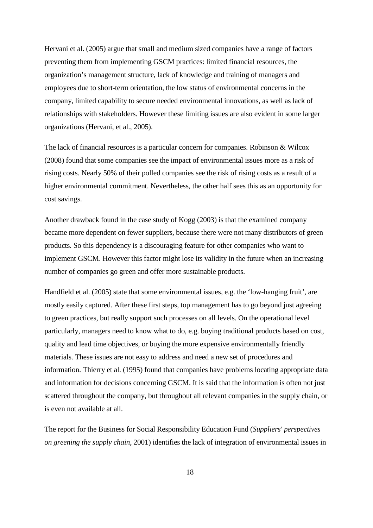Hervani et al. (2005) argue that small and medium sized companies have a range of factors preventing them from implementing GSCM practices: limited financial resources, the organization's management structure, lack of knowledge and training of managers and employees due to short-term orientation, the low status of environmental concerns in the company, limited capability to secure needed environmental innovations, as well as lack of relationships with stakeholders. However these limiting issues are also evident in some larger organizations (Hervani, et al., 2005).

The lack of financial resources is a particular concern for companies. Robinson & Wilcox (2008) found that some companies see the impact of environmental issues more as a risk of rising costs. Nearly 50% of their polled companies see the risk of rising costs as a result of a higher environmental commitment. Nevertheless, the other half sees this as an opportunity for cost savings.

Another drawback found in the case study of Kogg (2003) is that the examined company became more dependent on fewer suppliers, because there were not many distributors of green products. So this dependency is a discouraging feature for other companies who want to implement GSCM. However this factor might lose its validity in the future when an increasing number of companies go green and offer more sustainable products.

Handfield et al. (2005) state that some environmental issues, e.g. the 'low-hanging fruit', are mostly easily captured. After these first steps, top management has to go beyond just agreeing to green practices, but really support such processes on all levels. On the operational level particularly, managers need to know what to do, e.g. buying traditional products based on cost, quality and lead time objectives, or buying the more expensive environmentally friendly materials. These issues are not easy to address and need a new set of procedures and information. Thierry et al. (1995) found that companies have problems locating appropriate data and information for decisions concerning GSCM. It is said that the information is often not just scattered throughout the company, but throughout all relevant companies in the supply chain, or is even not available at all.

The report for the Business for Social Responsibility Education Fund (*Suppliers' perspectives on greening the supply chain*, 2001) identifies the lack of integration of environmental issues in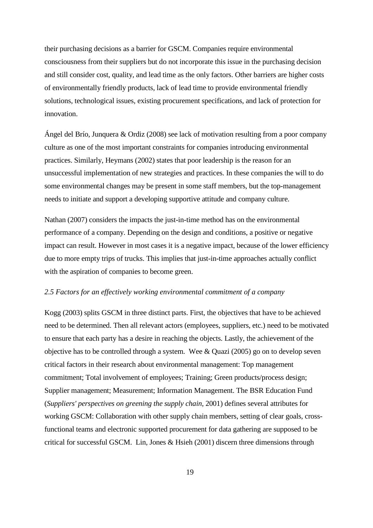their purchasing decisions as a barrier for GSCM. Companies require environmental consciousness from their suppliers but do not incorporate this issue in the purchasing decision and still consider cost, quality, and lead time as the only factors. Other barriers are higher costs of environmentally friendly products, lack of lead time to provide environmental friendly solutions, technological issues, existing procurement specifications, and lack of protection for innovation.

Ángel del Brío, Junquera & Ordiz (2008) see lack of motivation resulting from a poor company culture as one of the most important constraints for companies introducing environmental practices. Similarly, Heymans (2002) states that poor leadership is the reason for an unsuccessful implementation of new strategies and practices. In these companies the will to do some environmental changes may be present in some staff members, but the top-management needs to initiate and support a developing supportive attitude and company culture.

Nathan (2007) considers the impacts the just-in-time method has on the environmental performance of a company. Depending on the design and conditions, a positive or negative impact can result. However in most cases it is a negative impact, because of the lower efficiency due to more empty trips of trucks. This implies that just-in-time approaches actually conflict with the aspiration of companies to become green.

#### *2.5 Factors for an effectively working environmental commitment of a company*

Kogg (2003) splits GSCM in three distinct parts. First, the objectives that have to be achieved need to be determined. Then all relevant actors (employees, suppliers, etc.) need to be motivated to ensure that each party has a desire in reaching the objects. Lastly, the achievement of the objective has to be controlled through a system. Wee & Quazi (2005) go on to develop seven critical factors in their research about environmental management: Top management commitment; Total involvement of employees; Training; Green products/process design; Supplier management; Measurement; Information Management. The BSR Education Fund (*Suppliers' perspectives on greening the supply chain*, 2001) defines several attributes for working GSCM: Collaboration with other supply chain members, setting of clear goals, crossfunctional teams and electronic supported procurement for data gathering are supposed to be critical for successful GSCM. Lin, Jones & Hsieh (2001) discern three dimensions through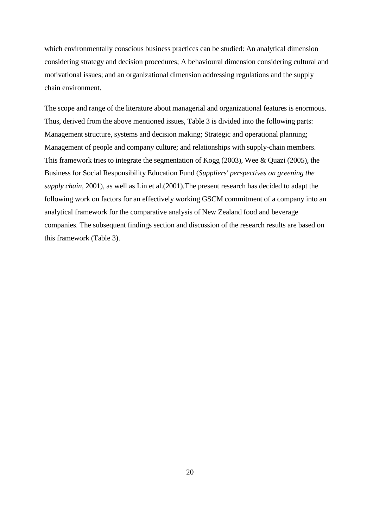which environmentally conscious business practices can be studied: An analytical dimension considering strategy and decision procedures; A behavioural dimension considering cultural and motivational issues; and an organizational dimension addressing regulations and the supply chain environment.

The scope and range of the literature about managerial and organizational features is enormous. Thus, derived from the above mentioned issues, Table 3 is divided into the following parts: Management structure, systems and decision making; Strategic and operational planning; Management of people and company culture; and relationships with supply-chain members. This framework tries to integrate the segmentation of Kogg (2003), Wee & Quazi (2005), the Business for Social Responsibility Education Fund (*Suppliers' perspectives on greening the supply chain*, 2001), as well as Lin et al.(2001).The present research has decided to adapt the following work on factors for an effectively working GSCM commitment of a company into an analytical framework for the comparative analysis of New Zealand food and beverage companies. The subsequent findings section and discussion of the research results are based on this framework (Table 3).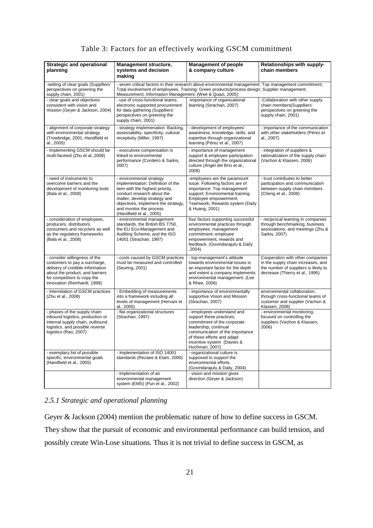## Table 3: Factors for an effectively working GSCM commitment

| <b>Strategic and operational</b><br>planning                                                                                                                                                         | Management structure,<br>systems and decision<br>making                                                                                                                                                                                                            | <b>Management of people</b><br>& company culture                                                                                                                                                                                | <b>Relationships with supply-</b><br>chain members                                                                                                |
|------------------------------------------------------------------------------------------------------------------------------------------------------------------------------------------------------|--------------------------------------------------------------------------------------------------------------------------------------------------------------------------------------------------------------------------------------------------------------------|---------------------------------------------------------------------------------------------------------------------------------------------------------------------------------------------------------------------------------|---------------------------------------------------------------------------------------------------------------------------------------------------|
| -setting of clear goals (Supplliers'<br>perspectives on greening the<br>supply chain, 2001)                                                                                                          | - seven critical factors in their research about environmental management: Top management commitment;<br>Total involvement of employees, Training; Green products/process design; Supplier management;<br>Measurement; Information Management. (Wee & Quazi, 2005) |                                                                                                                                                                                                                                 |                                                                                                                                                   |
| - clear goals and objectives<br>consistent with vision and<br>mission (Geyer & Jackson, 2004)                                                                                                        | - use of cross-functional teams:<br>electronic supported procurement<br>for data gathering (Supplliers'<br>perspectives on greening the<br>supply chain, 2001)                                                                                                     | -importance of organizational<br>learning (Strachan, 2007)                                                                                                                                                                      | -Collaboration with other supply<br>chain members(Supplliers'<br>perspectives on greening the<br>supply chain, 2001)                              |
| - alignment of corporate strategy<br>with environmental strategy<br>(Trowbridge, 2001; Handfield et<br>al., 2005)                                                                                    | - strategy implemenation: Backing,<br>assessability, specificity, cultural<br>receptivity (Miller, 1997)                                                                                                                                                           | - development of employees'<br>awareness, knowledge, skills, and<br>expertise through organizational<br>learning (Pérez et al., 2007)                                                                                           | - importance of the communication<br>with other stakeholders (Pérez et<br>al., 2007)                                                              |
| - implementing GSCM should be<br>multi-faceted (Zhu et al., 2008)                                                                                                                                    | - executives compensation is<br>linked to environmental<br>performance (Cordeiro & Sarkis,<br>2007)                                                                                                                                                                | - importance of management<br>support & employee participation<br>directed through the organizational<br>culture (Angel del Brío et al.,<br>2008)                                                                               | - integration of suppliers &<br>rationalization of the supply chain<br>(Vachon & Klassen, 2006)                                                   |
| - need of instruments to<br>overcome barriers and the<br>development of monitoring tools<br>(Bala et al., 2008)                                                                                      | - environmental strategy<br>implementation: Definition of the<br>item with the highest priority,<br>conduct research about the<br>matter, develop strategy and<br>objectives, implement the strategy,<br>and monitor the process<br>(Handfield et al., 2005)       | -employees are the paramount<br>issue. Following factors are of<br>importance: Top management<br>support; Environmental training;<br>Employee empowerment;<br>Teamwork; Rewards system (Daily<br>& Huang, 2001)                 | - trust contributes to better<br>participation and communication<br>between supply chain members<br>(Cheng et al., 2008)                          |
| - consideration of employees,<br>producers, distributors,<br>consumers and recyclers as well<br>as the regulatory frameworks<br>(Bala et al., 2008)                                                  | - environmental management<br>standards, the British BS 7750,<br>the EU Eco-Management and<br>Auditing Scheme, and the ISO<br>14001 (Strachan, 1997)                                                                                                               | four factors supporting successful<br>environmental practices through<br>employees: management<br>commitment; employee<br>empowerment, rewards and<br>feedback. (Govindarajulu & Daily<br>,2004)                                | - reciprocal learning in companies<br>through benchmarking, business<br>associations, and meetings (Zhu &<br>Sarkis, 2007)                        |
| - consider willingness of the<br>customers to pay a surcharge,<br>delivery of credible information<br>about the product, and barriers<br>for competitors to copy the<br>innovation (Reinhardt, 1998) | - costs caused by GSCM practices<br>must be measured and controlled<br>(Seuring, 2001)                                                                                                                                                                             | - top-management's attitude<br>towards environmental issues is<br>an important factor for the depth<br>and extent a company implements<br>environmental management. (Lee<br>& Rhee, 2006)                                       | Cooperation with other companies<br>in the supply chain increases, and<br>the number of suppliers is likely to<br>decrease (Thierry et al., 1995) |
| - Interrelation of GSCM practices<br>(Zhu et al., 2008)                                                                                                                                              | - Embedding of measurements<br>into a framework including all<br>levels of management (Hervani et<br>al., 2005)                                                                                                                                                    | - importance of environmentally<br>supportive Vision and Mission<br>(Strachan, 2007)                                                                                                                                            | environmental collaboration,<br>through cross-functional teams of<br>customer and supplier (Vachon &<br>Klassen, 2006)                            |
| - phases of the supply chain:<br>inbound logistics, production or<br>internal supply chain, outbound<br>logistics, and possible reverse<br>logistics (Rao, 2007)                                     | - flat organizational structures<br>(Strachan, 1997)                                                                                                                                                                                                               | - employees understand and<br>support these practices;<br>commitment of the corporate<br>leadership; continual<br>communication of the importance<br>of these efforts and adapt<br>incentive system (Davies &<br>Hochman, 2007) | - environmental monitoring,<br>focused on controlling the<br>suppliers (Vachon & Klassen,<br>2006)                                                |
| - exemplary list of possible<br>specific, environmental goals<br>(Handfield et al., 2005)                                                                                                            | - Implementation of ISO 14001<br>standards (Rezaee & Elam, 2000)                                                                                                                                                                                                   | - organizational culture is<br>supposed to support the<br>environmental efforts<br>(Govindarajulu & Daily, 2004)                                                                                                                |                                                                                                                                                   |
|                                                                                                                                                                                                      | - implementation of an<br>environmental management<br>system (EMS) (Pun et al., 2002)                                                                                                                                                                              | - vision and mission gives<br>direction (Geyer & Jackson)                                                                                                                                                                       |                                                                                                                                                   |

### *2.5.1 Strategic and operational planning*

Geyer & Jackson (2004) mention the problematic nature of how to define success in GSCM. They show that the pursuit of economic and environmental performance can build tension, and possibly create Win-Lose situations. Thus it is not trivial to define success in GSCM, as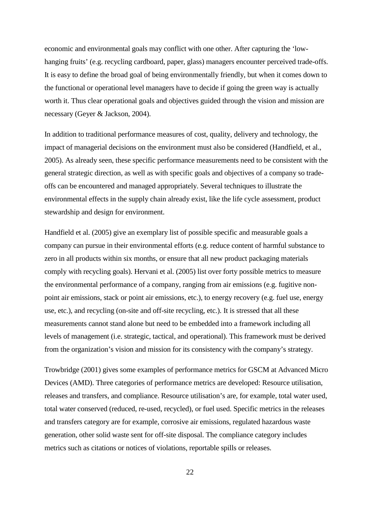economic and environmental goals may conflict with one other. After capturing the 'lowhanging fruits' (e.g. recycling cardboard, paper, glass) managers encounter perceived trade-offs. It is easy to define the broad goal of being environmentally friendly, but when it comes down to the functional or operational level managers have to decide if going the green way is actually worth it. Thus clear operational goals and objectives guided through the vision and mission are necessary (Geyer & Jackson, 2004).

In addition to traditional performance measures of cost, quality, delivery and technology, the impact of managerial decisions on the environment must also be considered (Handfield, et al., 2005). As already seen, these specific performance measurements need to be consistent with the general strategic direction, as well as with specific goals and objectives of a company so tradeoffs can be encountered and managed appropriately. Several techniques to illustrate the environmental effects in the supply chain already exist, like the life cycle assessment, product stewardship and design for environment.

Handfield et al. (2005) give an exemplary list of possible specific and measurable goals a company can pursue in their environmental efforts (e.g. reduce content of harmful substance to zero in all products within six months, or ensure that all new product packaging materials comply with recycling goals). Hervani et al. (2005) list over forty possible metrics to measure the environmental performance of a company, ranging from air emissions (e.g. fugitive nonpoint air emissions, stack or point air emissions, etc.), to energy recovery (e.g. fuel use, energy use, etc.), and recycling (on-site and off-site recycling, etc.). It is stressed that all these measurements cannot stand alone but need to be embedded into a framework including all levels of management (i.e. strategic, tactical, and operational). This framework must be derived from the organization's vision and mission for its consistency with the company's strategy.

Trowbridge (2001) gives some examples of performance metrics for GSCM at Advanced Micro Devices (AMD). Three categories of performance metrics are developed: Resource utilisation, releases and transfers, and compliance. Resource utilisation's are, for example, total water used, total water conserved (reduced, re-used, recycled), or fuel used. Specific metrics in the releases and transfers category are for example, corrosive air emissions, regulated hazardous waste generation, other solid waste sent for off-site disposal. The compliance category includes metrics such as citations or notices of violations, reportable spills or releases.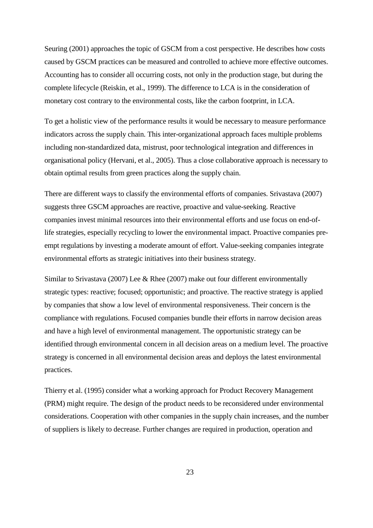Seuring (2001) approaches the topic of GSCM from a cost perspective. He describes how costs caused by GSCM practices can be measured and controlled to achieve more effective outcomes. Accounting has to consider all occurring costs, not only in the production stage, but during the complete lifecycle (Reiskin, et al., 1999). The difference to LCA is in the consideration of monetary cost contrary to the environmental costs, like the carbon footprint, in LCA.

To get a holistic view of the performance results it would be necessary to measure performance indicators across the supply chain. This inter-organizational approach faces multiple problems including non-standardized data, mistrust, poor technological integration and differences in organisational policy (Hervani, et al., 2005). Thus a close collaborative approach is necessary to obtain optimal results from green practices along the supply chain.

There are different ways to classify the environmental efforts of companies. Srivastava (2007) suggests three GSCM approaches are reactive, proactive and value-seeking. Reactive companies invest minimal resources into their environmental efforts and use focus on end-oflife strategies, especially recycling to lower the environmental impact. Proactive companies preempt regulations by investing a moderate amount of effort. Value-seeking companies integrate environmental efforts as strategic initiatives into their business strategy.

Similar to Srivastava (2007) Lee & Rhee (2007) make out four different environmentally strategic types: reactive; focused; opportunistic; and proactive. The reactive strategy is applied by companies that show a low level of environmental responsiveness. Their concern is the compliance with regulations. Focused companies bundle their efforts in narrow decision areas and have a high level of environmental management. The opportunistic strategy can be identified through environmental concern in all decision areas on a medium level. The proactive strategy is concerned in all environmental decision areas and deploys the latest environmental practices.

Thierry et al. (1995) consider what a working approach for Product Recovery Management (PRM) might require. The design of the product needs to be reconsidered under environmental considerations. Cooperation with other companies in the supply chain increases, and the number of suppliers is likely to decrease. Further changes are required in production, operation and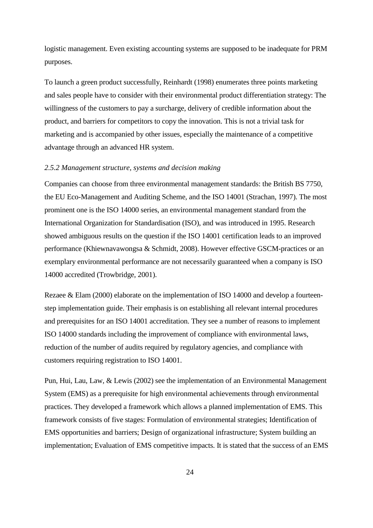logistic management. Even existing accounting systems are supposed to be inadequate for PRM purposes.

To launch a green product successfully, Reinhardt (1998) enumerates three points marketing and sales people have to consider with their environmental product differentiation strategy: The willingness of the customers to pay a surcharge, delivery of credible information about the product, and barriers for competitors to copy the innovation. This is not a trivial task for marketing and is accompanied by other issues, especially the maintenance of a competitive advantage through an advanced HR system.

#### *2.5.2 Management structure, systems and decision making*

Companies can choose from three environmental management standards: the British BS 7750, the EU Eco-Management and Auditing Scheme, and the ISO 14001 (Strachan, 1997). The most prominent one is the ISO 14000 series, an environmental management standard from the International Organization for Standardisation (ISO), and was introduced in 1995. Research showed ambiguous results on the question if the ISO 14001 certification leads to an improved performance (Khiewnavawongsa & Schmidt, 2008). However effective GSCM-practices or an exemplary environmental performance are not necessarily guaranteed when a company is ISO 14000 accredited (Trowbridge, 2001).

Rezaee & Elam (2000) elaborate on the implementation of ISO 14000 and develop a fourteenstep implementation guide. Their emphasis is on establishing all relevant internal procedures and prerequisites for an ISO 14001 accreditation. They see a number of reasons to implement ISO 14000 standards including the improvement of compliance with environmental laws, reduction of the number of audits required by regulatory agencies, and compliance with customers requiring registration to ISO 14001.

Pun, Hui, Lau, Law, & Lewis (2002) see the implementation of an Environmental Management System (EMS) as a prerequisite for high environmental achievements through environmental practices. They developed a framework which allows a planned implementation of EMS. This framework consists of five stages: Formulation of environmental strategies; Identification of EMS opportunities and barriers; Design of organizational infrastructure; System building an implementation; Evaluation of EMS competitive impacts. It is stated that the success of an EMS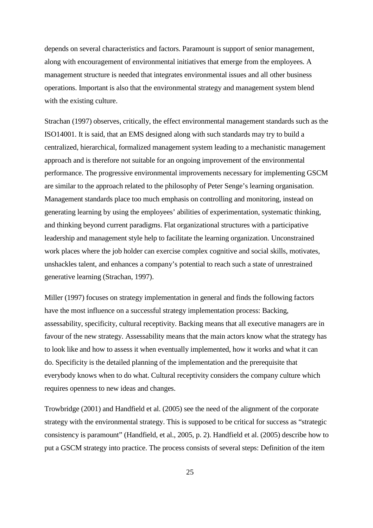depends on several characteristics and factors. Paramount is support of senior management, along with encouragement of environmental initiatives that emerge from the employees. A management structure is needed that integrates environmental issues and all other business operations. Important is also that the environmental strategy and management system blend with the existing culture.

Strachan (1997) observes, critically, the effect environmental management standards such as the ISO14001. It is said, that an EMS designed along with such standards may try to build a centralized, hierarchical, formalized management system leading to a mechanistic management approach and is therefore not suitable for an ongoing improvement of the environmental performance. The progressive environmental improvements necessary for implementing GSCM are similar to the approach related to the philosophy of Peter Senge's learning organisation. Management standards place too much emphasis on controlling and monitoring, instead on generating learning by using the employees' abilities of experimentation, systematic thinking, and thinking beyond current paradigms. Flat organizational structures with a participative leadership and management style help to facilitate the learning organization. Unconstrained work places where the job holder can exercise complex cognitive and social skills, motivates, unshackles talent, and enhances a company's potential to reach such a state of unrestrained generative learning (Strachan, 1997).

Miller (1997) focuses on strategy implementation in general and finds the following factors have the most influence on a successful strategy implementation process: Backing, assessability, specificity, cultural receptivity. Backing means that all executive managers are in favour of the new strategy. Assessability means that the main actors know what the strategy has to look like and how to assess it when eventually implemented, how it works and what it can do. Specificity is the detailed planning of the implementation and the prerequisite that everybody knows when to do what. Cultural receptivity considers the company culture which requires openness to new ideas and changes.

Trowbridge (2001) and Handfield et al. (2005) see the need of the alignment of the corporate strategy with the environmental strategy. This is supposed to be critical for success as "strategic consistency is paramount" (Handfield, et al., 2005, p. 2). Handfield et al. (2005) describe how to put a GSCM strategy into practice. The process consists of several steps: Definition of the item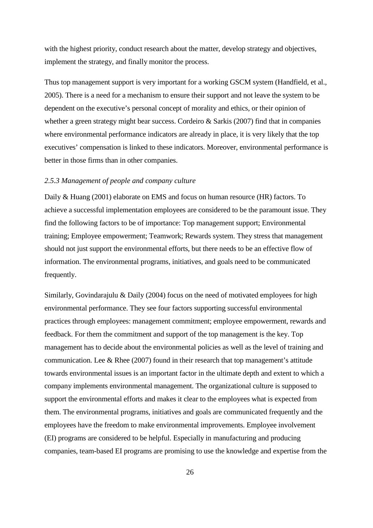with the highest priority, conduct research about the matter, develop strategy and objectives, implement the strategy, and finally monitor the process.

Thus top management support is very important for a working GSCM system (Handfield, et al., 2005). There is a need for a mechanism to ensure their support and not leave the system to be dependent on the executive's personal concept of morality and ethics, or their opinion of whether a green strategy might bear success. Cordeiro & Sarkis (2007) find that in companies where environmental performance indicators are already in place, it is very likely that the top executives' compensation is linked to these indicators. Moreover, environmental performance is better in those firms than in other companies.

#### *2.5.3 Management of people and company culture*

Daily & Huang (2001) elaborate on EMS and focus on human resource (HR) factors. To achieve a successful implementation employees are considered to be the paramount issue. They find the following factors to be of importance: Top management support; Environmental training; Employee empowerment; Teamwork; Rewards system. They stress that management should not just support the environmental efforts, but there needs to be an effective flow of information. The environmental programs, initiatives, and goals need to be communicated frequently.

Similarly, Govindarajulu & Daily (2004) focus on the need of motivated employees for high environmental performance. They see four factors supporting successful environmental practices through employees: management commitment; employee empowerment, rewards and feedback. For them the commitment and support of the top management is the key. Top management has to decide about the environmental policies as well as the level of training and communication. Lee & Rhee (2007) found in their research that top management's attitude towards environmental issues is an important factor in the ultimate depth and extent to which a company implements environmental management. The organizational culture is supposed to support the environmental efforts and makes it clear to the employees what is expected from them. The environmental programs, initiatives and goals are communicated frequently and the employees have the freedom to make environmental improvements. Employee involvement (EI) programs are considered to be helpful. Especially in manufacturing and producing companies, team-based EI programs are promising to use the knowledge and expertise from the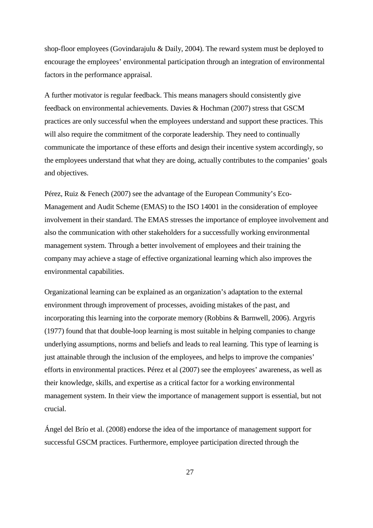shop-floor employees (Govindarajulu & Daily, 2004). The reward system must be deployed to encourage the employees' environmental participation through an integration of environmental factors in the performance appraisal.

A further motivator is regular feedback. This means managers should consistently give feedback on environmental achievements. Davies & Hochman (2007) stress that GSCM practices are only successful when the employees understand and support these practices. This will also require the commitment of the corporate leadership. They need to continually communicate the importance of these efforts and design their incentive system accordingly, so the employees understand that what they are doing, actually contributes to the companies' goals and objectives.

Pérez, Ruiz & Fenech (2007) see the advantage of the European Community's Eco-Management and Audit Scheme (EMAS) to the ISO 14001 in the consideration of employee involvement in their standard. The EMAS stresses the importance of employee involvement and also the communication with other stakeholders for a successfully working environmental management system. Through a better involvement of employees and their training the company may achieve a stage of effective organizational learning which also improves the environmental capabilities.

Organizational learning can be explained as an organization's adaptation to the external environment through improvement of processes, avoiding mistakes of the past, and incorporating this learning into the corporate memory (Robbins & Barnwell, 2006). Argyris (1977) found that that double-loop learning is most suitable in helping companies to change underlying assumptions, norms and beliefs and leads to real learning. This type of learning is just attainable through the inclusion of the employees, and helps to improve the companies' efforts in environmental practices. Pérez et al (2007) see the employees' awareness, as well as their knowledge, skills, and expertise as a critical factor for a working environmental management system. In their view the importance of management support is essential, but not crucial.

Ángel del Brío et al. (2008) endorse the idea of the importance of management support for successful GSCM practices. Furthermore, employee participation directed through the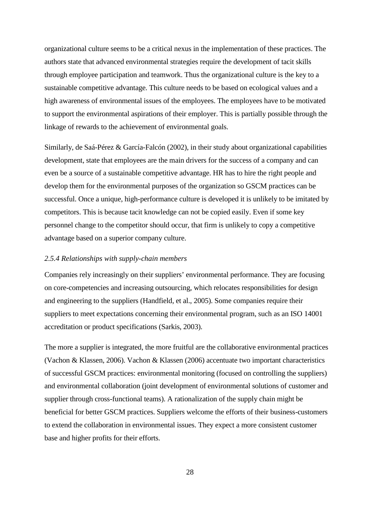organizational culture seems to be a critical nexus in the implementation of these practices. The authors state that advanced environmental strategies require the development of tacit skills through employee participation and teamwork. Thus the organizational culture is the key to a sustainable competitive advantage. This culture needs to be based on ecological values and a high awareness of environmental issues of the employees. The employees have to be motivated to support the environmental aspirations of their employer. This is partially possible through the linkage of rewards to the achievement of environmental goals.

Similarly, de Saá-Pérez & García-Falcón (2002), in their study about organizational capabilities development, state that employees are the main drivers for the success of a company and can even be a source of a sustainable competitive advantage. HR has to hire the right people and develop them for the environmental purposes of the organization so GSCM practices can be successful. Once a unique, high-performance culture is developed it is unlikely to be imitated by competitors. This is because tacit knowledge can not be copied easily. Even if some key personnel change to the competitor should occur, that firm is unlikely to copy a competitive advantage based on a superior company culture.

#### *2.5.4 Relationships with supply-chain members*

Companies rely increasingly on their suppliers' environmental performance. They are focusing on core-competencies and increasing outsourcing, which relocates responsibilities for design and engineering to the suppliers (Handfield, et al., 2005). Some companies require their suppliers to meet expectations concerning their environmental program, such as an ISO 14001 accreditation or product specifications (Sarkis, 2003).

The more a supplier is integrated, the more fruitful are the collaborative environmental practices (Vachon & Klassen, 2006). Vachon & Klassen (2006) accentuate two important characteristics of successful GSCM practices: environmental monitoring (focused on controlling the suppliers) and environmental collaboration (joint development of environmental solutions of customer and supplier through cross-functional teams). A rationalization of the supply chain might be beneficial for better GSCM practices. Suppliers welcome the efforts of their business-customers to extend the collaboration in environmental issues. They expect a more consistent customer base and higher profits for their efforts.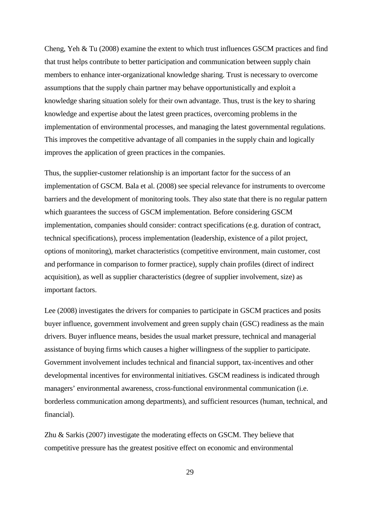Cheng, Yeh & Tu (2008) examine the extent to which trust influences GSCM practices and find that trust helps contribute to better participation and communication between supply chain members to enhance inter-organizational knowledge sharing. Trust is necessary to overcome assumptions that the supply chain partner may behave opportunistically and exploit a knowledge sharing situation solely for their own advantage. Thus, trust is the key to sharing knowledge and expertise about the latest green practices, overcoming problems in the implementation of environmental processes, and managing the latest governmental regulations. This improves the competitive advantage of all companies in the supply chain and logically improves the application of green practices in the companies.

Thus, the supplier-customer relationship is an important factor for the success of an implementation of GSCM. Bala et al. (2008) see special relevance for instruments to overcome barriers and the development of monitoring tools. They also state that there is no regular pattern which guarantees the success of GSCM implementation. Before considering GSCM implementation, companies should consider: contract specifications (e.g. duration of contract, technical specifications), process implementation (leadership, existence of a pilot project, options of monitoring), market characteristics (competitive environment, main customer, cost and performance in comparison to former practice), supply chain profiles (direct of indirect acquisition), as well as supplier characteristics (degree of supplier involvement, size) as important factors.

Lee (2008) investigates the drivers for companies to participate in GSCM practices and posits buyer influence, government involvement and green supply chain (GSC) readiness as the main drivers. Buyer influence means, besides the usual market pressure, technical and managerial assistance of buying firms which causes a higher willingness of the supplier to participate. Government involvement includes technical and financial support, tax-incentives and other developmental incentives for environmental initiatives. GSCM readiness is indicated through managers' environmental awareness, cross-functional environmental communication (i.e. borderless communication among departments), and sufficient resources (human, technical, and financial).

Zhu & Sarkis (2007) investigate the moderating effects on GSCM. They believe that competitive pressure has the greatest positive effect on economic and environmental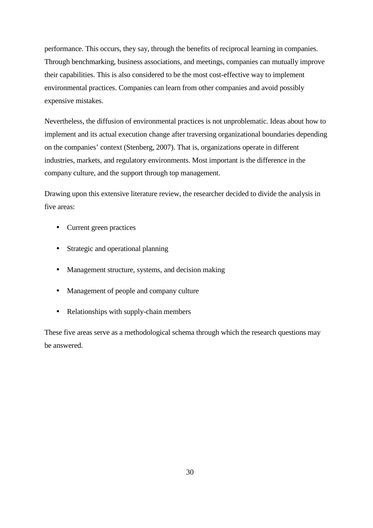performance. This occurs, they say, through the benefits of reciprocal learning in companies. Through benchmarking, business associations, and meetings, companies can mutually improve their capabilities. This is also considered to be the most cost-effective way to implement environmental practices. Companies can learn from other companies and avoid possibly expensive mistakes.

Nevertheless, the diffusion of environmental practices is not unproblematic. Ideas about how to implement and its actual execution change after traversing organizational boundaries depending on the companies' context (Stenberg, 2007). That is, organizations operate in different industries, markets, and regulatory environments. Most important is the difference in the company culture, and the support through top management.

Drawing upon this extensive literature review, the researcher decided to divide the analysis in five areas:

- Current green practices
- Strategic and operational planning
- Management structure, systems, and decision making
- Management of people and company culture
- Relationships with supply-chain members

These five areas serve as a methodological schema through which the research questions may be answered.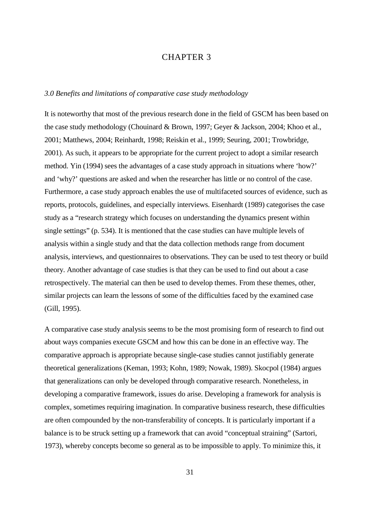# CHAPTER 3

## *3.0 Benefits and limitations of comparative case study methodology*

It is noteworthy that most of the previous research done in the field of GSCM has been based on the case study methodology (Chouinard & Brown, 1997; Geyer & Jackson, 2004; Khoo et al., 2001; Matthews, 2004; Reinhardt, 1998; Reiskin et al., 1999; Seuring, 2001; Trowbridge, 2001). As such, it appears to be appropriate for the current project to adopt a similar research method. Yin (1994) sees the advantages of a case study approach in situations where 'how?' and 'why?' questions are asked and when the researcher has little or no control of the case. Furthermore, a case study approach enables the use of multifaceted sources of evidence, such as reports, protocols, guidelines, and especially interviews. Eisenhardt (1989) categorises the case study as a "research strategy which focuses on understanding the dynamics present within single settings" (p. 534). It is mentioned that the case studies can have multiple levels of analysis within a single study and that the data collection methods range from document analysis, interviews, and questionnaires to observations. They can be used to test theory or build theory. Another advantage of case studies is that they can be used to find out about a case retrospectively. The material can then be used to develop themes. From these themes, other, similar projects can learn the lessons of some of the difficulties faced by the examined case (Gill, 1995).

A comparative case study analysis seems to be the most promising form of research to find out about ways companies execute GSCM and how this can be done in an effective way. The comparative approach is appropriate because single-case studies cannot justifiably generate theoretical generalizations (Keman, 1993; Kohn, 1989; Nowak, 1989). Skocpol (1984) argues that generalizations can only be developed through comparative research. Nonetheless, in developing a comparative framework, issues do arise. Developing a framework for analysis is complex, sometimes requiring imagination. In comparative business research, these difficulties are often compounded by the non-transferability of concepts. It is particularly important if a balance is to be struck setting up a framework that can avoid "conceptual straining" (Sartori, 1973), whereby concepts become so general as to be impossible to apply. To minimize this, it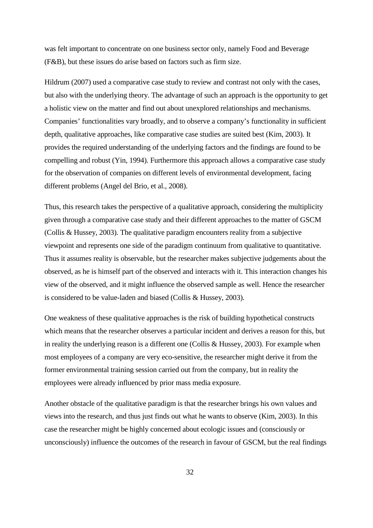was felt important to concentrate on one business sector only, namely Food and Beverage (F&B), but these issues do arise based on factors such as firm size.

Hildrum (2007) used a comparative case study to review and contrast not only with the cases, but also with the underlying theory. The advantage of such an approach is the opportunity to get a holistic view on the matter and find out about unexplored relationships and mechanisms. Companies' functionalities vary broadly, and to observe a company's functionality in sufficient depth, qualitative approaches, like comparative case studies are suited best (Kim, 2003). It provides the required understanding of the underlying factors and the findings are found to be compelling and robust (Yin, 1994). Furthermore this approach allows a comparative case study for the observation of companies on different levels of environmental development, facing different problems (Angel del Brio, et al., 2008).

Thus, this research takes the perspective of a qualitative approach, considering the multiplicity given through a comparative case study and their different approaches to the matter of GSCM (Collis & Hussey, 2003). The qualitative paradigm encounters reality from a subjective viewpoint and represents one side of the paradigm continuum from qualitative to quantitative. Thus it assumes reality is observable, but the researcher makes subjective judgements about the observed, as he is himself part of the observed and interacts with it. This interaction changes his view of the observed, and it might influence the observed sample as well. Hence the researcher is considered to be value-laden and biased (Collis & Hussey, 2003).

One weakness of these qualitative approaches is the risk of building hypothetical constructs which means that the researcher observes a particular incident and derives a reason for this, but in reality the underlying reason is a different one (Collis & Hussey, 2003). For example when most employees of a company are very eco-sensitive, the researcher might derive it from the former environmental training session carried out from the company, but in reality the employees were already influenced by prior mass media exposure.

Another obstacle of the qualitative paradigm is that the researcher brings his own values and views into the research, and thus just finds out what he wants to observe (Kim, 2003). In this case the researcher might be highly concerned about ecologic issues and (consciously or unconsciously) influence the outcomes of the research in favour of GSCM, but the real findings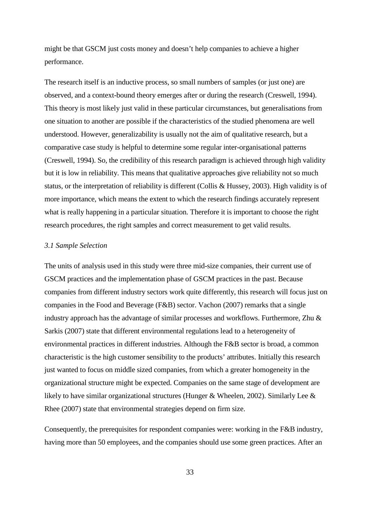might be that GSCM just costs money and doesn't help companies to achieve a higher performance.

The research itself is an inductive process, so small numbers of samples (or just one) are observed, and a context-bound theory emerges after or during the research (Creswell, 1994). This theory is most likely just valid in these particular circumstances, but generalisations from one situation to another are possible if the characteristics of the studied phenomena are well understood. However, generalizability is usually not the aim of qualitative research, but a comparative case study is helpful to determine some regular inter-organisational patterns (Creswell, 1994). So, the credibility of this research paradigm is achieved through high validity but it is low in reliability. This means that qualitative approaches give reliability not so much status, or the interpretation of reliability is different (Collis & Hussey, 2003). High validity is of more importance, which means the extent to which the research findings accurately represent what is really happening in a particular situation. Therefore it is important to choose the right research procedures, the right samples and correct measurement to get valid results.

## *3.1 Sample Selection*

The units of analysis used in this study were three mid-size companies, their current use of GSCM practices and the implementation phase of GSCM practices in the past. Because companies from different industry sectors work quite differently, this research will focus just on companies in the Food and Beverage (F&B) sector. Vachon (2007) remarks that a single industry approach has the advantage of similar processes and workflows. Furthermore, Zhu & Sarkis (2007) state that different environmental regulations lead to a heterogeneity of environmental practices in different industries. Although the F&B sector is broad, a common characteristic is the high customer sensibility to the products' attributes. Initially this research just wanted to focus on middle sized companies, from which a greater homogeneity in the organizational structure might be expected. Companies on the same stage of development are likely to have similar organizational structures (Hunger & Wheelen, 2002). Similarly Lee & Rhee (2007) state that environmental strategies depend on firm size.

Consequently, the prerequisites for respondent companies were: working in the F&B industry, having more than 50 employees, and the companies should use some green practices. After an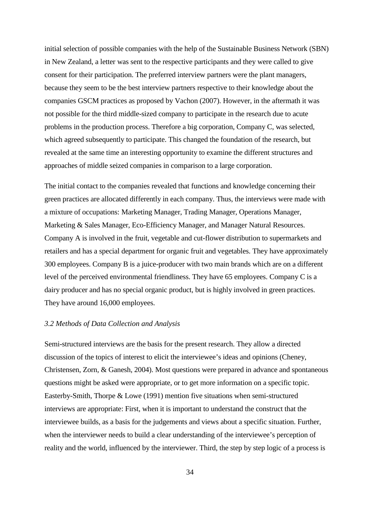initial selection of possible companies with the help of the Sustainable Business Network (SBN) in New Zealand, a letter was sent to the respective participants and they were called to give consent for their participation. The preferred interview partners were the plant managers, because they seem to be the best interview partners respective to their knowledge about the companies GSCM practices as proposed by Vachon (2007). However, in the aftermath it was not possible for the third middle-sized company to participate in the research due to acute problems in the production process. Therefore a big corporation, Company C, was selected, which agreed subsequently to participate. This changed the foundation of the research, but revealed at the same time an interesting opportunity to examine the different structures and approaches of middle seized companies in comparison to a large corporation.

The initial contact to the companies revealed that functions and knowledge concerning their green practices are allocated differently in each company. Thus, the interviews were made with a mixture of occupations: Marketing Manager, Trading Manager, Operations Manager, Marketing & Sales Manager, Eco-Efficiency Manager, and Manager Natural Resources. Company A is involved in the fruit, vegetable and cut-flower distribution to supermarkets and retailers and has a special department for organic fruit and vegetables. They have approximately 300 employees. Company B is a juice-producer with two main brands which are on a different level of the perceived environmental friendliness. They have 65 employees. Company C is a dairy producer and has no special organic product, but is highly involved in green practices. They have around 16,000 employees.

#### *3.2 Methods of Data Collection and Analysis*

Semi-structured interviews are the basis for the present research. They allow a directed discussion of the topics of interest to elicit the interviewee's ideas and opinions (Cheney, Christensen, Zorn, & Ganesh, 2004). Most questions were prepared in advance and spontaneous questions might be asked were appropriate, or to get more information on a specific topic. Easterby-Smith, Thorpe & Lowe (1991) mention five situations when semi-structured interviews are appropriate: First, when it is important to understand the construct that the interviewee builds, as a basis for the judgements and views about a specific situation. Further, when the interviewer needs to build a clear understanding of the interviewee's perception of reality and the world, influenced by the interviewer. Third, the step by step logic of a process is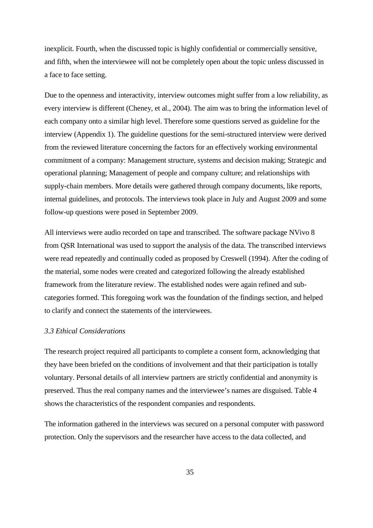inexplicit. Fourth, when the discussed topic is highly confidential or commercially sensitive, and fifth, when the interviewee will not be completely open about the topic unless discussed in a face to face setting.

Due to the openness and interactivity, interview outcomes might suffer from a low reliability, as every interview is different (Cheney, et al., 2004). The aim was to bring the information level of each company onto a similar high level. Therefore some questions served as guideline for the interview (Appendix 1). The guideline questions for the semi-structured interview were derived from the reviewed literature concerning the factors for an effectively working environmental commitment of a company: Management structure, systems and decision making; Strategic and operational planning; Management of people and company culture; and relationships with supply-chain members. More details were gathered through company documents, like reports, internal guidelines, and protocols. The interviews took place in July and August 2009 and some follow-up questions were posed in September 2009.

All interviews were audio recorded on tape and transcribed. The software package NVivo 8 from QSR International was used to support the analysis of the data. The transcribed interviews were read repeatedly and continually coded as proposed by Creswell (1994). After the coding of the material, some nodes were created and categorized following the already established framework from the literature review. The established nodes were again refined and subcategories formed. This foregoing work was the foundation of the findings section, and helped to clarify and connect the statements of the interviewees.

## *3.3 Ethical Considerations*

The research project required all participants to complete a consent form, acknowledging that they have been briefed on the conditions of involvement and that their participation is totally voluntary. Personal details of all interview partners are strictly confidential and anonymity is preserved. Thus the real company names and the interviewee's names are disguised. Table 4 shows the characteristics of the respondent companies and respondents.

The information gathered in the interviews was secured on a personal computer with password protection. Only the supervisors and the researcher have access to the data collected, and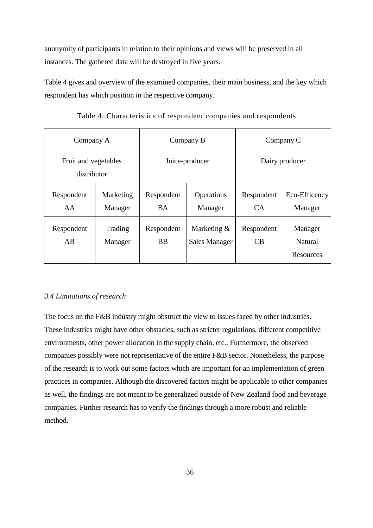anonymity of participants in relation to their opinions and views will be preserved in all instances. The gathered data will be destroyed in five years.

Table 4 gives and overview of the examined companies, their main business, and the key which respondent has which position in the respective company.

| Company A                           |                      | Company B               |                                       | Company C        |                                 |
|-------------------------------------|----------------------|-------------------------|---------------------------------------|------------------|---------------------------------|
| Fruit and vegetables<br>distributor |                      | Juice-producer          |                                       | Dairy producer   |                                 |
| Respondent<br>AA                    | Marketing<br>Manager | Respondent<br><b>BA</b> | Operations<br>Manager                 | Respondent<br>CA | Eco-Efficency<br>Manager        |
| Respondent<br>AB                    | Trading<br>Manager   | Respondent<br><b>BB</b> | Marketing $&$<br><b>Sales Manager</b> | Respondent<br>CB | Manager<br>Natural<br>Resources |

Table 4: Characteristics of respondent companies and respondents

# *3.4 Limitations of research*

The focus on the F&B industry might obstruct the view to issues faced by other industries. These industries might have other obstacles, such as stricter regulations, different competitive environments, other power allocation in the supply chain, etc.. Furthermore, the observed companies possibly were not representative of the entire F&B sector. Nonetheless, the purpose of the research is to work out some factors which are important for an implementation of green practices in companies. Although the discovered factors might be applicable to other companies as well, the findings are not meant to be generalized outside of New Zealand food and beverage companies. Further research has to verify the findings through a more robust and reliable method.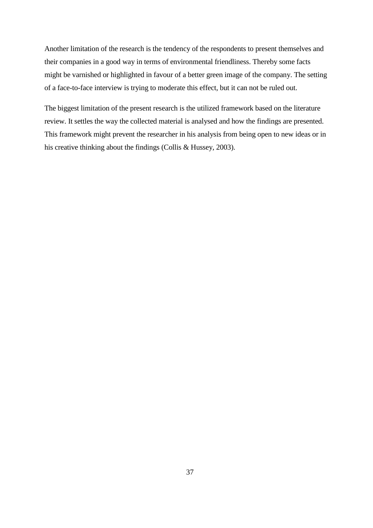Another limitation of the research is the tendency of the respondents to present themselves and their companies in a good way in terms of environmental friendliness. Thereby some facts might be varnished or highlighted in favour of a better green image of the company. The setting of a face-to-face interview is trying to moderate this effect, but it can not be ruled out.

The biggest limitation of the present research is the utilized framework based on the literature review. It settles the way the collected material is analysed and how the findings are presented. This framework might prevent the researcher in his analysis from being open to new ideas or in his creative thinking about the findings (Collis & Hussey, 2003).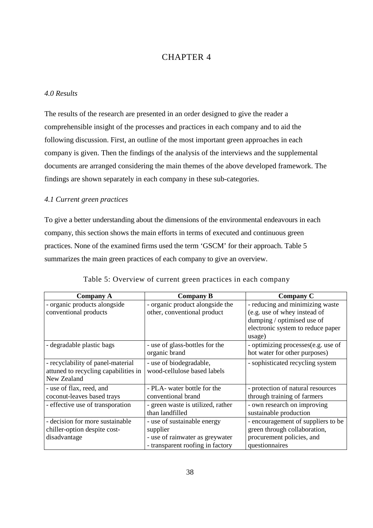# CHAPTER 4

# *4.0 Results*

The results of the research are presented in an order designed to give the reader a comprehensible insight of the processes and practices in each company and to aid the following discussion. First, an outline of the most important green approaches in each company is given. Then the findings of the analysis of the interviews and the supplemental documents are arranged considering the main themes of the above developed framework. The findings are shown separately in each company in these sub-categories.

## *4.1 Current green practices*

To give a better understanding about the dimensions of the environmental endeavours in each company, this section shows the main efforts in terms of executed and continuous green practices. None of the examined firms used the term 'GSCM' for their approach. Table 5 summarizes the main green practices of each company to give an overview.

| <b>Company A</b>                     | <b>Company B</b>                  | <b>Company C</b>                   |
|--------------------------------------|-----------------------------------|------------------------------------|
| - organic products alongside         | - organic product alongside the   | - reducing and minimizing waste    |
| conventional products                | other, conventional product       | (e.g. use of whey instead of       |
|                                      |                                   | dumping / optimised use of         |
|                                      |                                   | electronic system to reduce paper  |
|                                      |                                   | usage)                             |
| - degradable plastic bags            | - use of glass-bottles for the    | - optimizing processes(e.g. use of |
|                                      | organic brand                     | hot water for other purposes)      |
| - recyclability of panel-material    | - use of biodegradable,           | - sophisticated recycling system   |
| attuned to recycling capabilities in | wood-cellulose based labels       |                                    |
| New Zealand                          |                                   |                                    |
| - use of flax, reed, and             | - PLA- water bottle for the       | - protection of natural resources  |
| coconut-leaves based trays           | conventional brand                | through training of farmers        |
| - effective use of transporation     | - green waste is utilized, rather | - own research on improving        |
|                                      | than landfilled                   | sustainable production             |
| - decision for more sustainable      | - use of sustainable energy       | - encouragement of suppliers to be |
| chiller-option despite cost-         | supplier                          | green through collaboration,       |
| disadvantage                         | - use of rainwater as greywater   | procurement policies, and          |
|                                      | - transparent roofing in factory  | questionnaires                     |

Table 5: Overview of current green practices in each company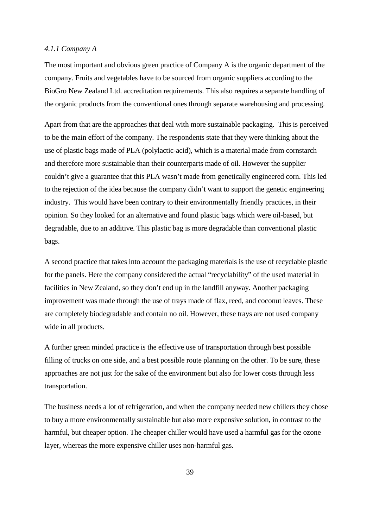## *4.1.1 Company A*

The most important and obvious green practice of Company A is the organic department of the company. Fruits and vegetables have to be sourced from organic suppliers according to the BioGro New Zealand Ltd. accreditation requirements. This also requires a separate handling of the organic products from the conventional ones through separate warehousing and processing.

Apart from that are the approaches that deal with more sustainable packaging. This is perceived to be the main effort of the company. The respondents state that they were thinking about the use of plastic bags made of PLA (polylactic-acid), which is a material made from cornstarch and therefore more sustainable than their counterparts made of oil. However the supplier couldn't give a guarantee that this PLA wasn't made from genetically engineered corn. This led to the rejection of the idea because the company didn't want to support the genetic engineering industry. This would have been contrary to their environmentally friendly practices, in their opinion. So they looked for an alternative and found plastic bags which were oil-based, but degradable, due to an additive. This plastic bag is more degradable than conventional plastic bags.

A second practice that takes into account the packaging materials is the use of recyclable plastic for the panels. Here the company considered the actual "recyclability" of the used material in facilities in New Zealand, so they don't end up in the landfill anyway. Another packaging improvement was made through the use of trays made of flax, reed, and coconut leaves. These are completely biodegradable and contain no oil. However, these trays are not used company wide in all products.

A further green minded practice is the effective use of transportation through best possible filling of trucks on one side, and a best possible route planning on the other. To be sure, these approaches are not just for the sake of the environment but also for lower costs through less transportation.

The business needs a lot of refrigeration, and when the company needed new chillers they chose to buy a more environmentally sustainable but also more expensive solution, in contrast to the harmful, but cheaper option. The cheaper chiller would have used a harmful gas for the ozone layer, whereas the more expensive chiller uses non-harmful gas.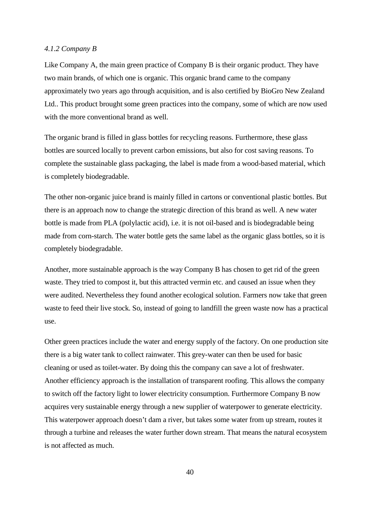## *4.1.2 Company B*

Like Company A, the main green practice of Company B is their organic product. They have two main brands, of which one is organic. This organic brand came to the company approximately two years ago through acquisition, and is also certified by BioGro New Zealand Ltd.. This product brought some green practices into the company, some of which are now used with the more conventional brand as well.

The organic brand is filled in glass bottles for recycling reasons. Furthermore, these glass bottles are sourced locally to prevent carbon emissions, but also for cost saving reasons. To complete the sustainable glass packaging, the label is made from a wood-based material, which is completely biodegradable.

The other non-organic juice brand is mainly filled in cartons or conventional plastic bottles. But there is an approach now to change the strategic direction of this brand as well. A new water bottle is made from PLA (polylactic acid), i.e. it is not oil-based and is biodegradable being made from corn-starch. The water bottle gets the same label as the organic glass bottles, so it is completely biodegradable.

Another, more sustainable approach is the way Company B has chosen to get rid of the green waste. They tried to compost it, but this attracted vermin etc. and caused an issue when they were audited. Nevertheless they found another ecological solution. Farmers now take that green waste to feed their live stock. So, instead of going to landfill the green waste now has a practical use.

Other green practices include the water and energy supply of the factory. On one production site there is a big water tank to collect rainwater. This grey-water can then be used for basic cleaning or used as toilet-water. By doing this the company can save a lot of freshwater. Another efficiency approach is the installation of transparent roofing. This allows the company to switch off the factory light to lower electricity consumption. Furthermore Company B now acquires very sustainable energy through a new supplier of waterpower to generate electricity. This waterpower approach doesn't dam a river, but takes some water from up stream, routes it through a turbine and releases the water further down stream. That means the natural ecosystem is not affected as much.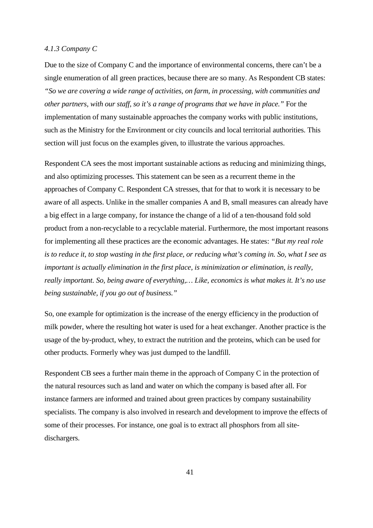## *4.1.3 Company C*

Due to the size of Company C and the importance of environmental concerns, there can't be a single enumeration of all green practices, because there are so many. As Respondent CB states: *"So we are covering a wide range of activities, on farm, in processing, with communities and other partners, with our staff, so it's a range of programs that we have in place."* For the implementation of many sustainable approaches the company works with public institutions, such as the Ministry for the Environment or city councils and local territorial authorities. This section will just focus on the examples given, to illustrate the various approaches.

Respondent CA sees the most important sustainable actions as reducing and minimizing things, and also optimizing processes. This statement can be seen as a recurrent theme in the approaches of Company C. Respondent CA stresses, that for that to work it is necessary to be aware of all aspects. Unlike in the smaller companies A and B, small measures can already have a big effect in a large company, for instance the change of a lid of a ten-thousand fold sold product from a non-recyclable to a recyclable material. Furthermore, the most important reasons for implementing all these practices are the economic advantages. He states: *"But my real role is to reduce it, to stop wasting in the first place, or reducing what's coming in. So, what I see as important is actually elimination in the first place, is minimization or elimination, is really, really important. So, being aware of everything,… Like, economics is what makes it. It's no use being sustainable, if you go out of business."*

So, one example for optimization is the increase of the energy efficiency in the production of milk powder, where the resulting hot water is used for a heat exchanger. Another practice is the usage of the by-product, whey, to extract the nutrition and the proteins, which can be used for other products. Formerly whey was just dumped to the landfill.

Respondent CB sees a further main theme in the approach of Company C in the protection of the natural resources such as land and water on which the company is based after all. For instance farmers are informed and trained about green practices by company sustainability specialists. The company is also involved in research and development to improve the effects of some of their processes. For instance, one goal is to extract all phosphors from all sitedischargers.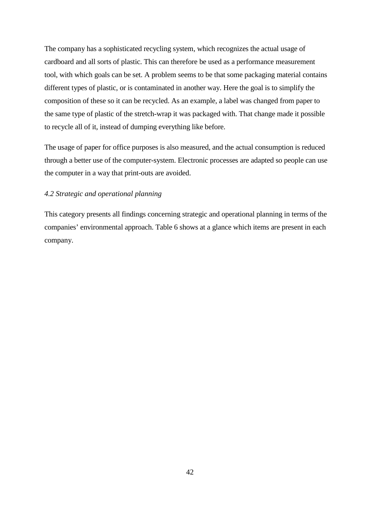The company has a sophisticated recycling system, which recognizes the actual usage of cardboard and all sorts of plastic. This can therefore be used as a performance measurement tool, with which goals can be set. A problem seems to be that some packaging material contains different types of plastic, or is contaminated in another way. Here the goal is to simplify the composition of these so it can be recycled. As an example, a label was changed from paper to the same type of plastic of the stretch-wrap it was packaged with. That change made it possible to recycle all of it, instead of dumping everything like before.

The usage of paper for office purposes is also measured, and the actual consumption is reduced through a better use of the computer-system. Electronic processes are adapted so people can use the computer in a way that print-outs are avoided.

## *4.2 Strategic and operational planning*

This category presents all findings concerning strategic and operational planning in terms of the companies' environmental approach. Table 6 shows at a glance which items are present in each company.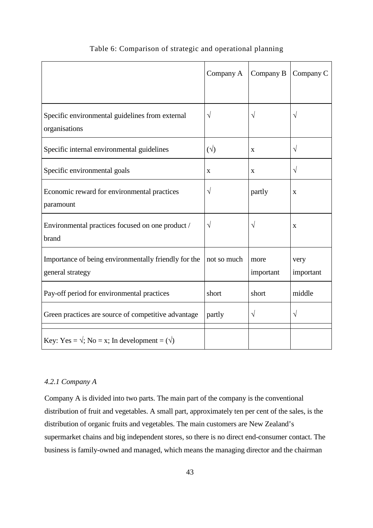|                                                                          | Company A    | Company B         | Company C         |
|--------------------------------------------------------------------------|--------------|-------------------|-------------------|
|                                                                          |              |                   |                   |
| Specific environmental guidelines from external<br>organisations         | $\sqrt{ }$   | $\sqrt{}$         | $\sqrt{}$         |
| Specific internal environmental guidelines                               | $(\sqrt{2})$ | X                 | $\sqrt{}$         |
| Specific environmental goals                                             | $\mathbf X$  | $\mathbf X$       | $\sqrt{}$         |
| Economic reward for environmental practices<br>paramount                 | $\sqrt{ }$   | partly            | $\mathbf X$       |
| Environmental practices focused on one product /<br>brand                | $\sqrt{ }$   | V                 | X                 |
| Importance of being environmentally friendly for the<br>general strategy | not so much  | more<br>important | very<br>important |
| Pay-off period for environmental practices                               | short        | short             | middle            |
| Green practices are source of competitive advantage                      | partly       | $\sqrt{}$         | $\sqrt{}$         |
| Key: Yes = $\sqrt{,}$ No = x; In development = $(\sqrt{)}$               |              |                   |                   |

# Table 6: Comparison of strategic and operational planning

# *4.2.1 Company A*

Company A is divided into two parts. The main part of the company is the conventional distribution of fruit and vegetables. A small part, approximately ten per cent of the sales, is the distribution of organic fruits and vegetables. The main customers are New Zealand's supermarket chains and big independent stores, so there is no direct end-consumer contact. The business is family-owned and managed, which means the managing director and the chairman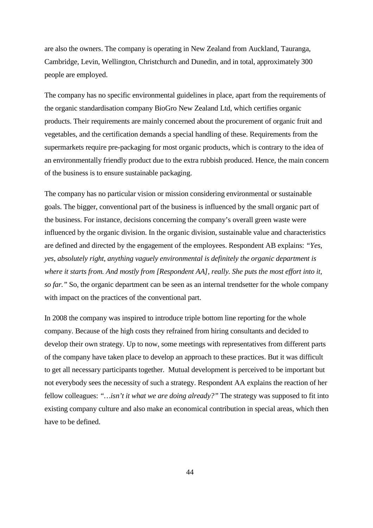are also the owners. The company is operating in New Zealand from Auckland, Tauranga, Cambridge, Levin, Wellington, Christchurch and Dunedin, and in total, approximately 300 people are employed.

The company has no specific environmental guidelines in place, apart from the requirements of the organic standardisation company BioGro New Zealand Ltd, which certifies organic products. Their requirements are mainly concerned about the procurement of organic fruit and vegetables, and the certification demands a special handling of these. Requirements from the supermarkets require pre-packaging for most organic products, which is contrary to the idea of an environmentally friendly product due to the extra rubbish produced. Hence, the main concern of the business is to ensure sustainable packaging.

The company has no particular vision or mission considering environmental or sustainable goals. The bigger, conventional part of the business is influenced by the small organic part of the business. For instance, decisions concerning the company's overall green waste were influenced by the organic division. In the organic division, sustainable value and characteristics are defined and directed by the engagement of the employees. Respondent AB explains: *"Yes, yes, absolutely right, anything vaguely environmental is definitely the organic department is where it starts from. And mostly from [Respondent AA], really. She puts the most effort into it, so far."* So, the organic department can be seen as an internal trendsetter for the whole company with impact on the practices of the conventional part.

In 2008 the company was inspired to introduce triple bottom line reporting for the whole company. Because of the high costs they refrained from hiring consultants and decided to develop their own strategy. Up to now, some meetings with representatives from different parts of the company have taken place to develop an approach to these practices. But it was difficult to get all necessary participants together. Mutual development is perceived to be important but not everybody sees the necessity of such a strategy. Respondent AA explains the reaction of her fellow colleagues: *"…isn't it what we are doing already?"* The strategy was supposed to fit into existing company culture and also make an economical contribution in special areas, which then have to be defined.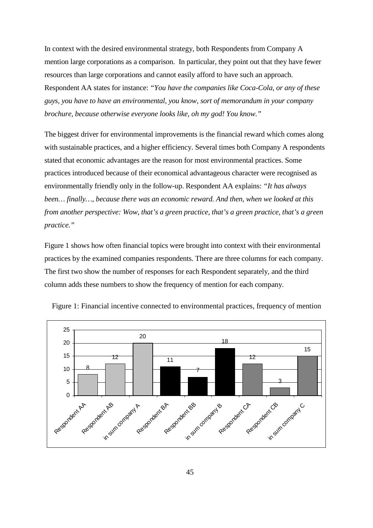In context with the desired environmental strategy, both Respondents from Company A mention large corporations as a comparison. In particular, they point out that they have fewer resources than large corporations and cannot easily afford to have such an approach. Respondent AA states for instance: *"You have the companies like Coca-Cola, or any of these guys, you have to have an environmental, you know, sort of memorandum in your company brochure, because otherwise everyone looks like, oh my god! You know."*

The biggest driver for environmental improvements is the financial reward which comes along with sustainable practices, and a higher efficiency. Several times both Company A respondents stated that economic advantages are the reason for most environmental practices. Some practices introduced because of their economical advantageous character were recognised as environmentally friendly only in the follow-up. Respondent AA explains: *"It has always been… finally…, because there was an economic reward. And then, when we looked at this from another perspective: Wow, that's a green practice, that's a green practice, that's a green practice."* 

Figure 1 shows how often financial topics were brought into context with their environmental practices by the examined companies respondents. There are three columns for each company. The first two show the number of responses for each Respondent separately, and the third column adds these numbers to show the frequency of mention for each company.



Figure 1: Financial incentive connected to environmental practices, frequency of mention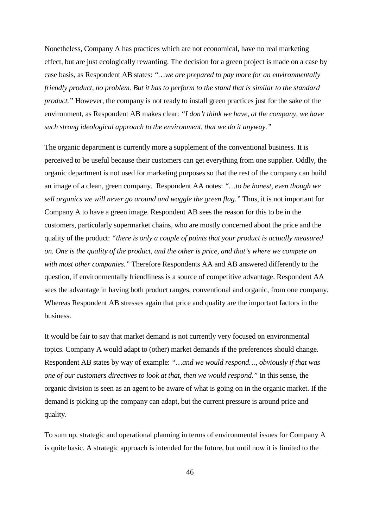Nonetheless, Company A has practices which are not economical, have no real marketing effect, but are just ecologically rewarding. The decision for a green project is made on a case by case basis, as Respondent AB states: *"…we are prepared to pay more for an environmentally friendly product, no problem. But it has to perform to the stand that is similar to the standard product."* However, the company is not ready to install green practices just for the sake of the environment, as Respondent AB makes clear: *"I don't think we have, at the company, we have such strong ideological approach to the environment, that we do it anyway."*

The organic department is currently more a supplement of the conventional business. It is perceived to be useful because their customers can get everything from one supplier. Oddly, the organic department is not used for marketing purposes so that the rest of the company can build an image of a clean, green company. Respondent AA notes: *"…to be honest, even though we sell organics we will never go around and waggle the green flag."* Thus, it is not important for Company A to have a green image. Respondent AB sees the reason for this to be in the customers, particularly supermarket chains, who are mostly concerned about the price and the quality of the product: *"there is only a couple of points that your product is actually measured on. One is the quality of the product, and the other is price, and that's where we compete on with most other companies."* Therefore Respondents AA and AB answered differently to the question, if environmentally friendliness is a source of competitive advantage. Respondent AA sees the advantage in having both product ranges, conventional and organic, from one company. Whereas Respondent AB stresses again that price and quality are the important factors in the business.

It would be fair to say that market demand is not currently very focused on environmental topics. Company A would adapt to (other) market demands if the preferences should change. Respondent AB states by way of example: *"…and we would respond…, obviously if that was one of our customers directives to look at that, then we would respond."* In this sense, the organic division is seen as an agent to be aware of what is going on in the organic market. If the demand is picking up the company can adapt, but the current pressure is around price and quality.

To sum up, strategic and operational planning in terms of environmental issues for Company A is quite basic. A strategic approach is intended for the future, but until now it is limited to the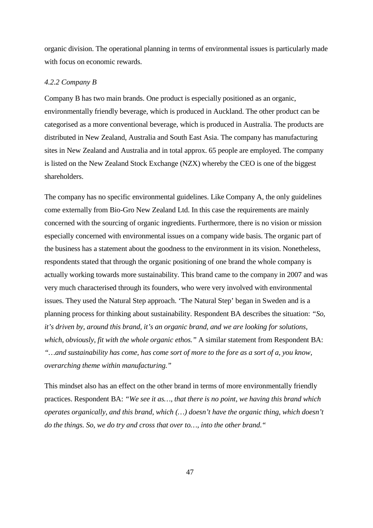organic division. The operational planning in terms of environmental issues is particularly made with focus on economic rewards.

#### *4.2.2 Company B*

Company B has two main brands. One product is especially positioned as an organic, environmentally friendly beverage, which is produced in Auckland. The other product can be categorised as a more conventional beverage, which is produced in Australia. The products are distributed in New Zealand, Australia and South East Asia. The company has manufacturing sites in New Zealand and Australia and in total approx. 65 people are employed. The company is listed on the New Zealand Stock Exchange (NZX) whereby the CEO is one of the biggest shareholders.

The company has no specific environmental guidelines. Like Company A, the only guidelines come externally from Bio-Gro New Zealand Ltd. In this case the requirements are mainly concerned with the sourcing of organic ingredients. Furthermore, there is no vision or mission especially concerned with environmental issues on a company wide basis. The organic part of the business has a statement about the goodness to the environment in its vision. Nonetheless, respondents stated that through the organic positioning of one brand the whole company is actually working towards more sustainability. This brand came to the company in 2007 and was very much characterised through its founders, who were very involved with environmental issues. They used the Natural Step approach. 'The Natural Step' began in Sweden and is a planning process for thinking about sustainability. Respondent BA describes the situation: *"So, it's driven by, around this brand, it's an organic brand, and we are looking for solutions, which, obviously, fit with the whole organic ethos."* A similar statement from Respondent BA: *"…and sustainability has come, has come sort of more to the fore as a sort of a, you know, overarching theme within manufacturing."* 

This mindset also has an effect on the other brand in terms of more environmentally friendly practices. Respondent BA: *"We see it as…, that there is no point, we having this brand which operates organically, and this brand, which (…) doesn't have the organic thing, which doesn't do the things. So, we do try and cross that over to…, into the other brand."*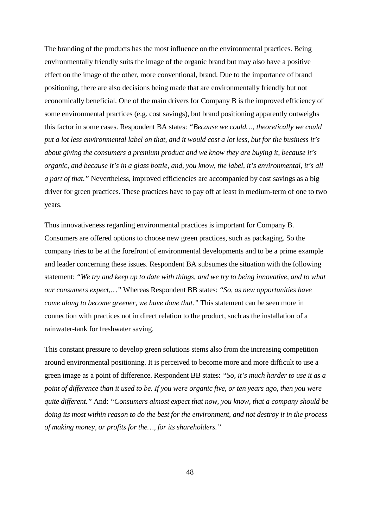The branding of the products has the most influence on the environmental practices. Being environmentally friendly suits the image of the organic brand but may also have a positive effect on the image of the other, more conventional, brand. Due to the importance of brand positioning, there are also decisions being made that are environmentally friendly but not economically beneficial. One of the main drivers for Company B is the improved efficiency of some environmental practices (e.g. cost savings), but brand positioning apparently outweighs this factor in some cases. Respondent BA states: *"Because we could…, theoretically we could put a lot less environmental label on that, and it would cost a lot less, but for the business it's about giving the consumers a premium product and we know they are buying it, because it's organic, and because it's in a glass bottle, and, you know, the label, it's environmental, it's all a part of that."* Nevertheless, improved efficiencies are accompanied by cost savings as a big driver for green practices. These practices have to pay off at least in medium-term of one to two years.

Thus innovativeness regarding environmental practices is important for Company B. Consumers are offered options to choose new green practices, such as packaging. So the company tries to be at the forefront of environmental developments and to be a prime example and leader concerning these issues. Respondent BA subsumes the situation with the following statement: *"We try and keep up to date with things, and we try to being innovative, and to what our consumers expect,…"* Whereas Respondent BB states: *"So, as new opportunities have come along to become greener, we have done that."* This statement can be seen more in connection with practices not in direct relation to the product, such as the installation of a rainwater-tank for freshwater saving.

This constant pressure to develop green solutions stems also from the increasing competition around environmental positioning. It is perceived to become more and more difficult to use a green image as a point of difference. Respondent BB states: *"So, it's much harder to use it as a point of difference than it used to be. If you were organic five, or ten years ago, then you were quite different."* And: *"Consumers almost expect that now, you know, that a company should be doing its most within reason to do the best for the environment, and not destroy it in the process of making money, or profits for the…, for its shareholders."*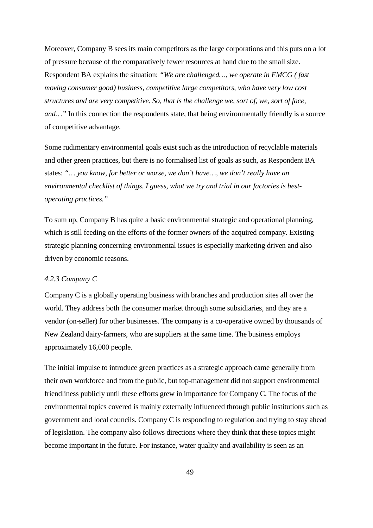Moreover, Company B sees its main competitors as the large corporations and this puts on a lot of pressure because of the comparatively fewer resources at hand due to the small size. Respondent BA explains the situation: *"We are challenged…, we operate in FMCG ( fast moving consumer good) business, competitive large competitors, who have very low cost structures and are very competitive. So, that is the challenge we, sort of, we, sort of face, and...*" In this connection the respondents state, that being environmentally friendly is a source of competitive advantage.

Some rudimentary environmental goals exist such as the introduction of recyclable materials and other green practices, but there is no formalised list of goals as such, as Respondent BA states: *"… you know, for better or worse, we don't have…, we don't really have an environmental checklist of things. I guess, what we try and trial in our factories is bestoperating practices."* 

To sum up, Company B has quite a basic environmental strategic and operational planning, which is still feeding on the efforts of the former owners of the acquired company. Existing strategic planning concerning environmental issues is especially marketing driven and also driven by economic reasons.

# *4.2.3 Company C*

Company C is a globally operating business with branches and production sites all over the world. They address both the consumer market through some subsidiaries, and they are a vendor (on-seller) for other businesses. The company is a co-operative owned by thousands of New Zealand dairy-farmers, who are suppliers at the same time. The business employs approximately 16,000 people.

The initial impulse to introduce green practices as a strategic approach came generally from their own workforce and from the public, but top-management did not support environmental friendliness publicly until these efforts grew in importance for Company C. The focus of the environmental topics covered is mainly externally influenced through public institutions such as government and local councils. Company C is responding to regulation and trying to stay ahead of legislation. The company also follows directions where they think that these topics might become important in the future. For instance, water quality and availability is seen as an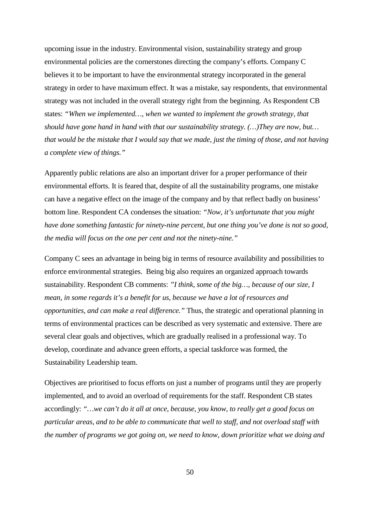upcoming issue in the industry. Environmental vision, sustainability strategy and group environmental policies are the cornerstones directing the company's efforts. Company C believes it to be important to have the environmental strategy incorporated in the general strategy in order to have maximum effect. It was a mistake, say respondents, that environmental strategy was not included in the overall strategy right from the beginning. As Respondent CB states: *"When we implemented…, when we wanted to implement the growth strategy, that should have gone hand in hand with that our sustainability strategy. (…)They are now, but… that would be the mistake that I would say that we made, just the timing of those, and not having a complete view of things."* 

Apparently public relations are also an important driver for a proper performance of their environmental efforts. It is feared that, despite of all the sustainability programs, one mistake can have a negative effect on the image of the company and by that reflect badly on business' bottom line. Respondent CA condenses the situation: *"Now, it's unfortunate that you might have done something fantastic for ninety-nine percent, but one thing you've done is not so good, the media will focus on the one per cent and not the ninety-nine."*

Company C sees an advantage in being big in terms of resource availability and possibilities to enforce environmental strategies. Being big also requires an organized approach towards sustainability. Respondent CB comments: *"I think, some of the big…, because of our size, I mean, in some regards it's a benefit for us, because we have a lot of resources and opportunities, and can make a real difference."* Thus, the strategic and operational planning in terms of environmental practices can be described as very systematic and extensive. There are several clear goals and objectives, which are gradually realised in a professional way. To develop, coordinate and advance green efforts, a special taskforce was formed, the Sustainability Leadership team.

Objectives are prioritised to focus efforts on just a number of programs until they are properly implemented, and to avoid an overload of requirements for the staff. Respondent CB states accordingly: *"…we can't do it all at once, because, you know, to really get a good focus on particular areas, and to be able to communicate that well to staff, and not overload staff with the number of programs we got going on, we need to know, down prioritize what we doing and*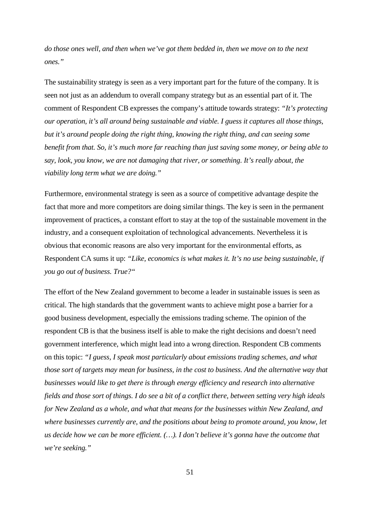*do those ones well, and then when we've got them bedded in, then we move on to the next ones."* 

The sustainability strategy is seen as a very important part for the future of the company. It is seen not just as an addendum to overall company strategy but as an essential part of it. The comment of Respondent CB expresses the company's attitude towards strategy: *"It's protecting our operation, it's all around being sustainable and viable. I guess it captures all those things, but it's around people doing the right thing, knowing the right thing, and can seeing some benefit from that. So, it's much more far reaching than just saving some money, or being able to say, look, you know, we are not damaging that river, or something. It's really about, the viability long term what we are doing."* 

Furthermore, environmental strategy is seen as a source of competitive advantage despite the fact that more and more competitors are doing similar things. The key is seen in the permanent improvement of practices, a constant effort to stay at the top of the sustainable movement in the industry, and a consequent exploitation of technological advancements. Nevertheless it is obvious that economic reasons are also very important for the environmental efforts, as Respondent CA sums it up: *"Like, economics is what makes it. It's no use being sustainable, if you go out of business. True?"* 

The effort of the New Zealand government to become a leader in sustainable issues is seen as critical. The high standards that the government wants to achieve might pose a barrier for a good business development, especially the emissions trading scheme. The opinion of the respondent CB is that the business itself is able to make the right decisions and doesn't need government interference, which might lead into a wrong direction. Respondent CB comments on this topic: *"I guess, I speak most particularly about emissions trading schemes, and what those sort of targets may mean for business, in the cost to business. And the alternative way that businesses would like to get there is through energy efficiency and research into alternative fields and those sort of things. I do see a bit of a conflict there, between setting very high ideals for New Zealand as a whole, and what that means for the businesses within New Zealand, and where businesses currently are, and the positions about being to promote around, you know, let us decide how we can be more efficient. (…). I don't believe it's gonna have the outcome that we're seeking."*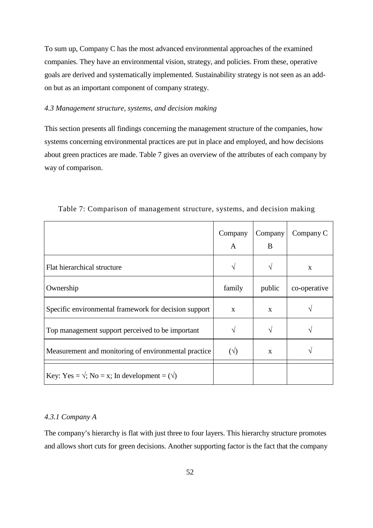To sum up, Company C has the most advanced environmental approaches of the examined companies. They have an environmental vision, strategy, and policies. From these, operative goals are derived and systematically implemented. Sustainability strategy is not seen as an addon but as an important component of company strategy.

# *4.3 Management structure, systems, and decision making*

This section presents all findings concerning the management structure of the companies, how systems concerning environmental practices are put in place and employed, and how decisions about green practices are made. Table 7 gives an overview of the attributes of each company by way of comparison.

|                                                            | Company<br>A | Company<br>B | Company C    |
|------------------------------------------------------------|--------------|--------------|--------------|
| Flat hierarchical structure                                | N            | $\gamma$     | X            |
| Ownership                                                  | family       | public       | co-operative |
| Specific environmental framework for decision support      | $\mathbf{x}$ | $\mathbf{X}$ |              |
| Top management support perceived to be important           |              | $\gamma$     |              |
| Measurement and monitoring of environmental practice       | $(\sqrt{2})$ | X            |              |
| Key: Yes = $\sqrt{$ ; No = x; In development = $(\sqrt{)}$ |              |              |              |

Table 7: Comparison of management structure, systems, and decision making

# *4.3.1 Company A*

The company's hierarchy is flat with just three to four layers. This hierarchy structure promotes and allows short cuts for green decisions. Another supporting factor is the fact that the company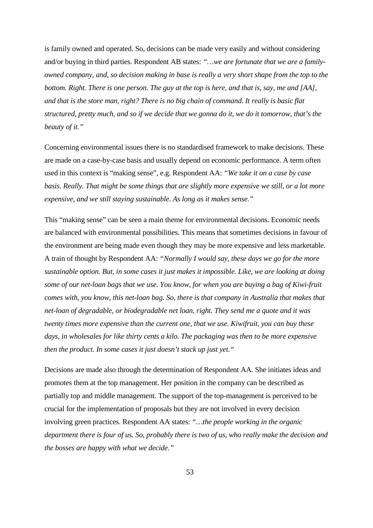is family owned and operated. So, decisions can be made very easily and without considering and/or buying in third parties. Respondent AB states: *"…we are fortunate that we are a familyowned company, and, so decision making in base is really a very short shape from the top to the bottom. Right. There is one person. The guy at the top is here, and that is, say, me and [AA], and that is the store man, right? There is no big chain of command. It really is basic flat structured, pretty much, and so if we decide that we gonna do it, we do it tomorrow, that's the beauty of it."* 

Concerning environmental issues there is no standardised framework to make decisions. These are made on a case-by-case basis and usually depend on economic performance. A term often used in this context is "making sense", e.g. Respondent AA: *"We take it on a case by case basis. Really. That might be some things that are slightly more expensive we still, or a lot more expensive, and we still staying sustainable. As long as it makes sense."* 

This "making sense" can be seen a main theme for environmental decisions. Economic needs are balanced with environmental possibilities. This means that sometimes decisions in favour of the environment are being made even though they may be more expensive and less marketable. A train of thought by Respondent AA: *"Normally I would say, these days we go for the more sustainable option. But, in some cases it just makes it impossible. Like, we are looking at doing some of our net-loan bags that we use. You know, for when you are buying a bag of Kiwi-fruit comes with, you know, this net-loan bag. So, there is that company in Australia that makes that net-loan of degradable, or biodegradable net loan, right. They send me a quote and it was twenty times more expensive than the current one, that we use. Kiwifruit, you can buy these days, in wholesales for like thirty cents a kilo. The packaging was then to be more expensive then the product. In some cases it just doesn't stack up just yet."* 

Decisions are made also through the determination of Respondent AA. She initiates ideas and promotes them at the top management. Her position in the company can be described as partially top and middle management. The support of the top-management is perceived to be crucial for the implementation of proposals but they are not involved in every decision involving green practices. Respondent AA states: *"…the people working in the organic department there is four of us. So, probably there is two of us, who really make the decision and the bosses are happy with what we decide."*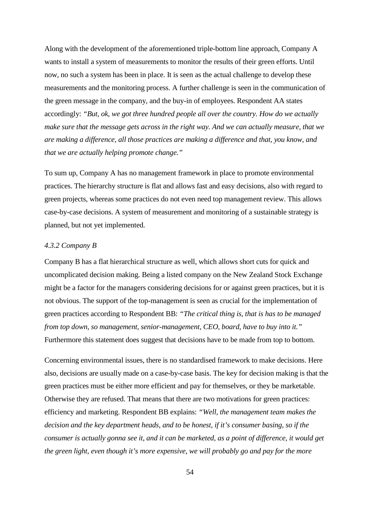Along with the development of the aforementioned triple-bottom line approach, Company A wants to install a system of measurements to monitor the results of their green efforts. Until now, no such a system has been in place. It is seen as the actual challenge to develop these measurements and the monitoring process. A further challenge is seen in the communication of the green message in the company, and the buy-in of employees. Respondent AA states accordingly: *"But, ok, we got three hundred people all over the country. How do we actually make sure that the message gets across in the right way. And we can actually measure, that we are making a difference, all those practices are making a difference and that, you know, and that we are actually helping promote change."*

To sum up, Company A has no management framework in place to promote environmental practices. The hierarchy structure is flat and allows fast and easy decisions, also with regard to green projects, whereas some practices do not even need top management review. This allows case-by-case decisions. A system of measurement and monitoring of a sustainable strategy is planned, but not yet implemented.

## *4.3.2 Company B*

Company B has a flat hierarchical structure as well, which allows short cuts for quick and uncomplicated decision making. Being a listed company on the New Zealand Stock Exchange might be a factor for the managers considering decisions for or against green practices, but it is not obvious. The support of the top-management is seen as crucial for the implementation of green practices according to Respondent BB: *"The critical thing is, that is has to be managed from top down, so management, senior-management, CEO, board, have to buy into it."* Furthermore this statement does suggest that decisions have to be made from top to bottom.

Concerning environmental issues, there is no standardised framework to make decisions. Here also, decisions are usually made on a case-by-case basis. The key for decision making is that the green practices must be either more efficient and pay for themselves, or they be marketable. Otherwise they are refused. That means that there are two motivations for green practices: efficiency and marketing. Respondent BB explains: *"Well, the management team makes the decision and the key department heads, and to be honest, if it's consumer basing, so if the consumer is actually gonna see it, and it can be marketed, as a point of difference, it would get the green light, even though it's more expensive, we will probably go and pay for the more*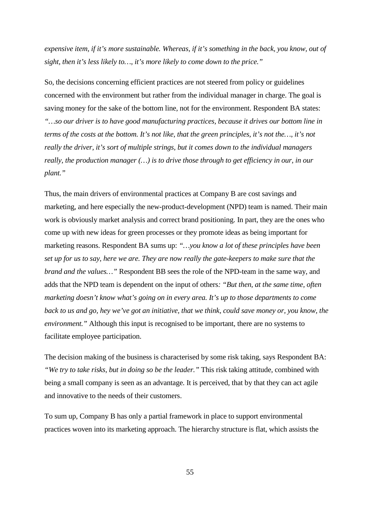*expensive item, if it's more sustainable. Whereas, if it's something in the back, you know, out of sight, then it's less likely to…, it's more likely to come down to the price."* 

So, the decisions concerning efficient practices are not steered from policy or guidelines concerned with the environment but rather from the individual manager in charge. The goal is saving money for the sake of the bottom line, not for the environment. Respondent BA states: *"…so our driver is to have good manufacturing practices, because it drives our bottom line in terms of the costs at the bottom. It's not like, that the green principles, it's not the…, it's not really the driver, it's sort of multiple strings, but it comes down to the individual managers really, the production manager (…) is to drive those through to get efficiency in our, in our plant."* 

Thus, the main drivers of environmental practices at Company B are cost savings and marketing, and here especially the new-product-development (NPD) team is named. Their main work is obviously market analysis and correct brand positioning. In part, they are the ones who come up with new ideas for green processes or they promote ideas as being important for marketing reasons. Respondent BA sums up: *"…you know a lot of these principles have been set up for us to say, here we are. They are now really the gate-keepers to make sure that the brand and the values…"* Respondent BB sees the role of the NPD-team in the same way, and adds that the NPD team is dependent on the input of others*: "But then, at the same time, often marketing doesn't know what's going on in every area. It's up to those departments to come back to us and go, hey we've got an initiative, that we think, could save money or, you know, the environment."* Although this input is recognised to be important, there are no systems to facilitate employee participation.

The decision making of the business is characterised by some risk taking, says Respondent BA: *"We try to take risks, but in doing so be the leader."* This risk taking attitude, combined with being a small company is seen as an advantage. It is perceived, that by that they can act agile and innovative to the needs of their customers.

To sum up, Company B has only a partial framework in place to support environmental practices woven into its marketing approach. The hierarchy structure is flat, which assists the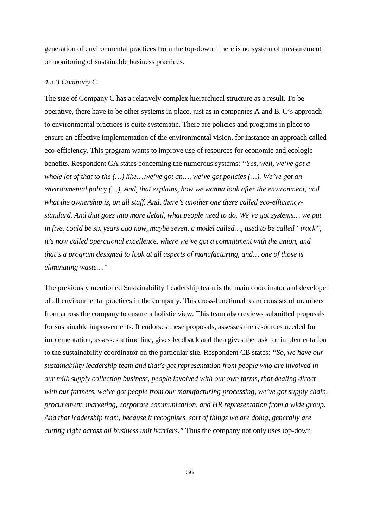generation of environmental practices from the top-down. There is no system of measurement or monitoring of sustainable business practices.

## *4.3.3 Company C*

The size of Company C has a relatively complex hierarchical structure as a result. To be operative, there have to be other systems in place, just as in companies A and B. C's approach to environmental practices is quite systematic. There are policies and programs in place to ensure an effective implementation of the environmental vision, for instance an approach called eco-efficiency. This program wants to improve use of resources for economic and ecologic benefits. Respondent CA states concerning the numerous systems: *"Yes, well, we've got a whole lot of that to the (…) like…,we've got an…, we've got policies (…). We've got an environmental policy (…). And, that explains, how we wanna look after the environment, and what the ownership is, on all staff. And, there's another one there called eco-efficiencystandard. And that goes into more detail, what people need to do. We've got systems… we put in five, could be six years ago now, maybe seven, a model called…, used to be called "track", it's now called operational excellence, where we've got a commitment with the union, and that's a program designed to look at all aspects of manufacturing, and… one of those is eliminating waste…"* 

The previously mentioned Sustainability Leadership team is the main coordinator and developer of all environmental practices in the company. This cross-functional team consists of members from across the company to ensure a holistic view. This team also reviews submitted proposals for sustainable improvements. It endorses these proposals, assesses the resources needed for implementation, assesses a time line, gives feedback and then gives the task for implementation to the sustainability coordinator on the particular site. Respondent CB states: *"So, we have our sustainability leadership team and that's got representation from people who are involved in our milk supply collection business, people involved with our own farms, that dealing direct with our farmers, we've got people from our manufacturing processing, we've got supply chain, procurement, marketing, corporate communication, and HR representation from a wide group. And that leadership team, because it recognises, sort of things we are doing, generally are cutting right across all business unit barriers."* Thus the company not only uses top-down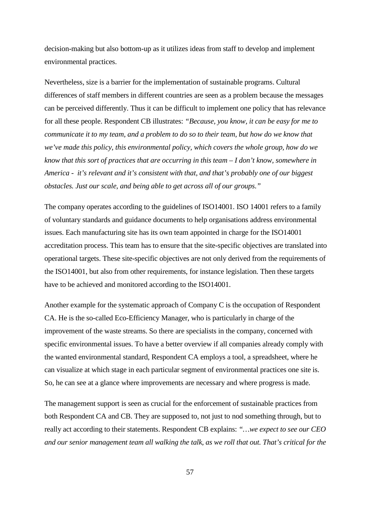decision-making but also bottom-up as it utilizes ideas from staff to develop and implement environmental practices.

Nevertheless, size is a barrier for the implementation of sustainable programs. Cultural differences of staff members in different countries are seen as a problem because the messages can be perceived differently. Thus it can be difficult to implement one policy that has relevance for all these people. Respondent CB illustrates: *"Because, you know, it can be easy for me to communicate it to my team, and a problem to do so to their team, but how do we know that we've made this policy, this environmental policy, which covers the whole group, how do we know that this sort of practices that are occurring in this team – I don't know, somewhere in America - it's relevant and it's consistent with that, and that's probably one of our biggest obstacles. Just our scale, and being able to get across all of our groups."* 

The company operates according to the guidelines of ISO14001. ISO 14001 refers to a family of voluntary standards and guidance documents to help organisations address environmental issues. Each manufacturing site has its own team appointed in charge for the ISO14001 accreditation process. This team has to ensure that the site-specific objectives are translated into operational targets. These site-specific objectives are not only derived from the requirements of the ISO14001, but also from other requirements, for instance legislation. Then these targets have to be achieved and monitored according to the ISO14001.

Another example for the systematic approach of Company C is the occupation of Respondent CA. He is the so-called Eco-Efficiency Manager, who is particularly in charge of the improvement of the waste streams. So there are specialists in the company, concerned with specific environmental issues. To have a better overview if all companies already comply with the wanted environmental standard, Respondent CA employs a tool, a spreadsheet, where he can visualize at which stage in each particular segment of environmental practices one site is. So, he can see at a glance where improvements are necessary and where progress is made.

The management support is seen as crucial for the enforcement of sustainable practices from both Respondent CA and CB. They are supposed to, not just to nod something through, but to really act according to their statements. Respondent CB explains: *"…we expect to see our CEO and our senior management team all walking the talk, as we roll that out. That's critical for the*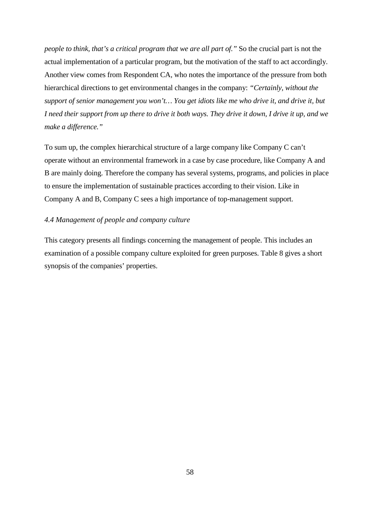*people to think, that's a critical program that we are all part of.*" So the crucial part is not the actual implementation of a particular program, but the motivation of the staff to act accordingly. Another view comes from Respondent CA, who notes the importance of the pressure from both hierarchical directions to get environmental changes in the company: *"Certainly, without the support of senior management you won't… You get idiots like me who drive it, and drive it, but I need their support from up there to drive it both ways. They drive it down, I drive it up, and we make a difference."* 

To sum up, the complex hierarchical structure of a large company like Company C can't operate without an environmental framework in a case by case procedure, like Company A and B are mainly doing. Therefore the company has several systems, programs, and policies in place to ensure the implementation of sustainable practices according to their vision. Like in Company A and B, Company C sees a high importance of top-management support.

# *4.4 Management of people and company culture*

This category presents all findings concerning the management of people. This includes an examination of a possible company culture exploited for green purposes. Table 8 gives a short synopsis of the companies' properties.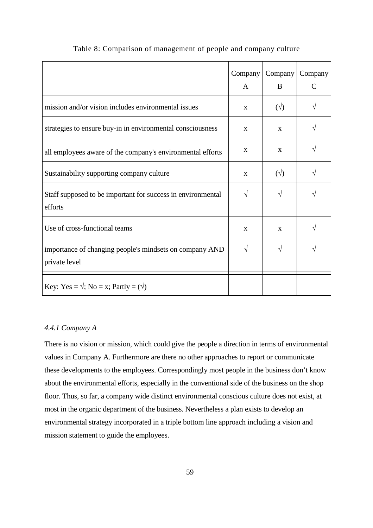|                                                                          | Company<br>A | Company<br>B | Company<br>C |
|--------------------------------------------------------------------------|--------------|--------------|--------------|
| mission and/or vision includes environmental issues                      | $\mathbf{X}$ | $(\sqrt{2})$ |              |
| strategies to ensure buy-in in environmental consciousness               | $\mathbf{x}$ | $\mathbf{x}$ |              |
| all employees aware of the company's environmental efforts               | X            | X            |              |
| Sustainability supporting company culture                                | X            | $(\sqrt{2})$ |              |
| Staff supposed to be important for success in environmental<br>efforts   | V            |              |              |
| Use of cross-functional teams                                            | $\mathbf{x}$ | $\mathbf{x}$ |              |
| importance of changing people's mindsets on company AND<br>private level | $\sqrt{ }$   |              |              |
| Key: Yes = $\sqrt{ }$ ; No = x; Partly = $(\sqrt{)}$                     |              |              |              |

# Table 8: Comparison of management of people and company culture

# *4.4.1 Company A*

There is no vision or mission, which could give the people a direction in terms of environmental values in Company A. Furthermore are there no other approaches to report or communicate these developments to the employees. Correspondingly most people in the business don't know about the environmental efforts, especially in the conventional side of the business on the shop floor. Thus, so far, a company wide distinct environmental conscious culture does not exist, at most in the organic department of the business. Nevertheless a plan exists to develop an environmental strategy incorporated in a triple bottom line approach including a vision and mission statement to guide the employees.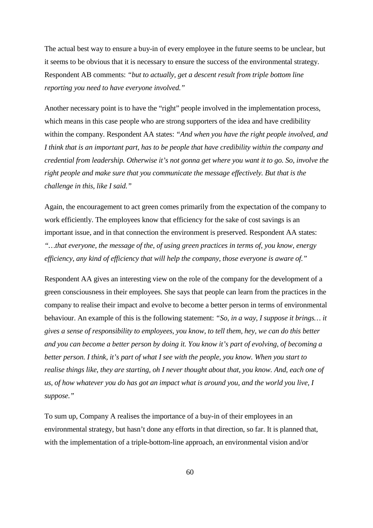The actual best way to ensure a buy-in of every employee in the future seems to be unclear, but it seems to be obvious that it is necessary to ensure the success of the environmental strategy. Respondent AB comments: *"but to actually, get a descent result from triple bottom line reporting you need to have everyone involved."*

Another necessary point is to have the "right" people involved in the implementation process, which means in this case people who are strong supporters of the idea and have credibility within the company. Respondent AA states: *"And when you have the right people involved, and I think that is an important part, has to be people that have credibility within the company and credential from leadership. Otherwise it's not gonna get where you want it to go. So, involve the right people and make sure that you communicate the message effectively. But that is the challenge in this, like I said."* 

Again, the encouragement to act green comes primarily from the expectation of the company to work efficiently. The employees know that efficiency for the sake of cost savings is an important issue, and in that connection the environment is preserved. Respondent AA states: *"…that everyone, the message of the, of using green practices in terms of, you know, energy efficiency, any kind of efficiency that will help the company, those everyone is aware of."* 

Respondent AA gives an interesting view on the role of the company for the development of a green consciousness in their employees. She says that people can learn from the practices in the company to realise their impact and evolve to become a better person in terms of environmental behaviour. An example of this is the following statement: *"So, in a way, I suppose it brings… it gives a sense of responsibility to employees, you know, to tell them, hey, we can do this better and you can become a better person by doing it. You know it's part of evolving, of becoming a better person. I think, it's part of what I see with the people, you know. When you start to realise things like, they are starting, oh I never thought about that, you know. And, each one of us, of how whatever you do has got an impact what is around you, and the world you live, I suppose."* 

To sum up, Company A realises the importance of a buy-in of their employees in an environmental strategy, but hasn't done any efforts in that direction, so far. It is planned that, with the implementation of a triple-bottom-line approach, an environmental vision and/or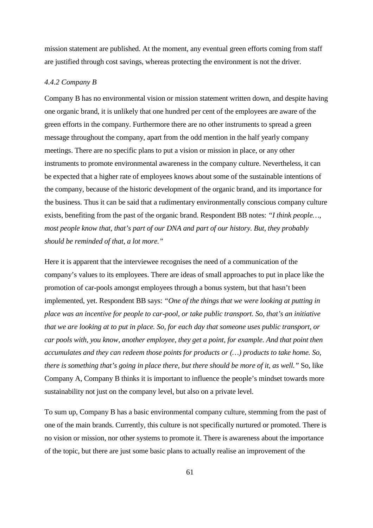mission statement are published. At the moment, any eventual green efforts coming from staff are justified through cost savings, whereas protecting the environment is not the driver.

## *4.4.2 Company B*

Company B has no environmental vision or mission statement written down, and despite having one organic brand, it is unlikely that one hundred per cent of the employees are aware of the green efforts in the company. Furthermore there are no other instruments to spread a green message throughout the company, apart from the odd mention in the half yearly company meetings. There are no specific plans to put a vision or mission in place, or any other instruments to promote environmental awareness in the company culture. Nevertheless, it can be expected that a higher rate of employees knows about some of the sustainable intentions of the company, because of the historic development of the organic brand, and its importance for the business. Thus it can be said that a rudimentary environmentally conscious company culture exists, benefiting from the past of the organic brand. Respondent BB notes: *"I think people…, most people know that, that's part of our DNA and part of our history. But, they probably should be reminded of that, a lot more."* 

Here it is apparent that the interviewee recognises the need of a communication of the company's values to its employees. There are ideas of small approaches to put in place like the promotion of car-pools amongst employees through a bonus system, but that hasn't been implemented, yet. Respondent BB says: *"One of the things that we were looking at putting in place was an incentive for people to car-pool, or take public transport. So, that's an initiative that we are looking at to put in place. So, for each day that someone uses public transport, or car pools with, you know, another employee, they get a point, for example. And that point then accumulates and they can redeem those points for products or (…) products to take home. So, there is something that's going in place there, but there should be more of it, as well."* So, like Company A, Company B thinks it is important to influence the people's mindset towards more sustainability not just on the company level, but also on a private level.

To sum up, Company B has a basic environmental company culture, stemming from the past of one of the main brands. Currently, this culture is not specifically nurtured or promoted. There is no vision or mission, nor other systems to promote it. There is awareness about the importance of the topic, but there are just some basic plans to actually realise an improvement of the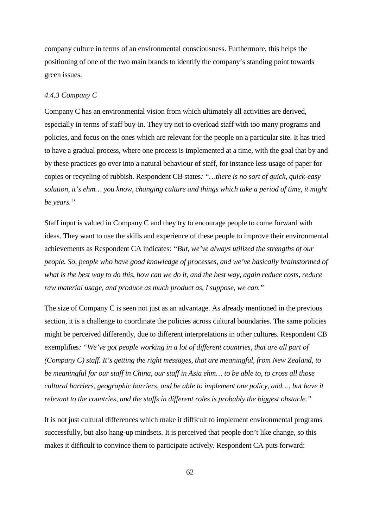company culture in terms of an environmental consciousness. Furthermore, this helps the positioning of one of the two main brands to identify the company's standing point towards green issues.

## *4.4.3 Company C*

Company C has an environmental vision from which ultimately all activities are derived, especially in terms of staff buy-in. They try not to overload staff with too many programs and policies, and focus on the ones which are relevant for the people on a particular site. It has tried to have a gradual process, where one process is implemented at a time, with the goal that by and by these practices go over into a natural behaviour of staff, for instance less usage of paper for copies or recycling of rubbish. Respondent CB states*: "…there is no sort of quick, quick-easy solution, it's ehm… you know, changing culture and things which take a period of time, it might be years."* 

Staff input is valued in Company C and they try to encourage people to come forward with ideas. They want to use the skills and experience of these people to improve their environmental achievements as Respondent CA indicates: *"But, we've always utilized the strengths of our people. So, people who have good knowledge of processes, and we've basically brainstormed of what is the best way to do this, how can we do it, and the best way, again reduce costs, reduce raw material usage, and produce as much product as, I suppose, we can."*

The size of Company C is seen not just as an advantage. As already mentioned in the previous section, it is a challenge to coordinate the policies across cultural boundaries. The same policies might be perceived differently, due to different interpretations in other cultures. Respondent CB exemplifies*: "We've got people working in a lot of different countries, that are all part of (Company C) staff. It's getting the right messages, that are meaningful, from New Zealand, to be meaningful for our staff in China, our staff in Asia ehm… to be able to, to cross all those cultural barriers, geographic barriers, and be able to implement one policy, and…, but have it relevant to the countries, and the staffs in different roles is probably the biggest obstacle."* 

It is not just cultural differences which make it difficult to implement environmental programs successfully, but also hang-up mindsets. It is perceived that people don't like change, so this makes it difficult to convince them to participate actively. Respondent CA puts forward: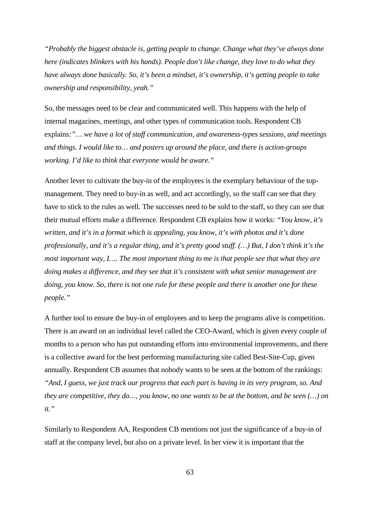*"Probably the biggest obstacle is, getting people to change. Change what they've always done here (indicates blinkers with his hands). People don't like change, they love to do what they have always done basically. So, it's been a mindset, it's ownership, it's getting people to take ownership and responsibility, yeah."* 

So, the messages need to be clear and communicated well. This happens with the help of internal magazines, meetings, and other types of communication tools. Respondent CB explains*:"… we have a lot of staff communication, and awareness-types sessions, and meetings and things. I would like to… and posters up around the place, and there is action-groups working. I'd like to think that everyone would be aware."* 

Another lever to cultivate the buy-in of the employees is the exemplary behaviour of the topmanagement. They need to buy-in as well, and act accordingly, so the staff can see that they have to stick to the rules as well. The successes need to be sold to the staff, so they can see that their mutual efforts make a difference. Respondent CB explains how it works: *"You know, it's written, and it's in a format which is appealing, you know, it's with photos and it's done professionally, and it's a regular thing, and it's pretty good stuff. (…) But, I don't think it's the most important way, I…. The most important thing to me is that people see that what they are doing makes a difference, and they see that it's consistent with what senior management are doing, you know. So, there is not one rule for these people and there is another one for these people."* 

A further tool to ensure the buy-in of employees and to keep the programs alive is competition. There is an award on an individual level called the CEO-Award, which is given every couple of months to a person who has put outstanding efforts into environmental improvements, and there is a collective award for the best performing manufacturing site called Best-Site-Cup, given annually. Respondent CB assumes that nobody wants to be seen at the bottom of the rankings: *"And, I guess, we just track our progress that each part is having in its very program, so. And they are competitive, they do…, you know, no one wants to be at the bottom, and be seen (…) on it."*

Similarly to Respondent AA, Respondent CB mentions not just the significance of a buy-in of staff at the company level, but also on a private level. In her view it is important that the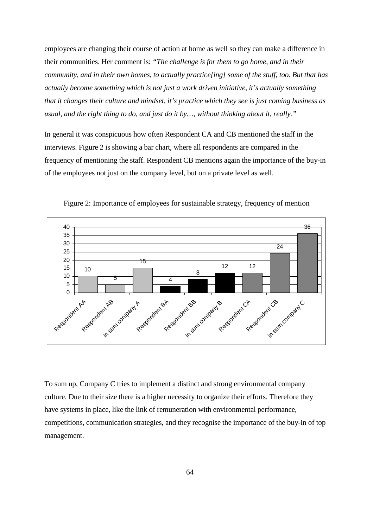employees are changing their course of action at home as well so they can make a difference in their communities. Her comment is: *"The challenge is for them to go home, and in their community, and in their own homes, to actually practice[ing] some of the stuff, too. But that has actually become something which is not just a work driven initiative, it's actually something that it changes their culture and mindset, it's practice which they see is just coming business as usual, and the right thing to do, and just do it by…, without thinking about it, really."*

In general it was conspicuous how often Respondent CA and CB mentioned the staff in the interviews. Figure 2 is showing a bar chart, where all respondents are compared in the frequency of mentioning the staff. Respondent CB mentions again the importance of the buy-in of the employees not just on the company level, but on a private level as well.



Figure 2: Importance of employees for sustainable strategy, frequency of mention

To sum up, Company C tries to implement a distinct and strong environmental company culture. Due to their size there is a higher necessity to organize their efforts. Therefore they have systems in place, like the link of remuneration with environmental performance, competitions, communication strategies, and they recognise the importance of the buy-in of top management.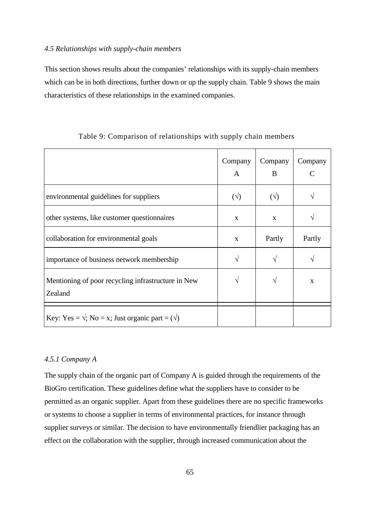# *4.5 Relationships with supply-chain members*

This section shows results about the companies' relationships with its supply-chain members which can be in both directions, further down or up the supply chain. Table 9 shows the main characteristics of these relationships in the examined companies.

|                                                               | Company<br>A | Company<br>B | Company |
|---------------------------------------------------------------|--------------|--------------|---------|
| environmental guidelines for suppliers                        | $(\vee)$     | $(\sqrt{2})$ |         |
| other systems, like customer questionnaires                   | X            | X            |         |
| collaboration for environmental goals                         | X            | Partly       | Partly  |
| importance of business network membership                     | V            |              |         |
| Mentioning of poor recycling infrastructure in New<br>Zealand | V            |              | X       |
| Key: Yes = $\sqrt{,}$ No = x; Just organic part = $(\sqrt{)}$ |              |              |         |

Table 9: Comparison of relationships with supply chain members

# *4.5.1 Company A*

The supply chain of the organic part of Company A is guided through the requirements of the BioGro certification. These guidelines define what the suppliers have to consider to be permitted as an organic supplier. Apart from these guidelines there are no specific frameworks or systems to choose a supplier in terms of environmental practices, for instance through supplier surveys or similar. The decision to have environmentally friendlier packaging has an effect on the collaboration with the supplier, through increased communication about the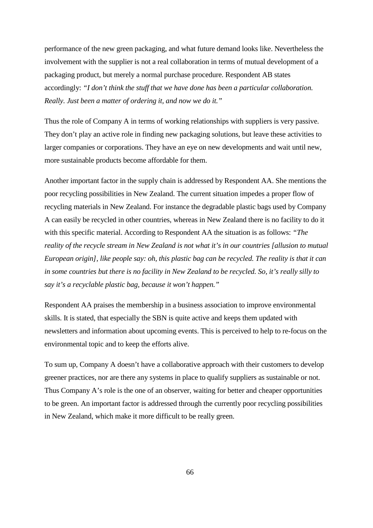performance of the new green packaging, and what future demand looks like. Nevertheless the involvement with the supplier is not a real collaboration in terms of mutual development of a packaging product, but merely a normal purchase procedure. Respondent AB states accordingly: *"I don't think the stuff that we have done has been a particular collaboration. Really. Just been a matter of ordering it, and now we do it."*

Thus the role of Company A in terms of working relationships with suppliers is very passive. They don't play an active role in finding new packaging solutions, but leave these activities to larger companies or corporations. They have an eye on new developments and wait until new, more sustainable products become affordable for them.

Another important factor in the supply chain is addressed by Respondent AA. She mentions the poor recycling possibilities in New Zealand. The current situation impedes a proper flow of recycling materials in New Zealand. For instance the degradable plastic bags used by Company A can easily be recycled in other countries, whereas in New Zealand there is no facility to do it with this specific material. According to Respondent AA the situation is as follows: *"The reality of the recycle stream in New Zealand is not what it's in our countries [allusion to mutual European origin], like people say: oh, this plastic bag can be recycled. The reality is that it can in some countries but there is no facility in New Zealand to be recycled. So, it's really silly to say it's a recyclable plastic bag, because it won't happen."* 

Respondent AA praises the membership in a business association to improve environmental skills. It is stated, that especially the SBN is quite active and keeps them updated with newsletters and information about upcoming events. This is perceived to help to re-focus on the environmental topic and to keep the efforts alive.

To sum up, Company A doesn't have a collaborative approach with their customers to develop greener practices, nor are there any systems in place to qualify suppliers as sustainable or not. Thus Company A's role is the one of an observer, waiting for better and cheaper opportunities to be green. An important factor is addressed through the currently poor recycling possibilities in New Zealand, which make it more difficult to be really green.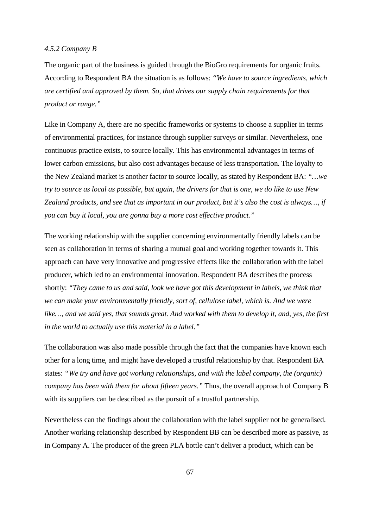# *4.5.2 Company B*

The organic part of the business is guided through the BioGro requirements for organic fruits. According to Respondent BA the situation is as follows: *"We have to source ingredients, which are certified and approved by them. So, that drives our supply chain requirements for that product or range."*

Like in Company A, there are no specific frameworks or systems to choose a supplier in terms of environmental practices, for instance through supplier surveys or similar. Nevertheless, one continuous practice exists, to source locally. This has environmental advantages in terms of lower carbon emissions, but also cost advantages because of less transportation. The loyalty to the New Zealand market is another factor to source locally, as stated by Respondent BA: *"…we try to source as local as possible, but again, the drivers for that is one, we do like to use New Zealand products, and see that as important in our product, but it's also the cost is always…, if you can buy it local, you are gonna buy a more cost effective product."* 

The working relationship with the supplier concerning environmentally friendly labels can be seen as collaboration in terms of sharing a mutual goal and working together towards it. This approach can have very innovative and progressive effects like the collaboration with the label producer, which led to an environmental innovation. Respondent BA describes the process shortly: *"They came to us and said, look we have got this development in labels, we think that we can make your environmentally friendly, sort of, cellulose label, which is. And we were like…, and we said yes, that sounds great. And worked with them to develop it, and, yes, the first in the world to actually use this material in a label."* 

The collaboration was also made possible through the fact that the companies have known each other for a long time, and might have developed a trustful relationship by that. Respondent BA states: *"We try and have got working relationships, and with the label company, the (organic) company has been with them for about fifteen years."* Thus, the overall approach of Company B with its suppliers can be described as the pursuit of a trustful partnership.

Nevertheless can the findings about the collaboration with the label supplier not be generalised. Another working relationship described by Respondent BB can be described more as passive, as in Company A. The producer of the green PLA bottle can't deliver a product, which can be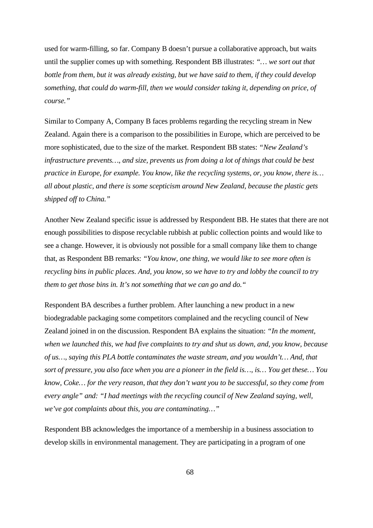used for warm-filling, so far. Company B doesn't pursue a collaborative approach, but waits until the supplier comes up with something. Respondent BB illustrates: *"… we sort out that bottle from them, but it was already existing, but we have said to them, if they could develop something, that could do warm-fill, then we would consider taking it, depending on price, of course."* 

Similar to Company A, Company B faces problems regarding the recycling stream in New Zealand. Again there is a comparison to the possibilities in Europe, which are perceived to be more sophisticated, due to the size of the market. Respondent BB states: *"New Zealand's infrastructure prevents…, and size, prevents us from doing a lot of things that could be best practice in Europe, for example. You know, like the recycling systems, or, you know, there is… all about plastic, and there is some scepticism around New Zealand, because the plastic gets shipped off to China."*

Another New Zealand specific issue is addressed by Respondent BB. He states that there are not enough possibilities to dispose recyclable rubbish at public collection points and would like to see a change. However, it is obviously not possible for a small company like them to change that, as Respondent BB remarks: *"You know, one thing, we would like to see more often is recycling bins in public places. And, you know, so we have to try and lobby the council to try them to get those bins in. It's not something that we can go and do."*

Respondent BA describes a further problem. After launching a new product in a new biodegradable packaging some competitors complained and the recycling council of New Zealand joined in on the discussion. Respondent BA explains the situation: *"In the moment, when we launched this, we had five complaints to try and shut us down, and, you know, because of us…, saying this PLA bottle contaminates the waste stream, and you wouldn't… And, that sort of pressure, you also face when you are a pioneer in the field is…, is… You get these… You know, Coke… for the very reason, that they don't want you to be successful, so they come from every angle" and: "I had meetings with the recycling council of New Zealand saying, well, we've got complaints about this, you are contaminating…"* 

Respondent BB acknowledges the importance of a membership in a business association to develop skills in environmental management. They are participating in a program of one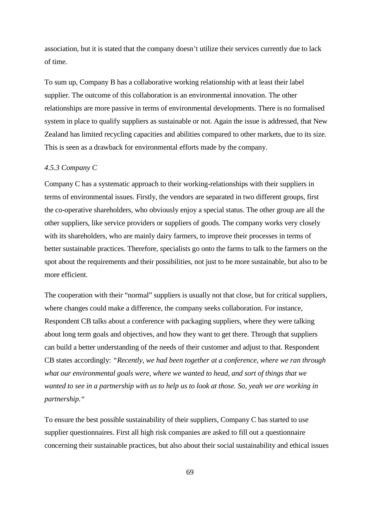association, but it is stated that the company doesn't utilize their services currently due to lack of time.

To sum up, Company B has a collaborative working relationship with at least their label supplier. The outcome of this collaboration is an environmental innovation. The other relationships are more passive in terms of environmental developments. There is no formalised system in place to qualify suppliers as sustainable or not. Again the issue is addressed, that New Zealand has limited recycling capacities and abilities compared to other markets, due to its size. This is seen as a drawback for environmental efforts made by the company.

# *4.5.3 Company C*

Company C has a systematic approach to their working-relationships with their suppliers in terms of environmental issues. Firstly, the vendors are separated in two different groups, first the co-operative shareholders, who obviously enjoy a special status. The other group are all the other suppliers, like service providers or suppliers of goods. The company works very closely with its shareholders, who are mainly dairy farmers, to improve their processes in terms of better sustainable practices. Therefore, specialists go onto the farms to talk to the farmers on the spot about the requirements and their possibilities, not just to be more sustainable, but also to be more efficient.

The cooperation with their "normal" suppliers is usually not that close, but for critical suppliers, where changes could make a difference, the company seeks collaboration. For instance, Respondent CB talks about a conference with packaging suppliers, where they were talking about long term goals and objectives, and how they want to get there. Through that suppliers can build a better understanding of the needs of their customer and adjust to that. Respondent CB states accordingly: *"Recently, we had been together at a conference, where we ran through what our environmental goals were, where we wanted to head, and sort of things that we wanted to see in a partnership with us to help us to look at those. So, yeah we are working in partnership."* 

To ensure the best possible sustainability of their suppliers, Company C has started to use supplier questionnaires. First all high risk companies are asked to fill out a questionnaire concerning their sustainable practices, but also about their social sustainability and ethical issues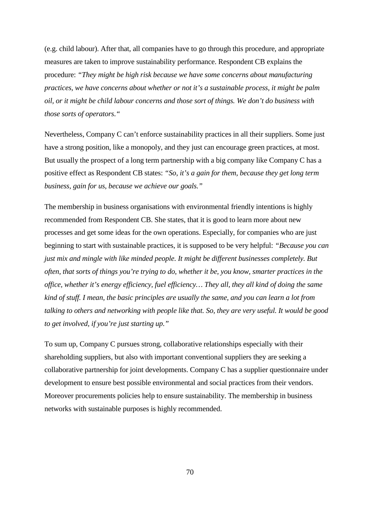(e.g. child labour). After that, all companies have to go through this procedure, and appropriate measures are taken to improve sustainability performance. Respondent CB explains the procedure: *"They might be high risk because we have some concerns about manufacturing practices, we have concerns about whether or not it's a sustainable process, it might be palm oil, or it might be child labour concerns and those sort of things. We don't do business with those sorts of operators."*

Nevertheless, Company C can't enforce sustainability practices in all their suppliers. Some just have a strong position, like a monopoly, and they just can encourage green practices, at most. But usually the prospect of a long term partnership with a big company like Company C has a positive effect as Respondent CB states: *"So, it's a gain for them, because they get long term business, gain for us, because we achieve our goals."*

The membership in business organisations with environmental friendly intentions is highly recommended from Respondent CB. She states, that it is good to learn more about new processes and get some ideas for the own operations. Especially, for companies who are just beginning to start with sustainable practices, it is supposed to be very helpful: *"Because you can just mix and mingle with like minded people. It might be different businesses completely. But often, that sorts of things you're trying to do, whether it be, you know, smarter practices in the office, whether it's energy efficiency, fuel efficiency… They all, they all kind of doing the same kind of stuff. I mean, the basic principles are usually the same, and you can learn a lot from talking to others and networking with people like that. So, they are very useful. It would be good to get involved, if you're just starting up."*

To sum up, Company C pursues strong, collaborative relationships especially with their shareholding suppliers, but also with important conventional suppliers they are seeking a collaborative partnership for joint developments. Company C has a supplier questionnaire under development to ensure best possible environmental and social practices from their vendors. Moreover procurements policies help to ensure sustainability. The membership in business networks with sustainable purposes is highly recommended.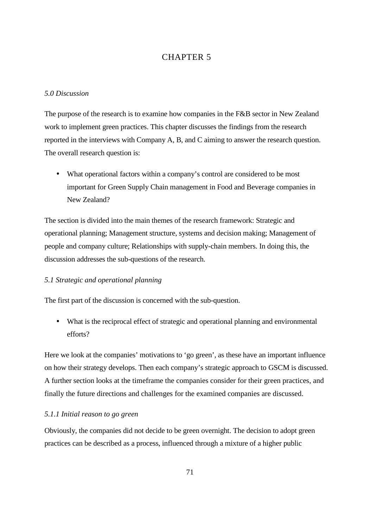# CHAPTER 5

# *5.0 Discussion*

The purpose of the research is to examine how companies in the F&B sector in New Zealand work to implement green practices. This chapter discusses the findings from the research reported in the interviews with Company A, B, and C aiming to answer the research question. The overall research question is:

• What operational factors within a company's control are considered to be most important for Green Supply Chain management in Food and Beverage companies in New Zealand?

The section is divided into the main themes of the research framework: Strategic and operational planning; Management structure, systems and decision making; Management of people and company culture; Relationships with supply-chain members. In doing this, the discussion addresses the sub-questions of the research.

### *5.1 Strategic and operational planning*

The first part of the discussion is concerned with the sub-question.

• What is the reciprocal effect of strategic and operational planning and environmental efforts?

Here we look at the companies' motivations to 'go green', as these have an important influence on how their strategy develops. Then each company's strategic approach to GSCM is discussed. A further section looks at the timeframe the companies consider for their green practices, and finally the future directions and challenges for the examined companies are discussed.

#### *5.1.1 Initial reason to go green*

Obviously, the companies did not decide to be green overnight. The decision to adopt green practices can be described as a process, influenced through a mixture of a higher public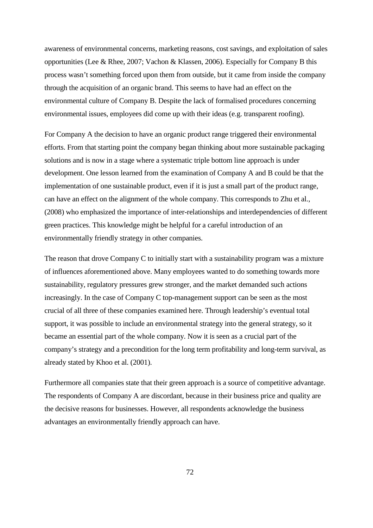awareness of environmental concerns, marketing reasons, cost savings, and exploitation of sales opportunities (Lee & Rhee, 2007; Vachon & Klassen, 2006). Especially for Company B this process wasn't something forced upon them from outside, but it came from inside the company through the acquisition of an organic brand. This seems to have had an effect on the environmental culture of Company B. Despite the lack of formalised procedures concerning environmental issues, employees did come up with their ideas (e.g. transparent roofing).

For Company A the decision to have an organic product range triggered their environmental efforts. From that starting point the company began thinking about more sustainable packaging solutions and is now in a stage where a systematic triple bottom line approach is under development. One lesson learned from the examination of Company A and B could be that the implementation of one sustainable product, even if it is just a small part of the product range, can have an effect on the alignment of the whole company. This corresponds to Zhu et al., (2008) who emphasized the importance of inter-relationships and interdependencies of different green practices. This knowledge might be helpful for a careful introduction of an environmentally friendly strategy in other companies.

The reason that drove Company C to initially start with a sustainability program was a mixture of influences aforementioned above. Many employees wanted to do something towards more sustainability, regulatory pressures grew stronger, and the market demanded such actions increasingly. In the case of Company C top-management support can be seen as the most crucial of all three of these companies examined here. Through leadership's eventual total support, it was possible to include an environmental strategy into the general strategy, so it became an essential part of the whole company. Now it is seen as a crucial part of the company's strategy and a precondition for the long term profitability and long-term survival, as already stated by Khoo et al. (2001).

Furthermore all companies state that their green approach is a source of competitive advantage. The respondents of Company A are discordant, because in their business price and quality are the decisive reasons for businesses. However, all respondents acknowledge the business advantages an environmentally friendly approach can have.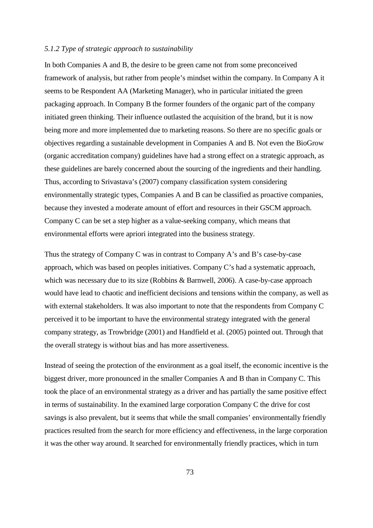# *5.1.2 Type of strategic approach to sustainability*

In both Companies A and B, the desire to be green came not from some preconceived framework of analysis, but rather from people's mindset within the company. In Company A it seems to be Respondent AA (Marketing Manager), who in particular initiated the green packaging approach. In Company B the former founders of the organic part of the company initiated green thinking. Their influence outlasted the acquisition of the brand, but it is now being more and more implemented due to marketing reasons. So there are no specific goals or objectives regarding a sustainable development in Companies A and B. Not even the BioGrow (organic accreditation company) guidelines have had a strong effect on a strategic approach, as these guidelines are barely concerned about the sourcing of the ingredients and their handling. Thus, according to Srivastava's (2007) company classification system considering environmentally strategic types, Companies A and B can be classified as proactive companies, because they invested a moderate amount of effort and resources in their GSCM approach. Company C can be set a step higher as a value-seeking company, which means that environmental efforts were apriori integrated into the business strategy.

Thus the strategy of Company C was in contrast to Company A's and B's case-by-case approach, which was based on peoples initiatives. Company C's had a systematic approach, which was necessary due to its size (Robbins & Barnwell, 2006). A case-by-case approach would have lead to chaotic and inefficient decisions and tensions within the company, as well as with external stakeholders. It was also important to note that the respondents from Company C perceived it to be important to have the environmental strategy integrated with the general company strategy, as Trowbridge (2001) and Handfield et al. (2005) pointed out. Through that the overall strategy is without bias and has more assertiveness.

Instead of seeing the protection of the environment as a goal itself, the economic incentive is the biggest driver, more pronounced in the smaller Companies A and B than in Company C. This took the place of an environmental strategy as a driver and has partially the same positive effect in terms of sustainability. In the examined large corporation Company C the drive for cost savings is also prevalent, but it seems that while the small companies' environmentally friendly practices resulted from the search for more efficiency and effectiveness, in the large corporation it was the other way around. It searched for environmentally friendly practices, which in turn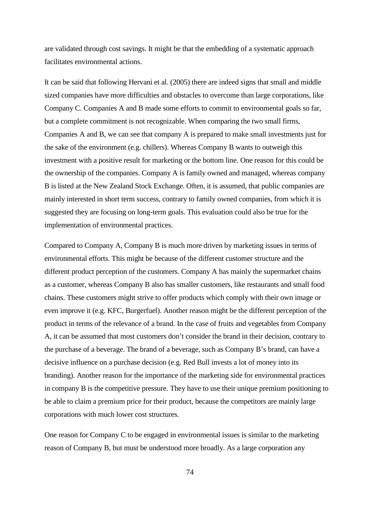are validated through cost savings. It might be that the embedding of a systematic approach facilitates environmental actions.

It can be said that following Hervani et al. (2005) there are indeed signs that small and middle sized companies have more difficulties and obstacles to overcome than large corporations, like Company C. Companies A and B made some efforts to commit to environmental goals so far, but a complete commitment is not recognizable. When comparing the two small firms, Companies A and B, we can see that company A is prepared to make small investments just for the sake of the environment (e.g. chillers). Whereas Company B wants to outweigh this investment with a positive result for marketing or the bottom line. One reason for this could be the ownership of the companies. Company A is family owned and managed, whereas company B is listed at the New Zealand Stock Exchange. Often, it is assumed, that public companies are mainly interested in short term success, contrary to family owned companies, from which it is suggested they are focusing on long-term goals. This evaluation could also be true for the implementation of environmental practices.

Compared to Company A, Company B is much more driven by marketing issues in terms of environmental efforts. This might be because of the different customer structure and the different product perception of the customers. Company A has mainly the supermarket chains as a customer, whereas Company B also has smaller customers, like restaurants and small food chains. These customers might strive to offer products which comply with their own image or even improve it (e.g. KFC, Burgerfuel). Another reason might be the different perception of the product in terms of the relevance of a brand. In the case of fruits and vegetables from Company A, it can be assumed that most customers don't consider the brand in their decision, contrary to the purchase of a beverage. The brand of a beverage, such as Company B's brand, can have a decisive influence on a purchase decision (e.g. Red Bull invests a lot of money into its branding). Another reason for the importance of the marketing side for environmental practices in company B is the competitive pressure. They have to use their unique premium positioning to be able to claim a premium price for their product, because the competitors are mainly large corporations with much lower cost structures.

One reason for Company C to be engaged in environmental issues is similar to the marketing reason of Company B, but must be understood more broadly. As a large corporation any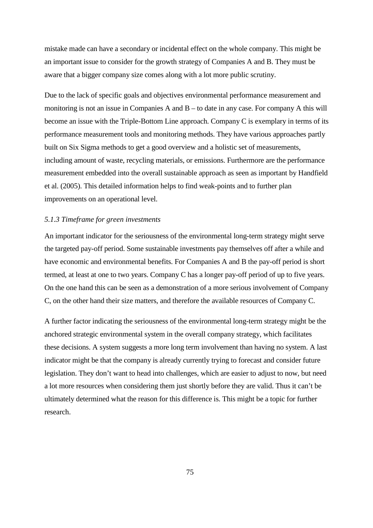mistake made can have a secondary or incidental effect on the whole company. This might be an important issue to consider for the growth strategy of Companies A and B. They must be aware that a bigger company size comes along with a lot more public scrutiny.

Due to the lack of specific goals and objectives environmental performance measurement and monitoring is not an issue in Companies A and B – to date in any case. For company A this will become an issue with the Triple-Bottom Line approach. Company C is exemplary in terms of its performance measurement tools and monitoring methods. They have various approaches partly built on Six Sigma methods to get a good overview and a holistic set of measurements, including amount of waste, recycling materials, or emissions. Furthermore are the performance measurement embedded into the overall sustainable approach as seen as important by Handfield et al. (2005). This detailed information helps to find weak-points and to further plan improvements on an operational level.

# *5.1.3 Timeframe for green investments*

An important indicator for the seriousness of the environmental long-term strategy might serve the targeted pay-off period. Some sustainable investments pay themselves off after a while and have economic and environmental benefits. For Companies A and B the pay-off period is short termed, at least at one to two years. Company C has a longer pay-off period of up to five years. On the one hand this can be seen as a demonstration of a more serious involvement of Company C, on the other hand their size matters, and therefore the available resources of Company C.

A further factor indicating the seriousness of the environmental long-term strategy might be the anchored strategic environmental system in the overall company strategy, which facilitates these decisions. A system suggests a more long term involvement than having no system. A last indicator might be that the company is already currently trying to forecast and consider future legislation. They don't want to head into challenges, which are easier to adjust to now, but need a lot more resources when considering them just shortly before they are valid. Thus it can't be ultimately determined what the reason for this difference is. This might be a topic for further research.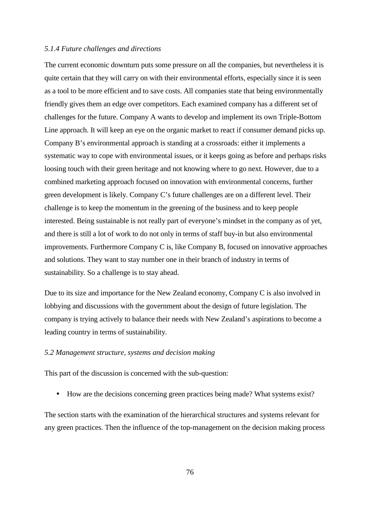# *5.1.4 Future challenges and directions*

The current economic downturn puts some pressure on all the companies, but nevertheless it is quite certain that they will carry on with their environmental efforts, especially since it is seen as a tool to be more efficient and to save costs. All companies state that being environmentally friendly gives them an edge over competitors. Each examined company has a different set of challenges for the future. Company A wants to develop and implement its own Triple-Bottom Line approach. It will keep an eye on the organic market to react if consumer demand picks up. Company B's environmental approach is standing at a crossroads: either it implements a systematic way to cope with environmental issues, or it keeps going as before and perhaps risks loosing touch with their green heritage and not knowing where to go next. However, due to a combined marketing approach focused on innovation with environmental concerns, further green development is likely. Company C's future challenges are on a different level. Their challenge is to keep the momentum in the greening of the business and to keep people interested. Being sustainable is not really part of everyone's mindset in the company as of yet, and there is still a lot of work to do not only in terms of staff buy-in but also environmental improvements. Furthermore Company C is, like Company B, focused on innovative approaches and solutions. They want to stay number one in their branch of industry in terms of sustainability. So a challenge is to stay ahead.

Due to its size and importance for the New Zealand economy, Company C is also involved in lobbying and discussions with the government about the design of future legislation. The company is trying actively to balance their needs with New Zealand's aspirations to become a leading country in terms of sustainability.

# *5.2 Management structure, systems and decision making*

This part of the discussion is concerned with the sub-question:

• How are the decisions concerning green practices being made? What systems exist?

The section starts with the examination of the hierarchical structures and systems relevant for any green practices. Then the influence of the top-management on the decision making process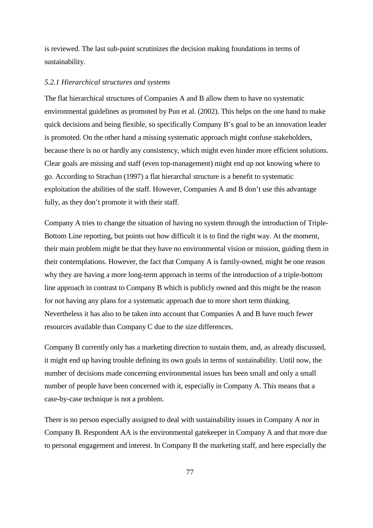is reviewed. The last sub-point scrutinizes the decision making foundations in terms of sustainability.

#### *5.2.1 Hierarchical structures and systems*

The flat hierarchical structures of Companies A and B allow them to have no systematic environmental guidelines as promoted by Pun et al. (2002). This helps on the one hand to make quick decisions and being flexible, so specifically Company B's goal to be an innovation leader is promoted. On the other hand a missing systematic approach might confuse stakeholders, because there is no or hardly any consistency, which might even hinder more efficient solutions. Clear goals are missing and staff (even top-management) might end up not knowing where to go. According to Strachan (1997) a flat hierarchal structure is a benefit to systematic exploitation the abilities of the staff. However, Companies A and B don't use this advantage fully, as they don't promote it with their staff.

Company A tries to change the situation of having no system through the introduction of Triple-Bottom Line reporting, but points out how difficult it is to find the right way. At the moment, their main problem might be that they have no environmental vision or mission, guiding them in their contemplations. However, the fact that Company A is family-owned, might be one reason why they are having a more long-term approach in terms of the introduction of a triple-bottom line approach in contrast to Company B which is publicly owned and this might be the reason for not having any plans for a systematic approach due to more short term thinking. Nevertheless it has also to be taken into account that Companies A and B have much fewer resources available than Company C due to the size differences.

Company B currently only has a marketing direction to sustain them, and, as already discussed, it might end up having trouble defining its own goals in terms of sustainability. Until now, the number of decisions made concerning environmental issues has been small and only a small number of people have been concerned with it, especially in Company A. This means that a case-by-case technique is not a problem.

There is no person especially assigned to deal with sustainability issues in Company A nor in Company B. Respondent AA is the environmental gatekeeper in Company A and that more due to personal engagement and interest. In Company B the marketing staff, and here especially the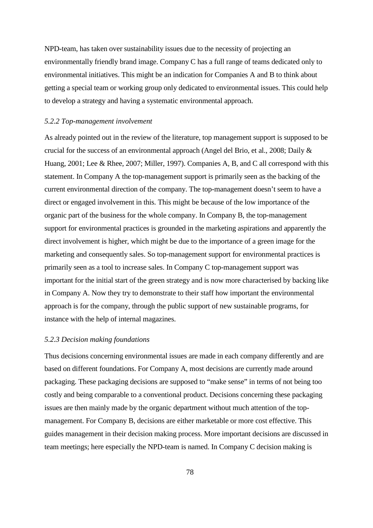NPD-team, has taken over sustainability issues due to the necessity of projecting an environmentally friendly brand image. Company C has a full range of teams dedicated only to environmental initiatives. This might be an indication for Companies A and B to think about getting a special team or working group only dedicated to environmental issues. This could help to develop a strategy and having a systematic environmental approach.

#### *5.2.2 Top-management involvement*

As already pointed out in the review of the literature, top management support is supposed to be crucial for the success of an environmental approach (Angel del Brio, et al., 2008; Daily & Huang, 2001; Lee & Rhee, 2007; Miller, 1997). Companies A, B, and C all correspond with this statement. In Company A the top-management support is primarily seen as the backing of the current environmental direction of the company. The top-management doesn't seem to have a direct or engaged involvement in this. This might be because of the low importance of the organic part of the business for the whole company. In Company B, the top-management support for environmental practices is grounded in the marketing aspirations and apparently the direct involvement is higher, which might be due to the importance of a green image for the marketing and consequently sales. So top-management support for environmental practices is primarily seen as a tool to increase sales. In Company C top-management support was important for the initial start of the green strategy and is now more characterised by backing like in Company A. Now they try to demonstrate to their staff how important the environmental approach is for the company, through the public support of new sustainable programs, for instance with the help of internal magazines.

# *5.2.3 Decision making foundations*

Thus decisions concerning environmental issues are made in each company differently and are based on different foundations. For Company A, most decisions are currently made around packaging. These packaging decisions are supposed to "make sense" in terms of not being too costly and being comparable to a conventional product. Decisions concerning these packaging issues are then mainly made by the organic department without much attention of the topmanagement. For Company B, decisions are either marketable or more cost effective. This guides management in their decision making process. More important decisions are discussed in team meetings; here especially the NPD-team is named. In Company C decision making is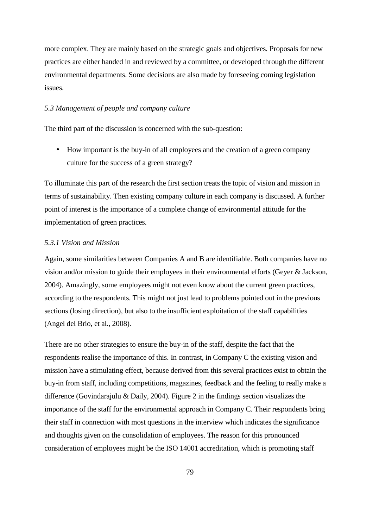more complex. They are mainly based on the strategic goals and objectives. Proposals for new practices are either handed in and reviewed by a committee, or developed through the different environmental departments. Some decisions are also made by foreseeing coming legislation issues.

### *5.3 Management of people and company culture*

The third part of the discussion is concerned with the sub-question:

• How important is the buy-in of all employees and the creation of a green company culture for the success of a green strategy?

To illuminate this part of the research the first section treats the topic of vision and mission in terms of sustainability. Then existing company culture in each company is discussed. A further point of interest is the importance of a complete change of environmental attitude for the implementation of green practices.

### *5.3.1 Vision and Mission*

Again, some similarities between Companies A and B are identifiable. Both companies have no vision and/or mission to guide their employees in their environmental efforts (Geyer & Jackson, 2004). Amazingly, some employees might not even know about the current green practices, according to the respondents. This might not just lead to problems pointed out in the previous sections (losing direction), but also to the insufficient exploitation of the staff capabilities (Angel del Brio, et al., 2008).

There are no other strategies to ensure the buy-in of the staff, despite the fact that the respondents realise the importance of this. In contrast, in Company C the existing vision and mission have a stimulating effect, because derived from this several practices exist to obtain the buy-in from staff, including competitions, magazines, feedback and the feeling to really make a difference (Govindarajulu & Daily, 2004). Figure 2 in the findings section visualizes the importance of the staff for the environmental approach in Company C. Their respondents bring their staff in connection with most questions in the interview which indicates the significance and thoughts given on the consolidation of employees. The reason for this pronounced consideration of employees might be the ISO 14001 accreditation, which is promoting staff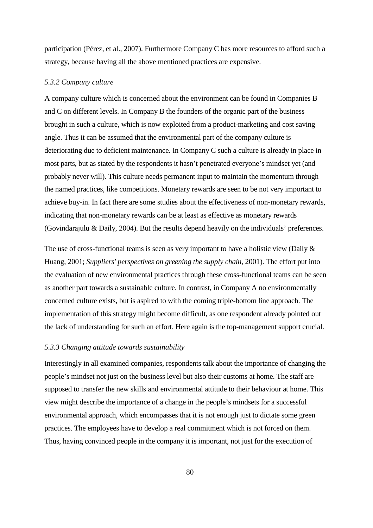participation (Pérez, et al., 2007). Furthermore Company C has more resources to afford such a strategy, because having all the above mentioned practices are expensive.

#### *5.3.2 Company culture*

A company culture which is concerned about the environment can be found in Companies B and C on different levels. In Company B the founders of the organic part of the business brought in such a culture, which is now exploited from a product-marketing and cost saving angle. Thus it can be assumed that the environmental part of the company culture is deteriorating due to deficient maintenance. In Company C such a culture is already in place in most parts, but as stated by the respondents it hasn't penetrated everyone's mindset yet (and probably never will). This culture needs permanent input to maintain the momentum through the named practices, like competitions. Monetary rewards are seen to be not very important to achieve buy-in. In fact there are some studies about the effectiveness of non-monetary rewards, indicating that non-monetary rewards can be at least as effective as monetary rewards (Govindarajulu & Daily, 2004). But the results depend heavily on the individuals' preferences.

The use of cross-functional teams is seen as very important to have a holistic view (Daily & Huang, 2001; *Suppliers' perspectives on greening the supply chain*, 2001). The effort put into the evaluation of new environmental practices through these cross-functional teams can be seen as another part towards a sustainable culture. In contrast, in Company A no environmentally concerned culture exists, but is aspired to with the coming triple-bottom line approach. The implementation of this strategy might become difficult, as one respondent already pointed out the lack of understanding for such an effort. Here again is the top-management support crucial.

# *5.3.3 Changing attitude towards sustainability*

Interestingly in all examined companies, respondents talk about the importance of changing the people's mindset not just on the business level but also their customs at home. The staff are supposed to transfer the new skills and environmental attitude to their behaviour at home. This view might describe the importance of a change in the people's mindsets for a successful environmental approach, which encompasses that it is not enough just to dictate some green practices. The employees have to develop a real commitment which is not forced on them. Thus, having convinced people in the company it is important, not just for the execution of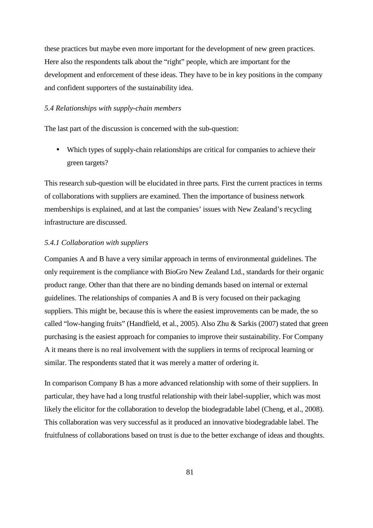these practices but maybe even more important for the development of new green practices. Here also the respondents talk about the "right" people, which are important for the development and enforcement of these ideas. They have to be in key positions in the company and confident supporters of the sustainability idea.

# *5.4 Relationships with supply-chain members*

The last part of the discussion is concerned with the sub-question:

• Which types of supply-chain relationships are critical for companies to achieve their green targets?

This research sub-question will be elucidated in three parts. First the current practices in terms of collaborations with suppliers are examined. Then the importance of business network memberships is explained, and at last the companies' issues with New Zealand's recycling infrastructure are discussed.

#### *5.4.1 Collaboration with suppliers*

Companies A and B have a very similar approach in terms of environmental guidelines. The only requirement is the compliance with BioGro New Zealand Ltd., standards for their organic product range. Other than that there are no binding demands based on internal or external guidelines. The relationships of companies A and B is very focused on their packaging suppliers. This might be, because this is where the easiest improvements can be made, the so called "low-hanging fruits" (Handfield, et al., 2005). Also Zhu & Sarkis (2007) stated that green purchasing is the easiest approach for companies to improve their sustainability. For Company A it means there is no real involvement with the suppliers in terms of reciprocal learning or similar. The respondents stated that it was merely a matter of ordering it.

In comparison Company B has a more advanced relationship with some of their suppliers. In particular, they have had a long trustful relationship with their label-supplier, which was most likely the elicitor for the collaboration to develop the biodegradable label (Cheng, et al., 2008). This collaboration was very successful as it produced an innovative biodegradable label. The fruitfulness of collaborations based on trust is due to the better exchange of ideas and thoughts.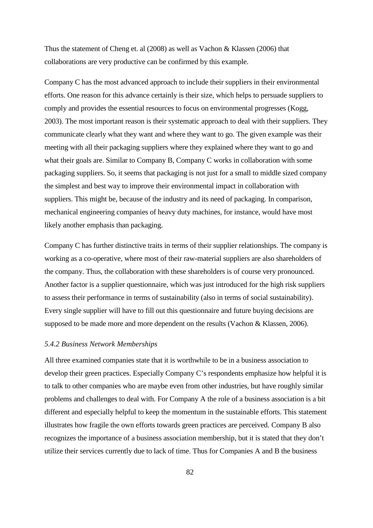Thus the statement of Cheng et. al (2008) as well as Vachon & Klassen (2006) that collaborations are very productive can be confirmed by this example.

Company C has the most advanced approach to include their suppliers in their environmental efforts. One reason for this advance certainly is their size, which helps to persuade suppliers to comply and provides the essential resources to focus on environmental progresses (Kogg, 2003). The most important reason is their systematic approach to deal with their suppliers. They communicate clearly what they want and where they want to go. The given example was their meeting with all their packaging suppliers where they explained where they want to go and what their goals are. Similar to Company B, Company C works in collaboration with some packaging suppliers. So, it seems that packaging is not just for a small to middle sized company the simplest and best way to improve their environmental impact in collaboration with suppliers. This might be, because of the industry and its need of packaging. In comparison, mechanical engineering companies of heavy duty machines, for instance, would have most likely another emphasis than packaging.

Company C has further distinctive traits in terms of their supplier relationships. The company is working as a co-operative, where most of their raw-material suppliers are also shareholders of the company. Thus, the collaboration with these shareholders is of course very pronounced. Another factor is a supplier questionnaire, which was just introduced for the high risk suppliers to assess their performance in terms of sustainability (also in terms of social sustainability). Every single supplier will have to fill out this questionnaire and future buying decisions are supposed to be made more and more dependent on the results (Vachon & Klassen, 2006).

#### *5.4.2 Business Network Memberships*

All three examined companies state that it is worthwhile to be in a business association to develop their green practices. Especially Company C's respondents emphasize how helpful it is to talk to other companies who are maybe even from other industries, but have roughly similar problems and challenges to deal with. For Company A the role of a business association is a bit different and especially helpful to keep the momentum in the sustainable efforts. This statement illustrates how fragile the own efforts towards green practices are perceived. Company B also recognizes the importance of a business association membership, but it is stated that they don't utilize their services currently due to lack of time. Thus for Companies A and B the business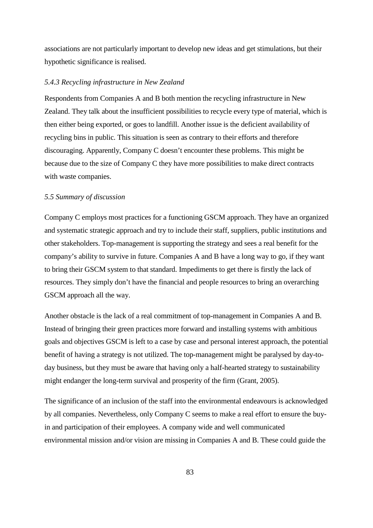associations are not particularly important to develop new ideas and get stimulations, but their hypothetic significance is realised.

#### *5.4.3 Recycling infrastructure in New Zealand*

Respondents from Companies A and B both mention the recycling infrastructure in New Zealand. They talk about the insufficient possibilities to recycle every type of material, which is then either being exported, or goes to landfill. Another issue is the deficient availability of recycling bins in public. This situation is seen as contrary to their efforts and therefore discouraging. Apparently, Company C doesn't encounter these problems. This might be because due to the size of Company C they have more possibilities to make direct contracts with waste companies.

# *5.5 Summary of discussion*

Company C employs most practices for a functioning GSCM approach. They have an organized and systematic strategic approach and try to include their staff, suppliers, public institutions and other stakeholders. Top-management is supporting the strategy and sees a real benefit for the company's ability to survive in future. Companies A and B have a long way to go, if they want to bring their GSCM system to that standard. Impediments to get there is firstly the lack of resources. They simply don't have the financial and people resources to bring an overarching GSCM approach all the way.

Another obstacle is the lack of a real commitment of top-management in Companies A and B. Instead of bringing their green practices more forward and installing systems with ambitious goals and objectives GSCM is left to a case by case and personal interest approach, the potential benefit of having a strategy is not utilized. The top-management might be paralysed by day-today business, but they must be aware that having only a half-hearted strategy to sustainability might endanger the long-term survival and prosperity of the firm (Grant, 2005).

The significance of an inclusion of the staff into the environmental endeavours is acknowledged by all companies. Nevertheless, only Company C seems to make a real effort to ensure the buyin and participation of their employees. A company wide and well communicated environmental mission and/or vision are missing in Companies A and B. These could guide the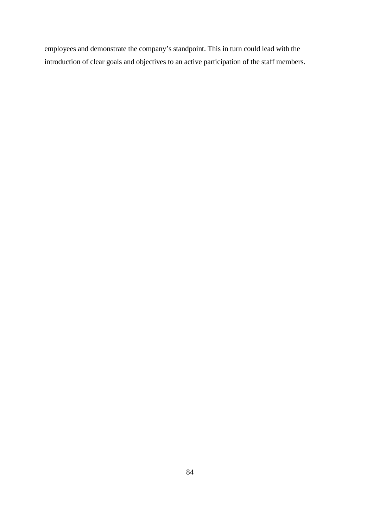employees and demonstrate the company's standpoint. This in turn could lead with the introduction of clear goals and objectives to an active participation of the staff members.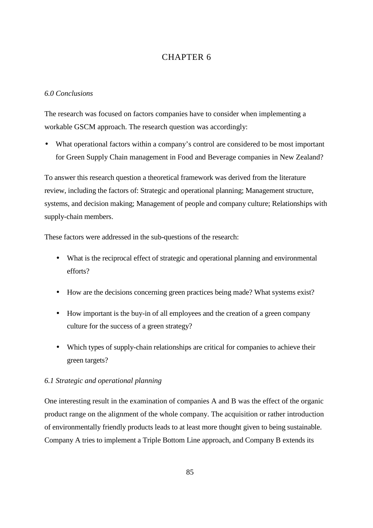# CHAPTER 6

# *6.0 Conclusions*

The research was focused on factors companies have to consider when implementing a workable GSCM approach. The research question was accordingly:

• What operational factors within a company's control are considered to be most important for Green Supply Chain management in Food and Beverage companies in New Zealand?

To answer this research question a theoretical framework was derived from the literature review, including the factors of: Strategic and operational planning; Management structure, systems, and decision making; Management of people and company culture; Relationships with supply-chain members.

These factors were addressed in the sub-questions of the research:

- What is the reciprocal effect of strategic and operational planning and environmental efforts?
- How are the decisions concerning green practices being made? What systems exist?
- How important is the buy-in of all employees and the creation of a green company culture for the success of a green strategy?
- Which types of supply-chain relationships are critical for companies to achieve their green targets?

# *6.1 Strategic and operational planning*

One interesting result in the examination of companies A and B was the effect of the organic product range on the alignment of the whole company. The acquisition or rather introduction of environmentally friendly products leads to at least more thought given to being sustainable. Company A tries to implement a Triple Bottom Line approach, and Company B extends its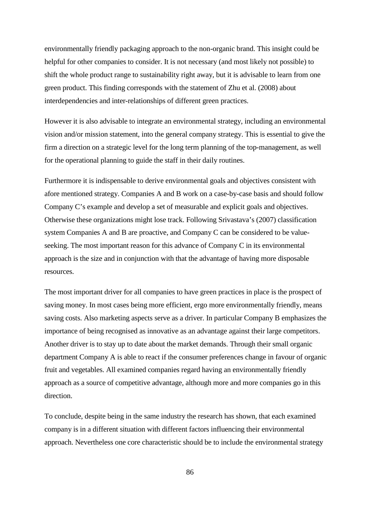environmentally friendly packaging approach to the non-organic brand. This insight could be helpful for other companies to consider. It is not necessary (and most likely not possible) to shift the whole product range to sustainability right away, but it is advisable to learn from one green product. This finding corresponds with the statement of Zhu et al. (2008) about interdependencies and inter-relationships of different green practices.

However it is also advisable to integrate an environmental strategy, including an environmental vision and/or mission statement, into the general company strategy. This is essential to give the firm a direction on a strategic level for the long term planning of the top-management, as well for the operational planning to guide the staff in their daily routines.

Furthermore it is indispensable to derive environmental goals and objectives consistent with afore mentioned strategy. Companies A and B work on a case-by-case basis and should follow Company C's example and develop a set of measurable and explicit goals and objectives. Otherwise these organizations might lose track. Following Srivastava's (2007) classification system Companies A and B are proactive, and Company C can be considered to be valueseeking. The most important reason for this advance of Company C in its environmental approach is the size and in conjunction with that the advantage of having more disposable resources.

The most important driver for all companies to have green practices in place is the prospect of saving money. In most cases being more efficient, ergo more environmentally friendly, means saving costs. Also marketing aspects serve as a driver. In particular Company B emphasizes the importance of being recognised as innovative as an advantage against their large competitors. Another driver is to stay up to date about the market demands. Through their small organic department Company A is able to react if the consumer preferences change in favour of organic fruit and vegetables. All examined companies regard having an environmentally friendly approach as a source of competitive advantage, although more and more companies go in this direction.

To conclude, despite being in the same industry the research has shown, that each examined company is in a different situation with different factors influencing their environmental approach. Nevertheless one core characteristic should be to include the environmental strategy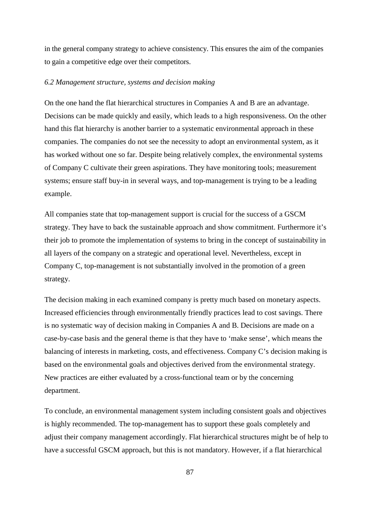in the general company strategy to achieve consistency. This ensures the aim of the companies to gain a competitive edge over their competitors.

#### *6.2 Management structure, systems and decision making*

On the one hand the flat hierarchical structures in Companies A and B are an advantage. Decisions can be made quickly and easily, which leads to a high responsiveness. On the other hand this flat hierarchy is another barrier to a systematic environmental approach in these companies. The companies do not see the necessity to adopt an environmental system, as it has worked without one so far. Despite being relatively complex, the environmental systems of Company C cultivate their green aspirations. They have monitoring tools; measurement systems; ensure staff buy-in in several ways, and top-management is trying to be a leading example.

All companies state that top-management support is crucial for the success of a GSCM strategy. They have to back the sustainable approach and show commitment. Furthermore it's their job to promote the implementation of systems to bring in the concept of sustainability in all layers of the company on a strategic and operational level. Nevertheless, except in Company C, top-management is not substantially involved in the promotion of a green strategy.

The decision making in each examined company is pretty much based on monetary aspects. Increased efficiencies through environmentally friendly practices lead to cost savings. There is no systematic way of decision making in Companies A and B. Decisions are made on a case-by-case basis and the general theme is that they have to 'make sense', which means the balancing of interests in marketing, costs, and effectiveness. Company C's decision making is based on the environmental goals and objectives derived from the environmental strategy. New practices are either evaluated by a cross-functional team or by the concerning department.

To conclude, an environmental management system including consistent goals and objectives is highly recommended. The top-management has to support these goals completely and adjust their company management accordingly. Flat hierarchical structures might be of help to have a successful GSCM approach, but this is not mandatory. However, if a flat hierarchical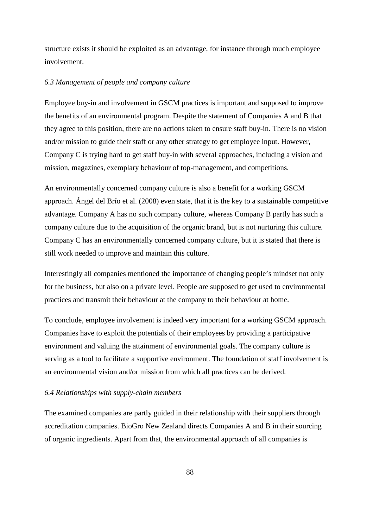structure exists it should be exploited as an advantage, for instance through much employee involvement.

### *6.3 Management of people and company culture*

Employee buy-in and involvement in GSCM practices is important and supposed to improve the benefits of an environmental program. Despite the statement of Companies A and B that they agree to this position, there are no actions taken to ensure staff buy-in. There is no vision and/or mission to guide their staff or any other strategy to get employee input. However, Company C is trying hard to get staff buy-in with several approaches, including a vision and mission, magazines, exemplary behaviour of top-management, and competitions.

An environmentally concerned company culture is also a benefit for a working GSCM approach. Ángel del Brío et al. (2008) even state, that it is the key to a sustainable competitive advantage. Company A has no such company culture, whereas Company B partly has such a company culture due to the acquisition of the organic brand, but is not nurturing this culture. Company C has an environmentally concerned company culture, but it is stated that there is still work needed to improve and maintain this culture.

Interestingly all companies mentioned the importance of changing people's mindset not only for the business, but also on a private level. People are supposed to get used to environmental practices and transmit their behaviour at the company to their behaviour at home.

To conclude, employee involvement is indeed very important for a working GSCM approach. Companies have to exploit the potentials of their employees by providing a participative environment and valuing the attainment of environmental goals. The company culture is serving as a tool to facilitate a supportive environment. The foundation of staff involvement is an environmental vision and/or mission from which all practices can be derived.

#### *6.4 Relationships with supply-chain members*

The examined companies are partly guided in their relationship with their suppliers through accreditation companies. BioGro New Zealand directs Companies A and B in their sourcing of organic ingredients. Apart from that, the environmental approach of all companies is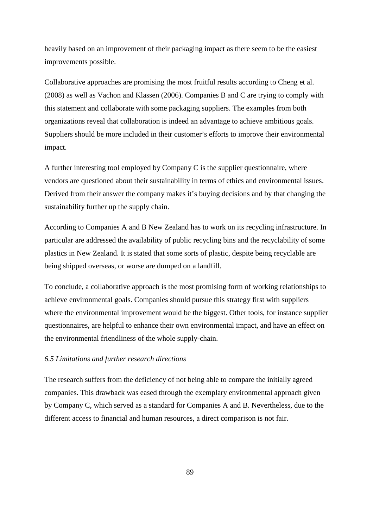heavily based on an improvement of their packaging impact as there seem to be the easiest improvements possible.

Collaborative approaches are promising the most fruitful results according to Cheng et al. (2008) as well as Vachon and Klassen (2006). Companies B and C are trying to comply with this statement and collaborate with some packaging suppliers. The examples from both organizations reveal that collaboration is indeed an advantage to achieve ambitious goals. Suppliers should be more included in their customer's efforts to improve their environmental impact.

A further interesting tool employed by Company C is the supplier questionnaire, where vendors are questioned about their sustainability in terms of ethics and environmental issues. Derived from their answer the company makes it's buying decisions and by that changing the sustainability further up the supply chain.

According to Companies A and B New Zealand has to work on its recycling infrastructure. In particular are addressed the availability of public recycling bins and the recyclability of some plastics in New Zealand. It is stated that some sorts of plastic, despite being recyclable are being shipped overseas, or worse are dumped on a landfill.

To conclude, a collaborative approach is the most promising form of working relationships to achieve environmental goals. Companies should pursue this strategy first with suppliers where the environmental improvement would be the biggest. Other tools, for instance supplier questionnaires, are helpful to enhance their own environmental impact, and have an effect on the environmental friendliness of the whole supply-chain.

### *6.5 Limitations and further research directions*

The research suffers from the deficiency of not being able to compare the initially agreed companies. This drawback was eased through the exemplary environmental approach given by Company C, which served as a standard for Companies A and B. Nevertheless, due to the different access to financial and human resources, a direct comparison is not fair.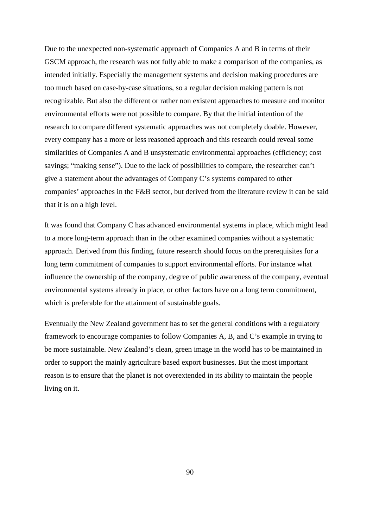Due to the unexpected non-systematic approach of Companies A and B in terms of their GSCM approach, the research was not fully able to make a comparison of the companies, as intended initially. Especially the management systems and decision making procedures are too much based on case-by-case situations, so a regular decision making pattern is not recognizable. But also the different or rather non existent approaches to measure and monitor environmental efforts were not possible to compare. By that the initial intention of the research to compare different systematic approaches was not completely doable. However, every company has a more or less reasoned approach and this research could reveal some similarities of Companies A and B unsystematic environmental approaches (efficiency; cost savings; "making sense"). Due to the lack of possibilities to compare, the researcher can't give a statement about the advantages of Company C's systems compared to other companies' approaches in the F&B sector, but derived from the literature review it can be said that it is on a high level.

It was found that Company C has advanced environmental systems in place, which might lead to a more long-term approach than in the other examined companies without a systematic approach. Derived from this finding, future research should focus on the prerequisites for a long term commitment of companies to support environmental efforts. For instance what influence the ownership of the company, degree of public awareness of the company, eventual environmental systems already in place, or other factors have on a long term commitment, which is preferable for the attainment of sustainable goals.

Eventually the New Zealand government has to set the general conditions with a regulatory framework to encourage companies to follow Companies A, B, and C's example in trying to be more sustainable. New Zealand's clean, green image in the world has to be maintained in order to support the mainly agriculture based export businesses. But the most important reason is to ensure that the planet is not overextended in its ability to maintain the people living on it.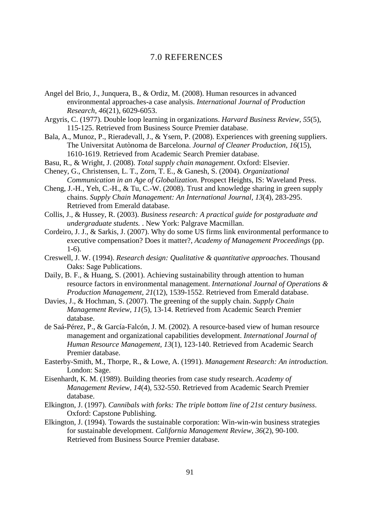# 7.0 REFERENCES

- Angel del Brio, J., Junquera, B., & Ordiz, M. (2008). Human resources in advanced environmental approaches-a case analysis. *International Journal of Production Research, 46*(21), 6029-6053.
- Argyris, C. (1977). Double loop learning in organizations. *Harvard Business Review, 55*(5), 115-125. Retrieved from Business Source Premier database.
- Bala, A., Munoz, P., Rieradevall, J., & Ysern, P. (2008). Experiences with greening suppliers. The Universitat Autònoma de Barcelona. *Journal of Cleaner Production, 16*(15), 1610-1619. Retrieved from Academic Search Premier database.
- Basu, R., & Wright, J. (2008). *Total supply chain management*. Oxford: Elsevier.
- Cheney, G., Christensen, L. T., Zorn, T. E., & Ganesh, S. (2004). *Organizational Communication in an Age of Globalization*. Prospect Heights, IS: Waveland Press.
- Cheng, J.-H., Yeh, C.-H., & Tu, C.-W. (2008). Trust and knowledge sharing in green supply chains. *Supply Chain Management: An International Journal, 13*(4), 283-295. Retrieved from Emerald database.
- Collis, J., & Hussey, R. (2003). *Business research: A practical guide for postgraduate and undergraduate students.* . New York: Palgrave Macmillan.
- Cordeiro, J. J., & Sarkis, J. (2007). Why do some US firms link environmental performance to executive compensation? Does it matter?, *Academy of Management Proceedings* (pp. 1-6).
- Creswell, J. W. (1994). *Research design: Qualitative & quantitative approaches*. Thousand Oaks: Sage Publications.
- Daily, B. F., & Huang, S. (2001). Achieving sustainability through attention to human resource factors in environmental management. *International Journal of Operations & Production Management, 21*(12), 1539-1552. Retrieved from Emerald database.
- Davies, J., & Hochman, S. (2007). The greening of the supply chain. *Supply Chain Management Review, 11*(5), 13-14. Retrieved from Academic Search Premier database.
- de Saá-Pérez, P., & García-Falcón, J. M. (2002). A resource-based view of human resource management and organizational capabilities development. *International Journal of Human Resource Management, 13*(1), 123-140. Retrieved from Academic Search Premier database.
- Easterby-Smith, M., Thorpe, R., & Lowe, A. (1991). *Management Research: An introduction*. London: Sage.
- Eisenhardt, K. M. (1989). Building theories from case study research. *Academy of Management Review, 14*(4), 532-550. Retrieved from Academic Search Premier database.
- Elkington, J. (1997). *Cannibals with forks: The triple bottom line of 21st century business*. Oxford: Capstone Publishing.
- Elkington, J. (1994). Towards the sustainable corporation: Win-win-win business strategies for sustainable development. *California Management Review, 36*(2), 90-100. Retrieved from Business Source Premier database.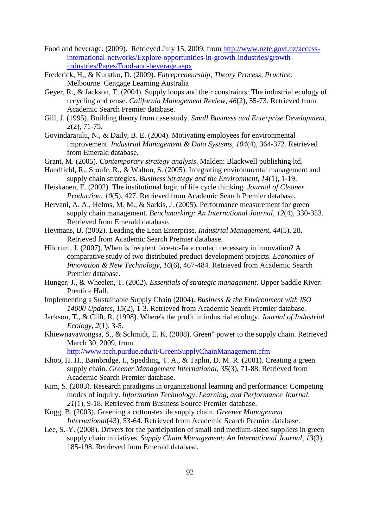- Food and beverage. (2009). Retrieved July 15, 2009, from http://www.nzte.govt.nz/accessinternational-networks/Explore-opportunities-in-growth-industries/growthindustries/Pages/Food-and-beverage.aspx
- Frederick, H., & Kuratko, D. (2009). *Entrepreneurship, Theory Process, Practice*. Melbourne: Cengage Learning Australia
- Geyer, R., & Jackson, T. (2004). Supply loops and their constraints: The industrial ecology of recycling and reuse. *California Management Review, 46*(2), 55-73. Retrieved from Academic Search Premier database.
- Gill, J. (1995). Building theory from case study. *Small Business and Enterprise Development, 2*(2), 71-75.
- Govindarajulu, N., & Daily, B. E. (2004). Motivating employees for environmental improvement. *Industrial Management & Data Systems, 104*(4), 364-372. Retrieved from Emerald database.
- Grant, M. (2005). *Contemporary strategy analysis*. Malden: Blackwell publishing ltd.
- Handfield, R., Sroufe, R., & Walton, S. (2005). Integrating environmental management and supply chain strategies. *Business Strategy and the Environment, 14*(1), 1-19.
- Heiskanen, E. (2002). The institutional logic of life cycle thinking. *Journal of Cleaner Production, 10*(5), 427. Retrieved from Academic Search Premier database.
- Hervani, A. A., Helms, M. M., & Sarkis, J. (2005). Performance measurement for green supply chain management. *Benchmarking: An International Journal, 12*(4), 330-353. Retrieved from Emerald database.
- Heymans, B. (2002). Leading the Lean Enterprise. *Industrial Management, 44*(5), 28. Retrieved from Academic Search Premier database.
- Hildrum, J. (2007). When is frequent face-to-face contact necessary in innovation? A comparative study of two distributed product development projects. *Economics of Innovation & New Technology, 16*(6), 467-484. Retrieved from Academic Search Premier database.
- Hunger, J., & Wheelen, T. (2002). *Essentials of strategic management*. Upper Saddle River: Prentice Hall.
- Implementing a Sustainable Supply Chain (2004). *Business & the Environment with ISO 14000 Updates, 15*(2), 1-3. Retrieved from Academic Search Premier database.
- Jackson, T., & Clift, R. (1998). Where's the profit in industrial ecology. *Journal of Industrial Ecology, 2*(1), 3-5.
- Khiewnavawongsa, S., & Schmidt, E. K. (2008). Green" power to the supply chain. Retrieved March 30, 2009, from

http://www.tech.purdue.edu/it/GreenSupplyChainManagement.cfm

- Khoo, H. H., Bainbridge, I., Spedding, T. A., & Taplin, D. M. R. (2001). Creating a green supply chain. *Greener Management International, 35*(3), 71-88. Retrieved from Academic Search Premier database.
- Kim, S. (2003). Research paradigms in organizational learning and performance: Competing modes of inquiry. *Information Technology, Learning, and Performance Journal, 21*(1), 9-18. Retrieved from Business Source Premier database.
- Kogg, B. (2003). Greening a cotton-textile supply chain. *Greener Management International*(43), 53-64. Retrieved from Academic Search Premier database.
- Lee, S.-Y. (2008). Drivers for the participation of small and medium-sized suppliers in green supply chain initiatives. *Supply Chain Management: An International Journal, 13*(3), 185-198. Retrieved from Emerald database.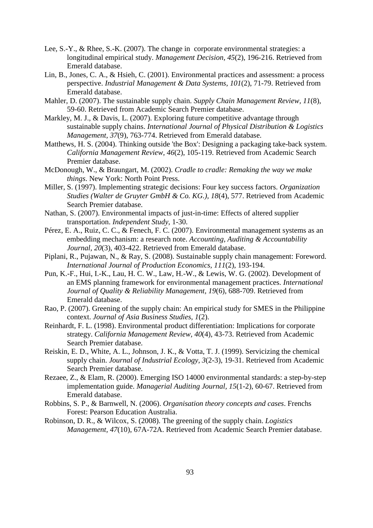- Lee, S.-Y., & Rhee, S.-K. (2007). The change in corporate environmental strategies: a longitudinal empirical study. *Management Decision, 45*(2), 196-216. Retrieved from Emerald database.
- Lin, B., Jones, C. A., & Hsieh, C. (2001). Environmental practices and assessment: a process perspective. *Industrial Management & Data Systems, 101*(2), 71-79. Retrieved from Emerald database.
- Mahler, D. (2007). The sustainable supply chain. *Supply Chain Management Review, 11*(8), 59-60. Retrieved from Academic Search Premier database.
- Markley, M. J., & Davis, L. (2007). Exploring future competitive advantage through sustainable supply chains. *International Journal of Physical Distribution & Logistics Management, 37*(9), 763-774. Retrieved from Emerald database.
- Matthews, H. S. (2004). Thinking outside 'the Box': Designing a packaging take-back system. *California Management Review, 46*(2), 105-119. Retrieved from Academic Search Premier database.
- McDonough, W., & Braungart, M. (2002). *Cradle to cradle: Remaking the way we make things*. New York: North Point Press.
- Miller, S. (1997). Implementing strategic decisions: Four key success factors. *Organization Studies (Walter de Gruyter GmbH & Co. KG.), 18*(4), 577. Retrieved from Academic Search Premier database.
- Nathan, S. (2007). Environmental impacts of just-in-time: Effects of altered supplier transportation. *Independent Study*, 1-30.
- Pérez, E. A., Ruiz, C. C., & Fenech, F. C. (2007). Environmental management systems as an embedding mechanism: a research note. *Accounting, Auditing & Accountability Journal, 20*(3), 403-422. Retrieved from Emerald database.
- Piplani, R., Pujawan, N., & Ray, S. (2008). Sustainable supply chain management: Foreword. *International Journal of Production Economics, 111*(2), 193-194.
- Pun, K.-F., Hui, I.-K., Lau, H. C. W., Law, H.-W., & Lewis, W. G. (2002). Development of an EMS planning framework for environmental management practices. *International Journal of Quality & Reliability Management, 19*(6), 688-709. Retrieved from Emerald database.
- Rao, P. (2007). Greening of the supply chain: An empirical study for SMES in the Philippine context. *Journal of Asia Business Studies, 1*(2).
- Reinhardt, F. L. (1998). Environmental product differentiation: Implications for corporate strategy. *California Management Review, 40*(4), 43-73. Retrieved from Academic Search Premier database.
- Reiskin, E. D., White, A. L., Johnson, J. K., & Votta, T. J. (1999). Servicizing the chemical supply chain. *Journal of Industrial Ecology, 3*(2-3), 19-31. Retrieved from Academic Search Premier database.
- Rezaee, Z., & Elam, R. (2000). Emerging ISO 14000 environmental standards: a step-by-step implementation guide. *Managerial Auditing Journal, 15*(1-2), 60-67. Retrieved from Emerald database.
- Robbins, S. P., & Barnwell, N. (2006). *Organisation theory concepts and cases*. Frenchs Forest: Pearson Education Australia.
- Robinson, D. R., & Wilcox, S. (2008). The greening of the supply chain. *Logistics Management, 47*(10), 67A-72A. Retrieved from Academic Search Premier database.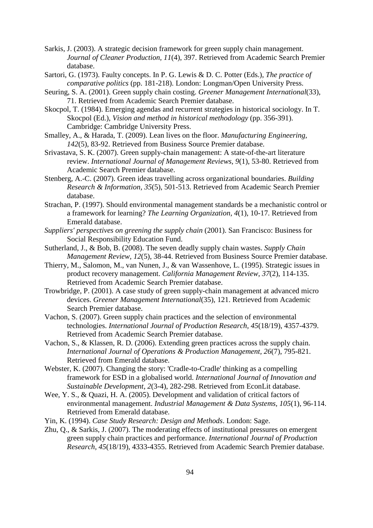- Sarkis, J. (2003). A strategic decision framework for green supply chain management. *Journal of Cleaner Production, 11*(4), 397. Retrieved from Academic Search Premier database.
- Sartori, G. (1973). Faulty concepts. In P. G. Lewis & D. C. Potter (Eds.), *The practice of comparative politics* (pp. 181-218). London: Longman/Open University Press.
- Seuring, S. A. (2001). Green supply chain costing. *Greener Management International*(33), 71. Retrieved from Academic Search Premier database.
- Skocpol, T. (1984). Emerging agendas and recurrent strategies in historical sociology. In T. Skocpol (Ed.), *Vision and method in historical methodology* (pp. 356-391). Cambridge: Cambridge University Press.
- Smalley, A., & Harada, T. (2009). Lean lives on the floor. *Manufacturing Engineering, 142*(5), 83-92. Retrieved from Business Source Premier database.
- Srivastava, S. K. (2007). Green supply-chain management: A state-of-the-art literature review. *International Journal of Management Reviews, 9*(1), 53-80. Retrieved from Academic Search Premier database.
- Stenberg, A.-C. (2007). Green ideas travelling across organizational boundaries. *Building Research & Information, 35*(5), 501-513. Retrieved from Academic Search Premier database.
- Strachan, P. (1997). Should environmental management standards be a mechanistic control or a framework for learning? *The Learning Organization, 4*(1), 10-17. Retrieved from Emerald database.
- *Suppliers' perspectives on greening the supply chain* (2001). San Francisco: Business for Social Responsibility Education Fund.
- Sutherland, J., & Bob, B. (2008). The seven deadly supply chain wastes. *Supply Chain Management Review, 12*(5), 38-44. Retrieved from Business Source Premier database.
- Thierry, M., Salomon, M., van Nunen, J., & van Wassenhove, L. (1995). Strategic issues in product recovery management. *California Management Review, 37*(2), 114-135. Retrieved from Academic Search Premier database.
- Trowbridge, P. (2001). A case study of green supply-chain management at advanced micro devices. *Greener Management International*(35), 121. Retrieved from Academic Search Premier database.
- Vachon, S. (2007). Green supply chain practices and the selection of environmental technologies. *International Journal of Production Research, 45*(18/19), 4357-4379. Retrieved from Academic Search Premier database.
- Vachon, S., & Klassen, R. D. (2006). Extending green practices across the supply chain. *International Journal of Operations & Production Management, 26*(7), 795-821. Retrieved from Emerald database.
- Webster, K. (2007). Changing the story: 'Cradle-to-Cradle' thinking as a compelling framework for ESD in a globalised world. *International Journal of Innovation and Sustainable Development, 2*(3-4), 282-298. Retrieved from EconLit database.
- Wee, Y. S., & Quazi, H. A. (2005). Development and validation of critical factors of environmental management. *Industrial Management & Data Systems, 105*(1), 96-114. Retrieved from Emerald database.
- Yin, K. (1994). *Case Study Research: Design and Methods*. London: Sage.
- Zhu, Q., & Sarkis, J. (2007). The moderating effects of institutional pressures on emergent green supply chain practices and performance. *International Journal of Production Research, 45*(18/19), 4333-4355. Retrieved from Academic Search Premier database.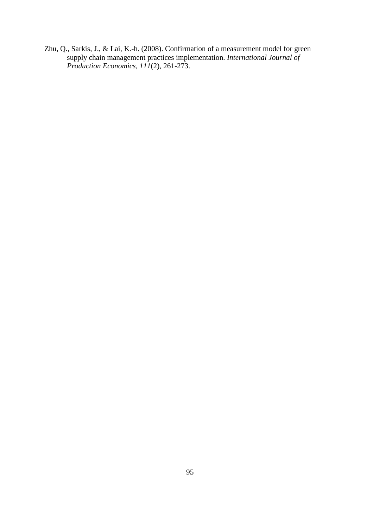Zhu, Q., Sarkis, J., & Lai, K.-h. (2008). Confirmation of a measurement model for green supply chain management practices implementation. *International Journal of Production Economics, 111*(2), 261-273.